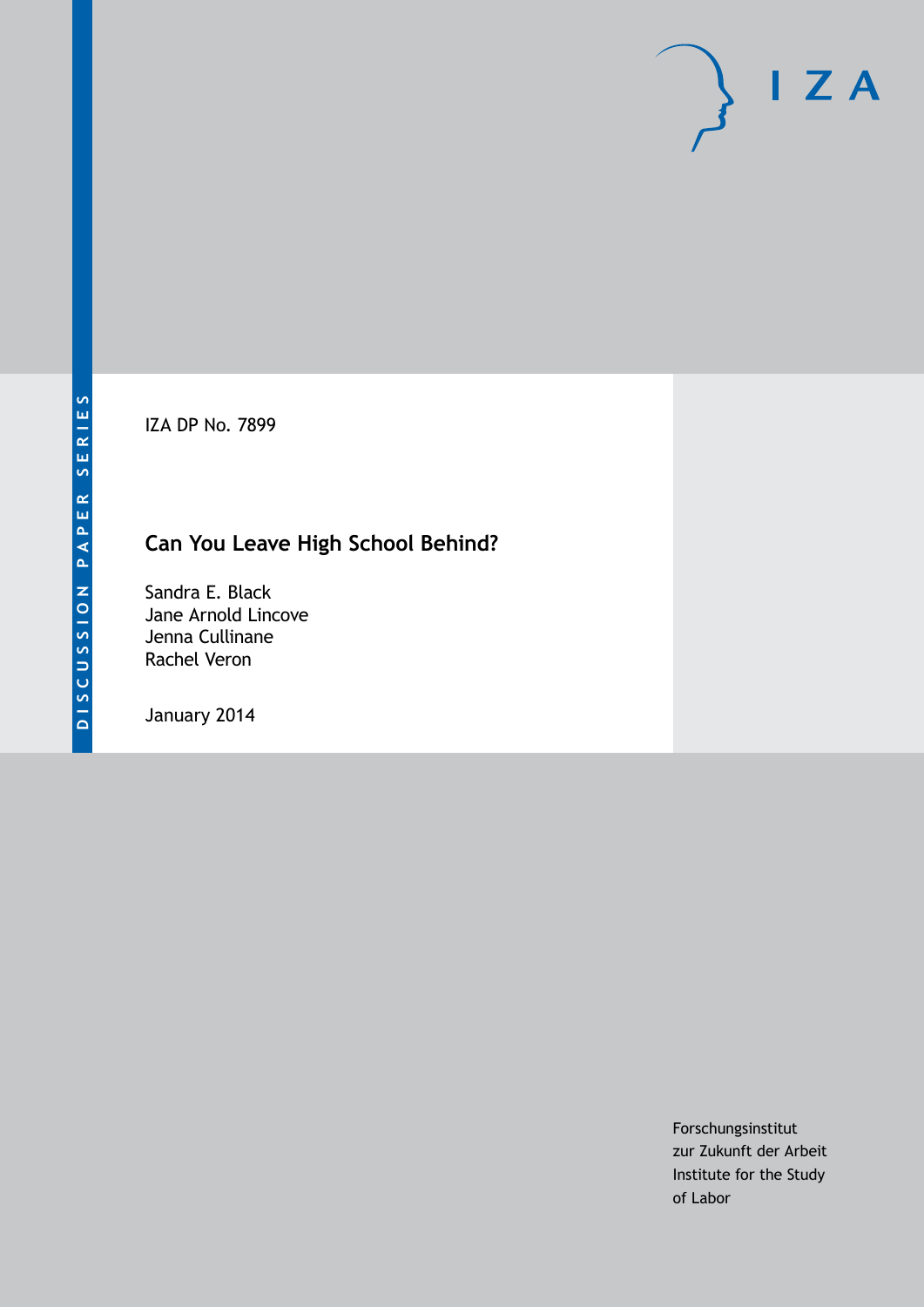IZA DP No. 7899

# **Can You Leave High School Behind?**

Sandra E. Black Jane Arnold Lincove Jenna Cullinane Rachel Veron

January 2014

Forschungsinstitut zur Zukunft der Arbeit Institute for the Study of Labor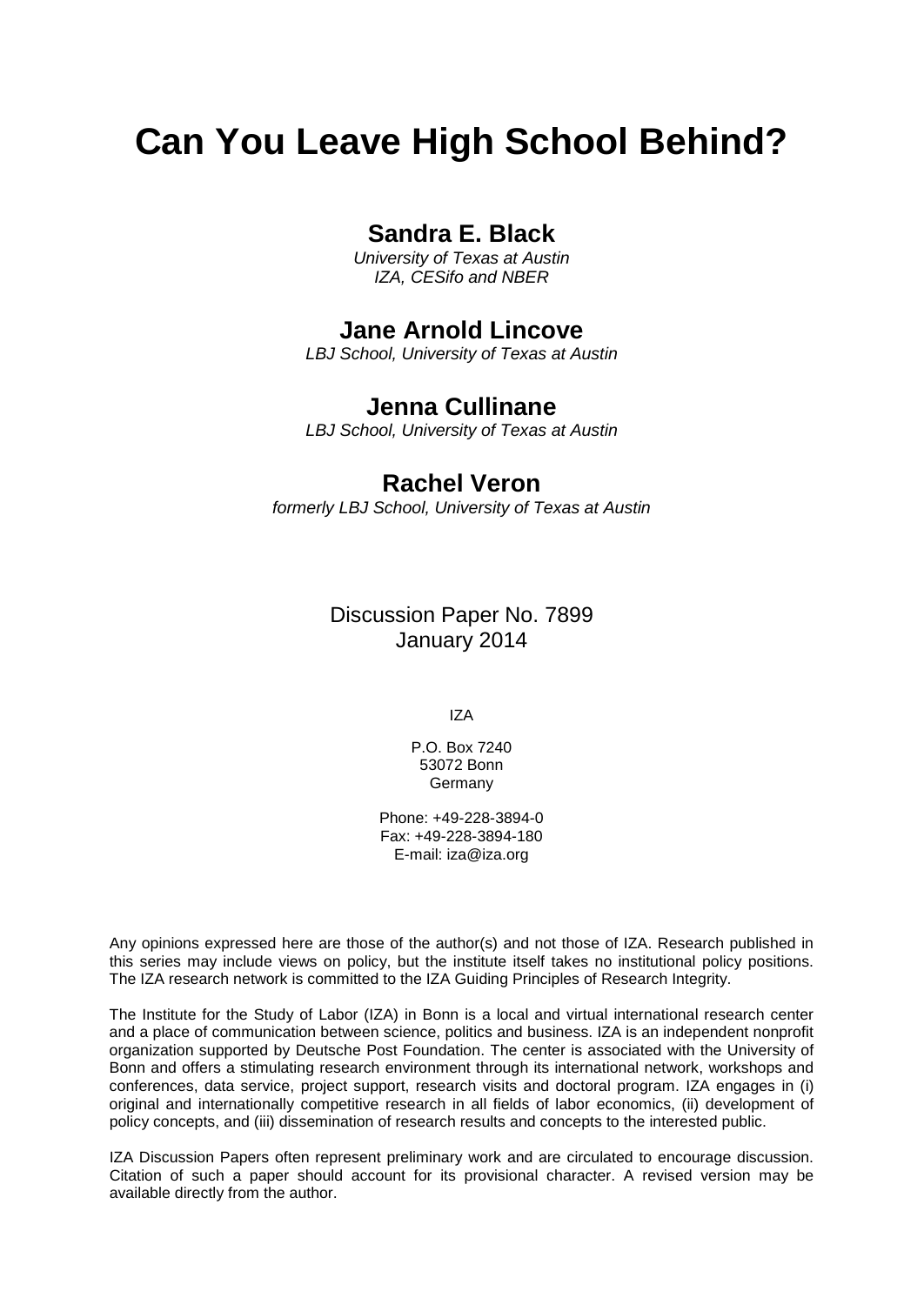# **Can You Leave High School Behind?**

## **Sandra E. Black**

*University of Texas at Austin IZA, CESifo and NBER*

### **Jane Arnold Lincove**

*LBJ School, University of Texas at Austin*

### **Jenna Cullinane**

*LBJ School, University of Texas at Austin*

### **Rachel Veron**

*formerly LBJ School, University of Texas at Austin*

Discussion Paper No. 7899 January 2014

IZA

P.O. Box 7240 53072 Bonn Germany

Phone: +49-228-3894-0 Fax: +49-228-3894-180 E-mail: [iza@iza.org](mailto:iza@iza.org)

Any opinions expressed here are those of the author(s) and not those of IZA. Research published in this series may include views on policy, but the institute itself takes no institutional policy positions. The IZA research network is committed to the IZA Guiding Principles of Research Integrity.

The Institute for the Study of Labor (IZA) in Bonn is a local and virtual international research center and a place of communication between science, politics and business. IZA is an independent nonprofit organization supported by Deutsche Post Foundation. The center is associated with the University of Bonn and offers a stimulating research environment through its international network, workshops and conferences, data service, project support, research visits and doctoral program. IZA engages in (i) original and internationally competitive research in all fields of labor economics, (ii) development of policy concepts, and (iii) dissemination of research results and concepts to the interested public.

IZA Discussion Papers often represent preliminary work and are circulated to encourage discussion. Citation of such a paper should account for its provisional character. A revised version may be available directly from the author.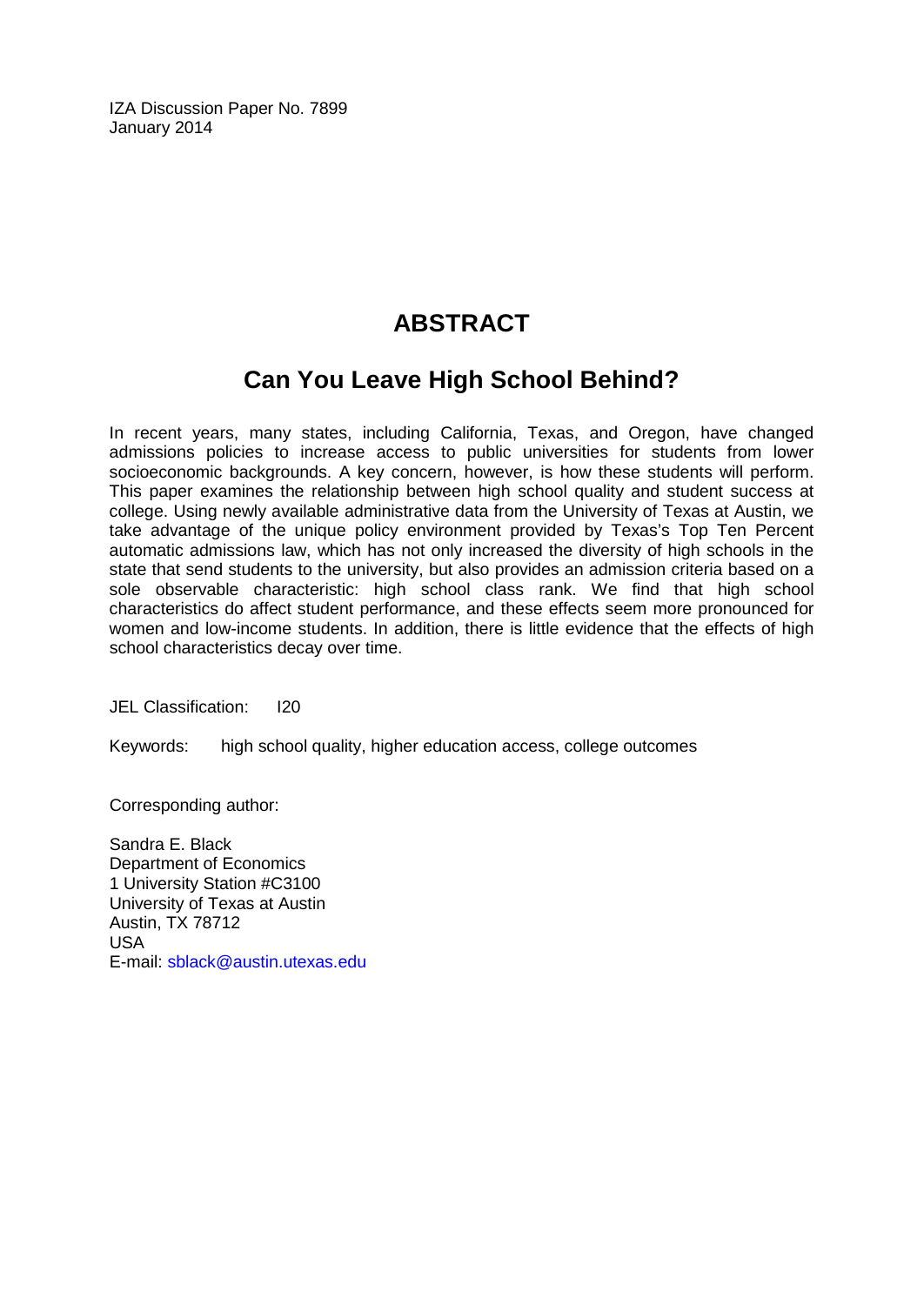IZA Discussion Paper No. 7899 January 2014

# **ABSTRACT**

# **Can You Leave High School Behind?**

In recent years, many states, including California, Texas, and Oregon, have changed admissions policies to increase access to public universities for students from lower socioeconomic backgrounds. A key concern, however, is how these students will perform. This paper examines the relationship between high school quality and student success at college. Using newly available administrative data from the University of Texas at Austin, we take advantage of the unique policy environment provided by Texas's Top Ten Percent automatic admissions law, which has not only increased the diversity of high schools in the state that send students to the university, but also provides an admission criteria based on a sole observable characteristic: high school class rank. We find that high school characteristics do affect student performance, and these effects seem more pronounced for women and low-income students. In addition, there is little evidence that the effects of high school characteristics decay over time.

JEL Classification: I20

Keywords: high school quality, higher education access, college outcomes

Corresponding author:

Sandra E. Black Department of Economics 1 University Station #C3100 University of Texas at Austin Austin, TX 78712 USA E-mail: [sblack@austin.utexas.edu](mailto:sblack@austin.utexas.edu)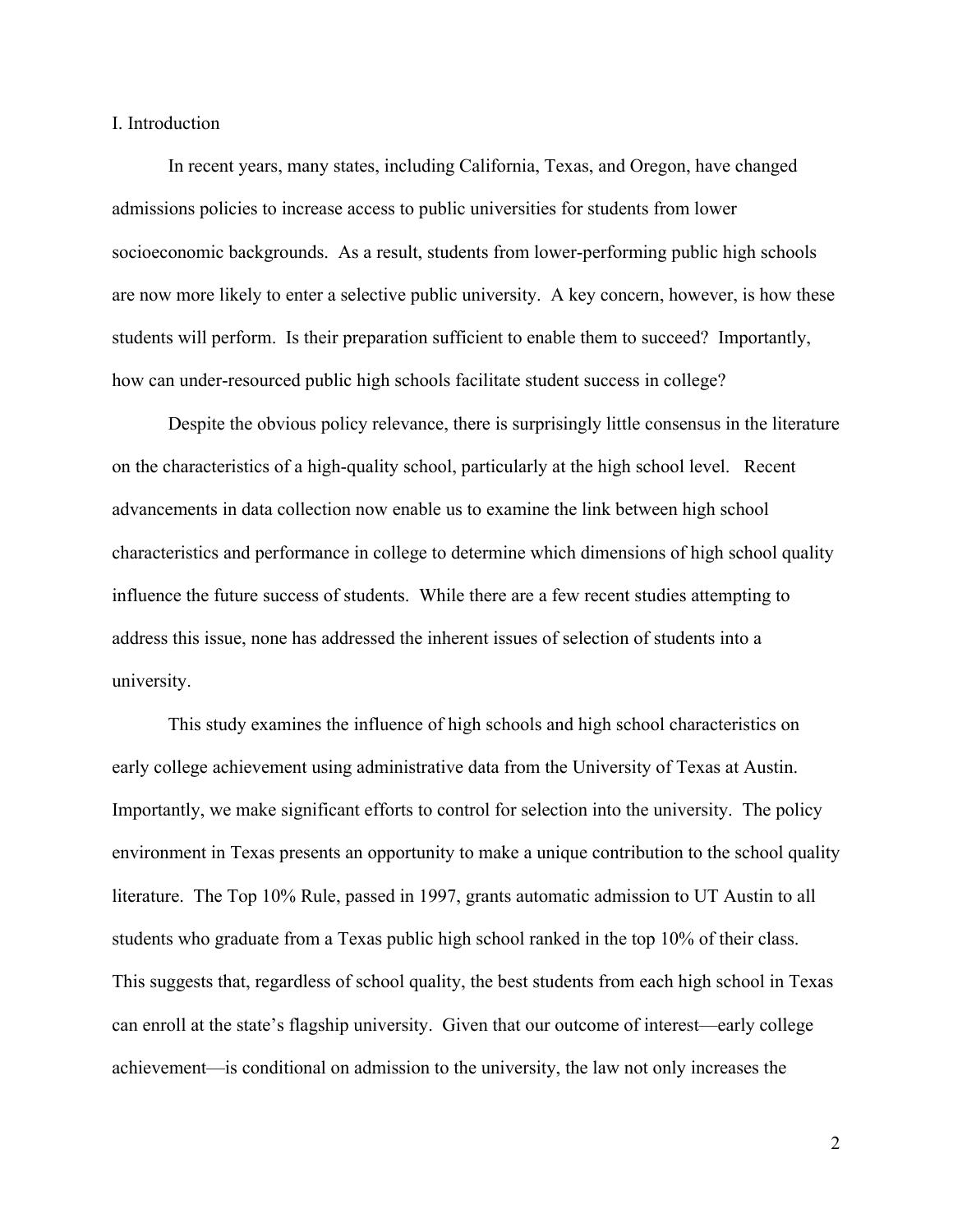I. Introduction

In recent years, many states, including California, Texas, and Oregon, have changed admissions policies to increase access to public universities for students from lower socioeconomic backgrounds. As a result, students from lower-performing public high schools are now more likely to enter a selective public university. A key concern, however, is how these students will perform. Is their preparation sufficient to enable them to succeed? Importantly, how can under-resourced public high schools facilitate student success in college?

Despite the obvious policy relevance, there is surprisingly little consensus in the literature on the characteristics of a high-quality school, particularly at the high school level. Recent advancements in data collection now enable us to examine the link between high school characteristics and performance in college to determine which dimensions of high school quality influence the future success of students. While there are a few recent studies attempting to address this issue, none has addressed the inherent issues of selection of students into a university.

This study examines the influence of high schools and high school characteristics on early college achievement using administrative data from the University of Texas at Austin. Importantly, we make significant efforts to control for selection into the university. The policy environment in Texas presents an opportunity to make a unique contribution to the school quality literature. The Top 10% Rule, passed in 1997, grants automatic admission to UT Austin to all students who graduate from a Texas public high school ranked in the top 10% of their class. This suggests that, regardless of school quality, the best students from each high school in Texas can enroll at the state's flagship university. Given that our outcome of interest—early college achievement—is conditional on admission to the university, the law not only increases the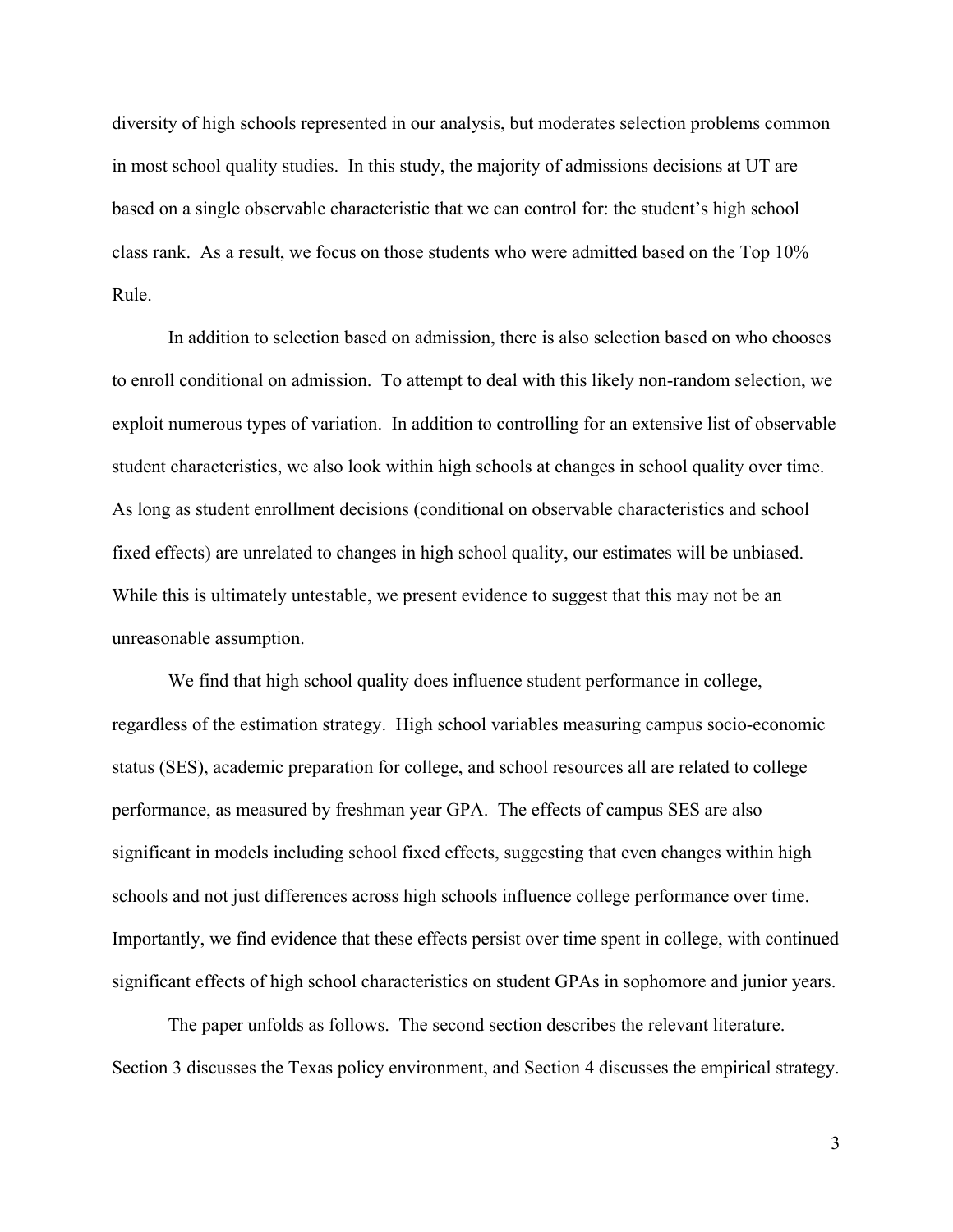diversity of high schools represented in our analysis, but moderates selection problems common in most school quality studies. In this study, the majority of admissions decisions at UT are based on a single observable characteristic that we can control for: the student's high school class rank. As a result, we focus on those students who were admitted based on the Top 10% Rule.

In addition to selection based on admission, there is also selection based on who chooses to enroll conditional on admission. To attempt to deal with this likely non-random selection, we exploit numerous types of variation. In addition to controlling for an extensive list of observable student characteristics, we also look within high schools at changes in school quality over time. As long as student enrollment decisions (conditional on observable characteristics and school fixed effects) are unrelated to changes in high school quality, our estimates will be unbiased. While this is ultimately untestable, we present evidence to suggest that this may not be an unreasonable assumption.

We find that high school quality does influence student performance in college, regardless of the estimation strategy. High school variables measuring campus socio-economic status (SES), academic preparation for college, and school resources all are related to college performance, as measured by freshman year GPA. The effects of campus SES are also significant in models including school fixed effects, suggesting that even changes within high schools and not just differences across high schools influence college performance over time. Importantly, we find evidence that these effects persist over time spent in college, with continued significant effects of high school characteristics on student GPAs in sophomore and junior years.

The paper unfolds as follows. The second section describes the relevant literature. Section 3 discusses the Texas policy environment, and Section 4 discusses the empirical strategy.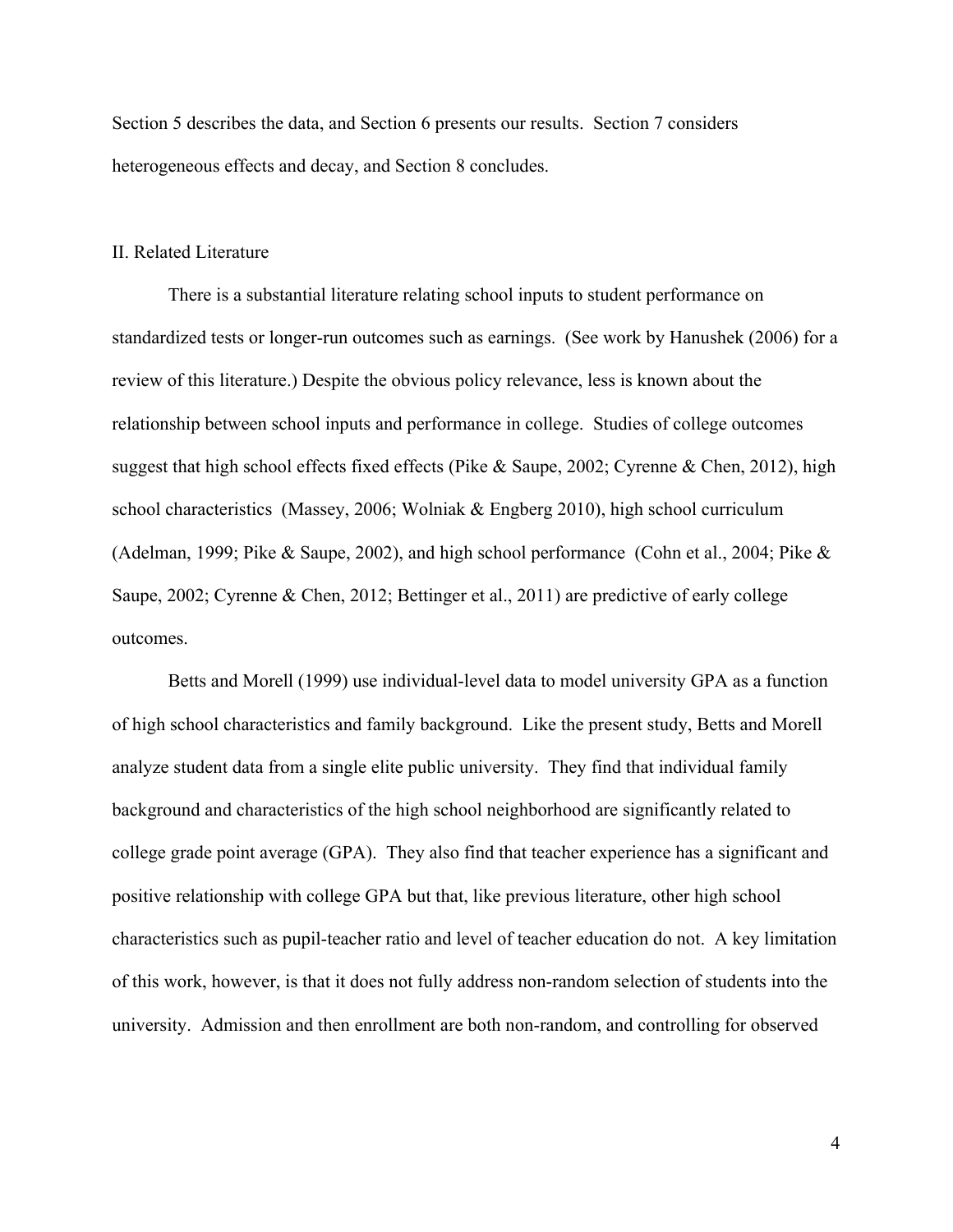Section 5 describes the data, and Section 6 presents our results. Section 7 considers heterogeneous effects and decay, and Section 8 concludes.

#### II. Related Literature

There is a substantial literature relating school inputs to student performance on standardized tests or longer-run outcomes such as earnings. (See work by Hanushek (2006) for a review of this literature.) Despite the obvious policy relevance, less is known about the relationship between school inputs and performance in college. Studies of college outcomes suggest that high school effects fixed effects (Pike & Saupe, 2002; Cyrenne & Chen, 2012), high school characteristics (Massey, 2006; Wolniak & Engberg 2010), high school curriculum (Adelman, 1999; Pike & Saupe, 2002), and high school performance (Cohn et al., 2004; Pike & Saupe, 2002; Cyrenne & Chen, 2012; Bettinger et al., 2011) are predictive of early college outcomes.

Betts and Morell (1999) use individual-level data to model university GPA as a function of high school characteristics and family background. Like the present study, Betts and Morell analyze student data from a single elite public university. They find that individual family background and characteristics of the high school neighborhood are significantly related to college grade point average (GPA). They also find that teacher experience has a significant and positive relationship with college GPA but that, like previous literature, other high school characteristics such as pupil-teacher ratio and level of teacher education do not. A key limitation of this work, however, is that it does not fully address non-random selection of students into the university. Admission and then enrollment are both non-random, and controlling for observed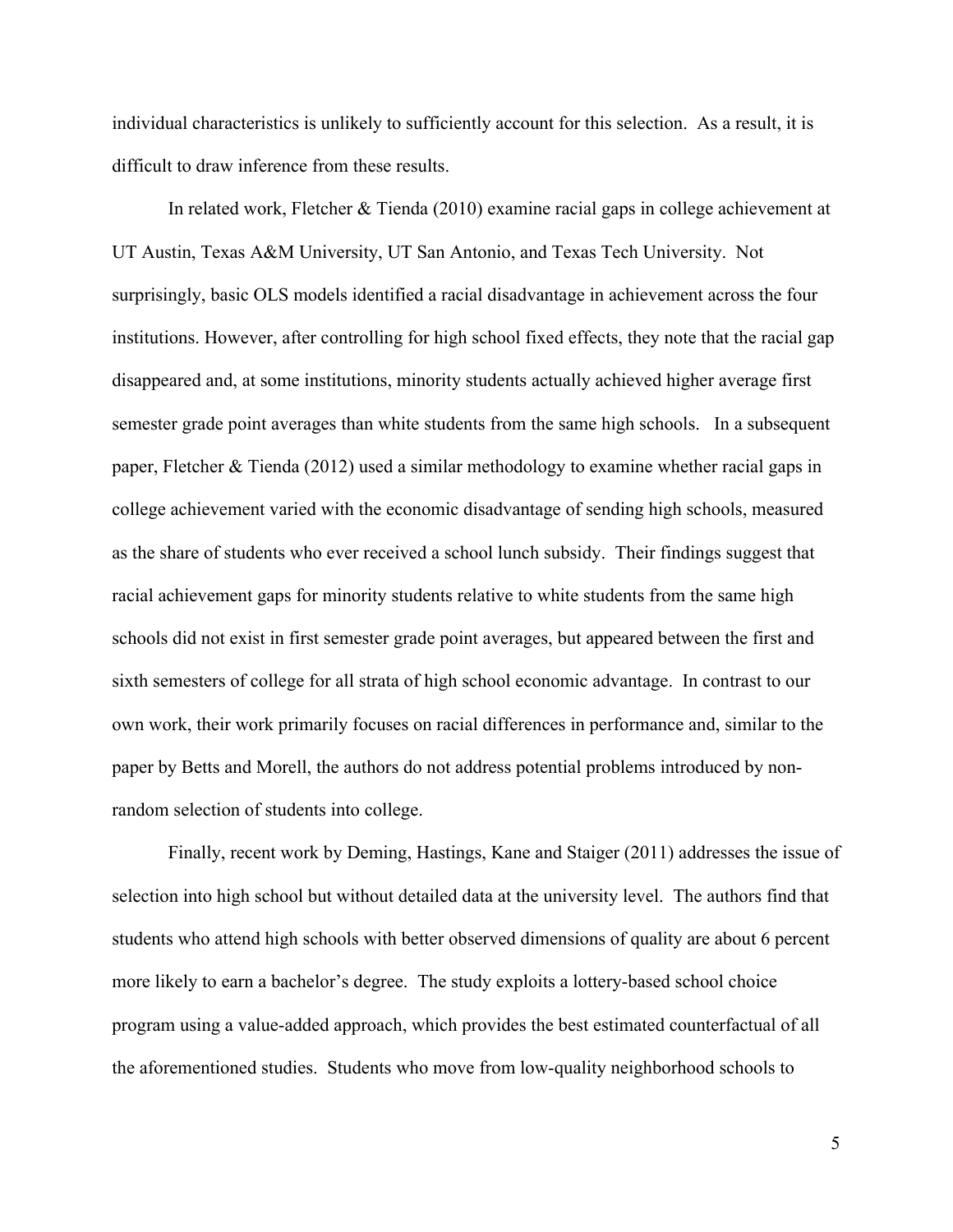individual characteristics is unlikely to sufficiently account for this selection. As a result, it is difficult to draw inference from these results.

In related work, Fletcher & Tienda (2010) examine racial gaps in college achievement at UT Austin, Texas A&M University, UT San Antonio, and Texas Tech University. Not surprisingly, basic OLS models identified a racial disadvantage in achievement across the four institutions. However, after controlling for high school fixed effects, they note that the racial gap disappeared and, at some institutions, minority students actually achieved higher average first semester grade point averages than white students from the same high schools. In a subsequent paper, Fletcher & Tienda (2012) used a similar methodology to examine whether racial gaps in college achievement varied with the economic disadvantage of sending high schools, measured as the share of students who ever received a school lunch subsidy. Their findings suggest that racial achievement gaps for minority students relative to white students from the same high schools did not exist in first semester grade point averages, but appeared between the first and sixth semesters of college for all strata of high school economic advantage. In contrast to our own work, their work primarily focuses on racial differences in performance and, similar to the paper by Betts and Morell, the authors do not address potential problems introduced by nonrandom selection of students into college.

Finally, recent work by Deming, Hastings, Kane and Staiger (2011) addresses the issue of selection into high school but without detailed data at the university level. The authors find that students who attend high schools with better observed dimensions of quality are about 6 percent more likely to earn a bachelor's degree. The study exploits a lottery-based school choice program using a value-added approach, which provides the best estimated counterfactual of all the aforementioned studies. Students who move from low-quality neighborhood schools to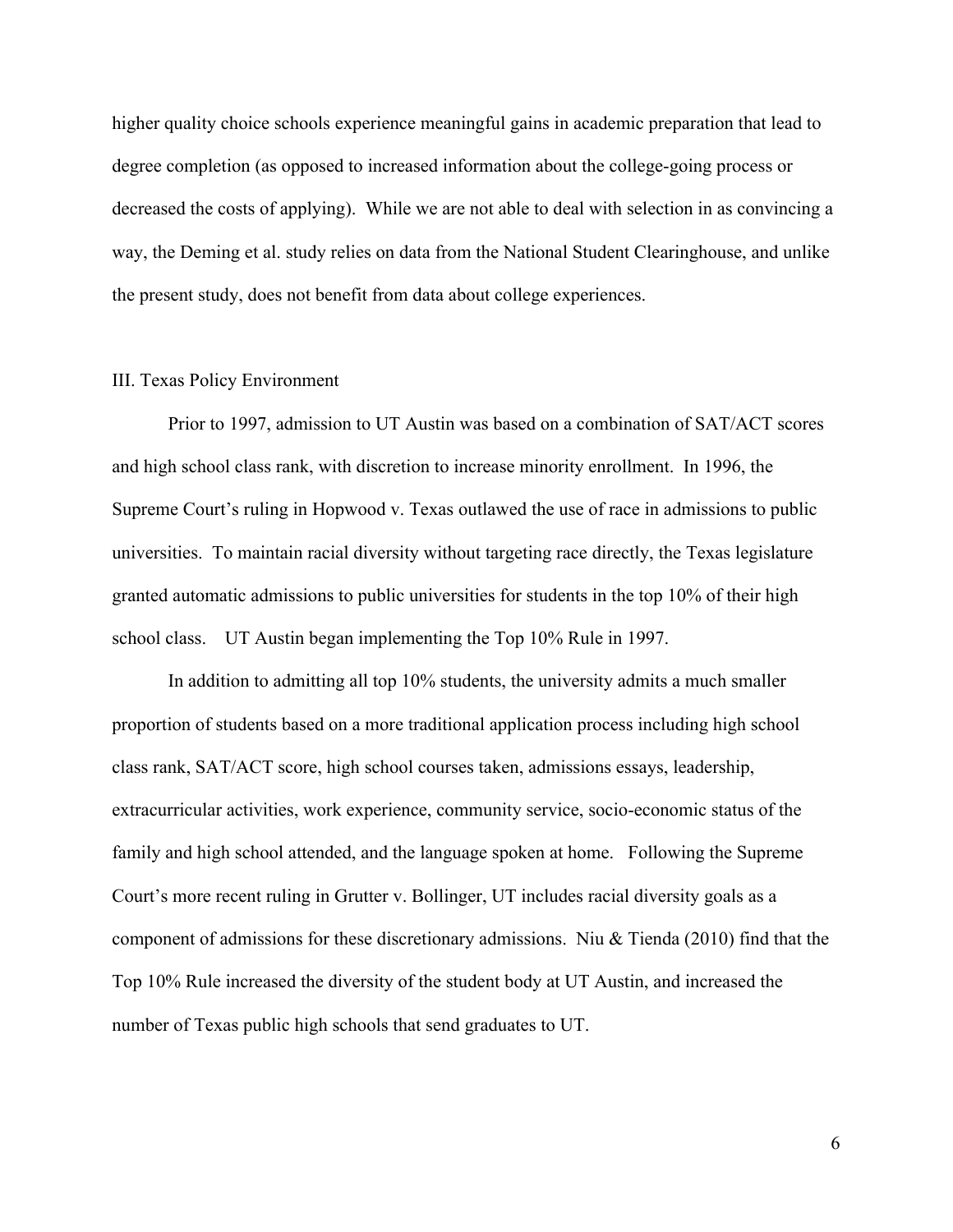higher quality choice schools experience meaningful gains in academic preparation that lead to degree completion (as opposed to increased information about the college-going process or decreased the costs of applying). While we are not able to deal with selection in as convincing a way, the Deming et al. study relies on data from the National Student Clearinghouse, and unlike the present study, does not benefit from data about college experiences.

#### III. Texas Policy Environment

Prior to 1997, admission to UT Austin was based on a combination of SAT/ACT scores and high school class rank, with discretion to increase minority enrollment. In 1996, the Supreme Court's ruling in Hopwood v. Texas outlawed the use of race in admissions to public universities. To maintain racial diversity without targeting race directly, the Texas legislature granted automatic admissions to public universities for students in the top 10% of their high school class. UT Austin began implementing the Top 10% Rule in 1997.

In addition to admitting all top 10% students, the university admits a much smaller proportion of students based on a more traditional application process including high school class rank, SAT/ACT score, high school courses taken, admissions essays, leadership, extracurricular activities, work experience, community service, socio-economic status of the family and high school attended, and the language spoken at home. Following the Supreme Court's more recent ruling in Grutter v. Bollinger, UT includes racial diversity goals as a component of admissions for these discretionary admissions. Niu & Tienda (2010) find that the Top 10% Rule increased the diversity of the student body at UT Austin, and increased the number of Texas public high schools that send graduates to UT.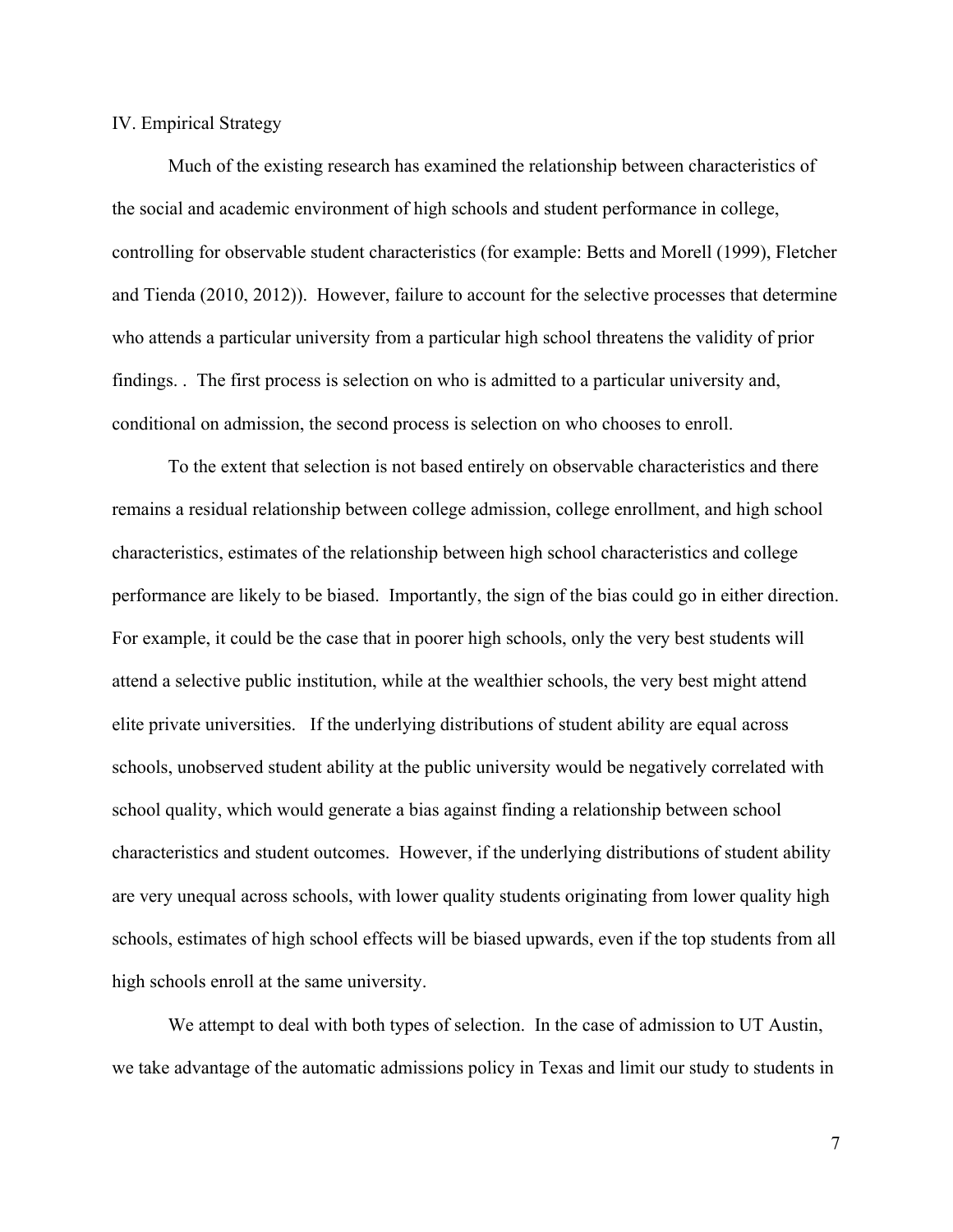IV. Empirical Strategy

Much of the existing research has examined the relationship between characteristics of the social and academic environment of high schools and student performance in college, controlling for observable student characteristics (for example: Betts and Morell (1999), Fletcher and Tienda (2010, 2012)). However, failure to account for the selective processes that determine who attends a particular university from a particular high school threatens the validity of prior findings. . The first process is selection on who is admitted to a particular university and, conditional on admission, the second process is selection on who chooses to enroll.

To the extent that selection is not based entirely on observable characteristics and there remains a residual relationship between college admission, college enrollment, and high school characteristics, estimates of the relationship between high school characteristics and college performance are likely to be biased. Importantly, the sign of the bias could go in either direction. For example, it could be the case that in poorer high schools, only the very best students will attend a selective public institution, while at the wealthier schools, the very best might attend elite private universities. If the underlying distributions of student ability are equal across schools, unobserved student ability at the public university would be negatively correlated with school quality, which would generate a bias against finding a relationship between school characteristics and student outcomes. However, if the underlying distributions of student ability are very unequal across schools, with lower quality students originating from lower quality high schools, estimates of high school effects will be biased upwards, even if the top students from all high schools enroll at the same university.

We attempt to deal with both types of selection. In the case of admission to UT Austin, we take advantage of the automatic admissions policy in Texas and limit our study to students in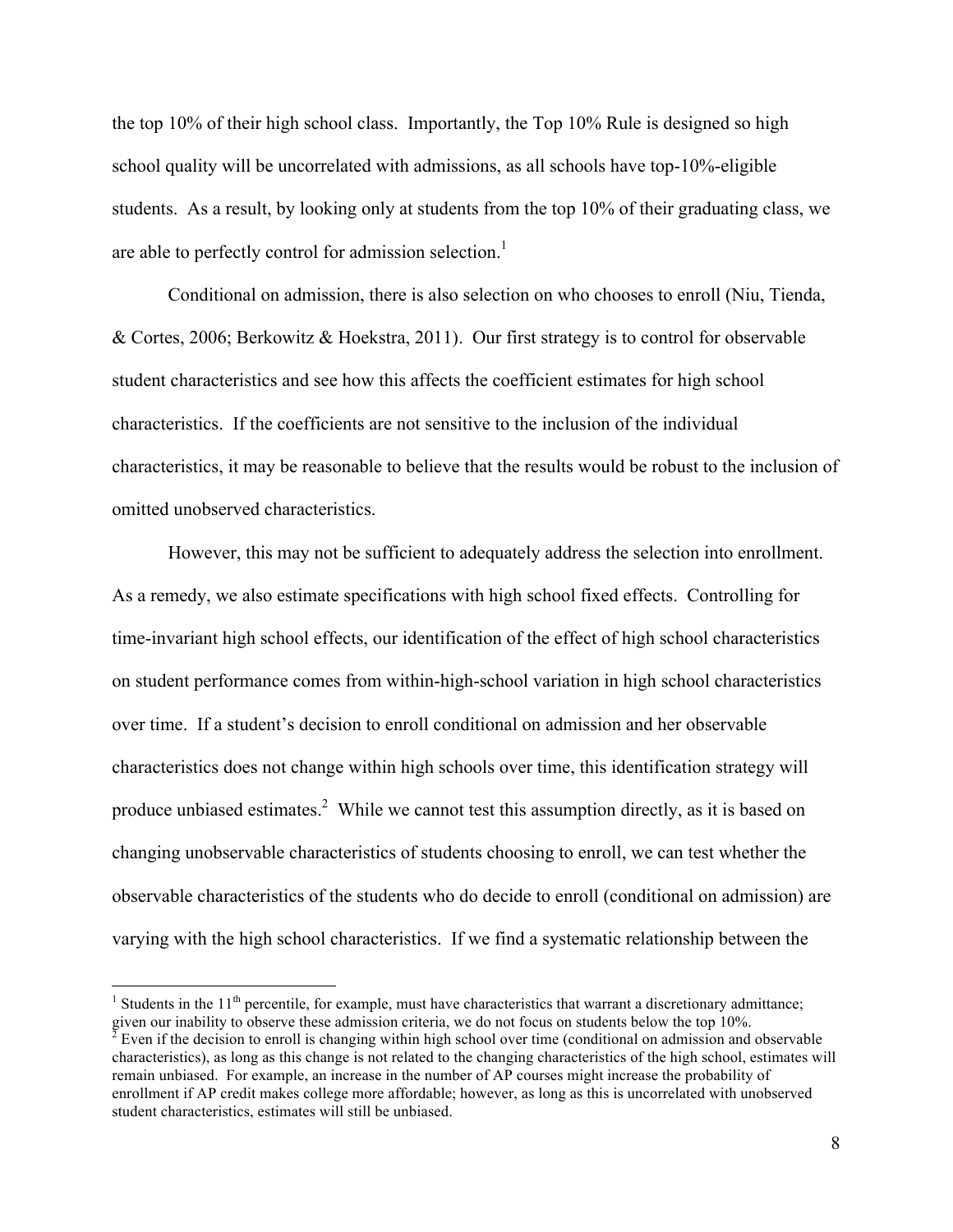the top 10% of their high school class. Importantly, the Top 10% Rule is designed so high school quality will be uncorrelated with admissions, as all schools have top-10%-eligible students. As a result, by looking only at students from the top 10% of their graduating class, we are able to perfectly control for admission selection.<sup>1</sup>

Conditional on admission, there is also selection on who chooses to enroll (Niu, Tienda, & Cortes, 2006; Berkowitz & Hoekstra, 2011). Our first strategy is to control for observable student characteristics and see how this affects the coefficient estimates for high school characteristics. If the coefficients are not sensitive to the inclusion of the individual characteristics, it may be reasonable to believe that the results would be robust to the inclusion of omitted unobserved characteristics.

However, this may not be sufficient to adequately address the selection into enrollment. As a remedy, we also estimate specifications with high school fixed effects. Controlling for time-invariant high school effects, our identification of the effect of high school characteristics on student performance comes from within-high-school variation in high school characteristics over time. If a student's decision to enroll conditional on admission and her observable characteristics does not change within high schools over time, this identification strategy will produce unbiased estimates.<sup>2</sup> While we cannot test this assumption directly, as it is based on changing unobservable characteristics of students choosing to enroll, we can test whether the observable characteristics of the students who do decide to enroll (conditional on admission) are varying with the high school characteristics. If we find a systematic relationship between the

<sup>&</sup>lt;sup>1</sup> Students in the 11<sup>th</sup> percentile, for example, must have characteristics that warrant a discretionary admittance; given our inability to observe these admission criteria, we do not focus on students below the top 10%.

 $\frac{2}{2}$  Even if the decision to enroll is changing within high school over time (conditional on admission and observable characteristics), as long as this change is not related to the changing characteristics of the high school, estimates will remain unbiased. For example, an increase in the number of AP courses might increase the probability of enrollment if AP credit makes college more affordable; however, as long as this is uncorrelated with unobserved student characteristics, estimates will still be unbiased.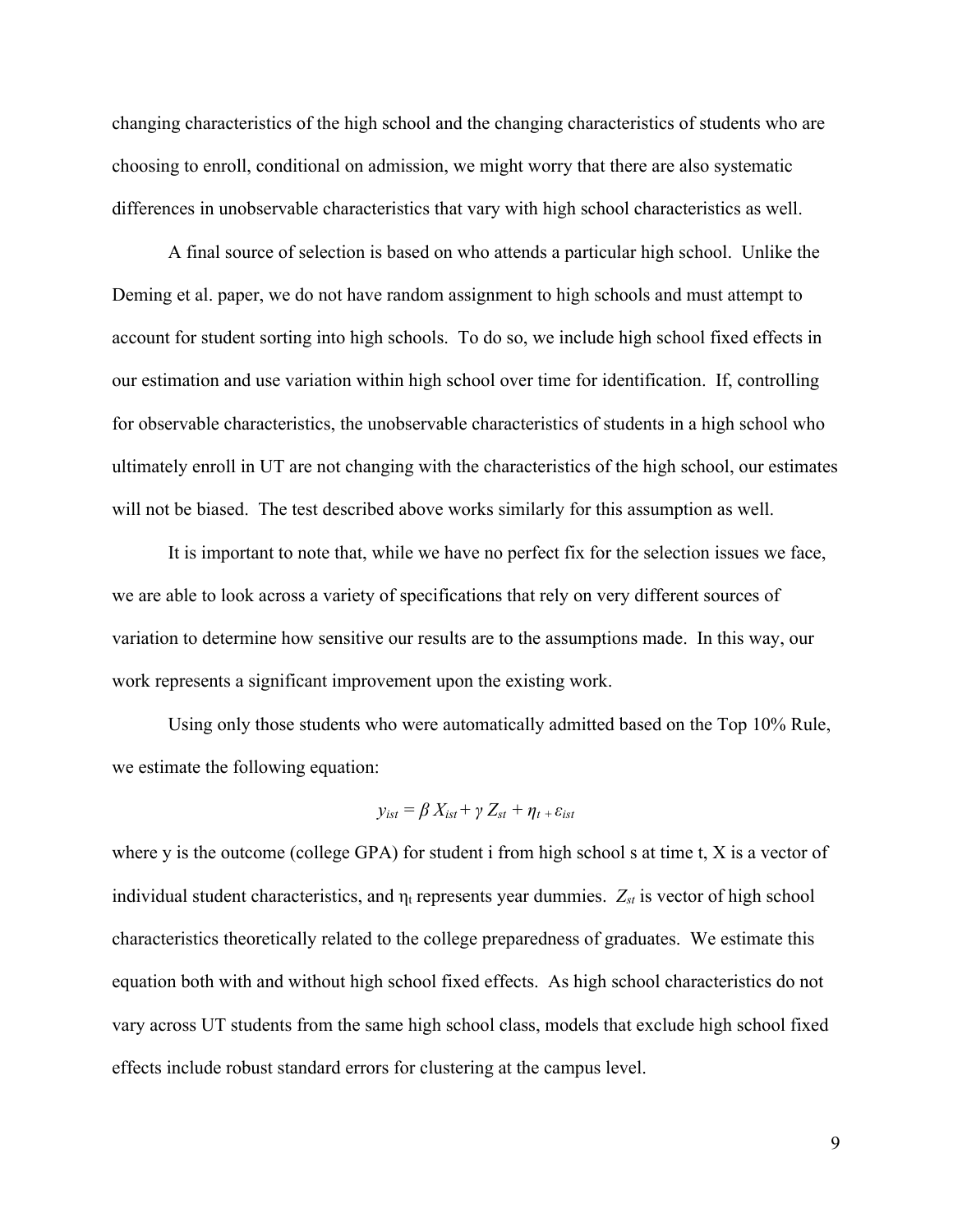changing characteristics of the high school and the changing characteristics of students who are choosing to enroll, conditional on admission, we might worry that there are also systematic differences in unobservable characteristics that vary with high school characteristics as well.

A final source of selection is based on who attends a particular high school. Unlike the Deming et al. paper, we do not have random assignment to high schools and must attempt to account for student sorting into high schools. To do so, we include high school fixed effects in our estimation and use variation within high school over time for identification. If, controlling for observable characteristics, the unobservable characteristics of students in a high school who ultimately enroll in UT are not changing with the characteristics of the high school, our estimates will not be biased. The test described above works similarly for this assumption as well.

It is important to note that, while we have no perfect fix for the selection issues we face, we are able to look across a variety of specifications that rely on very different sources of variation to determine how sensitive our results are to the assumptions made. In this way, our work represents a significant improvement upon the existing work.

Using only those students who were automatically admitted based on the Top 10% Rule, we estimate the following equation:

$$
y_{ist} = \beta X_{ist} + \gamma Z_{st} + \eta_{t} + \varepsilon_{ist}
$$

where y is the outcome (college GPA) for student i from high school s at time t, X is a vector of individual student characteristics, and  $\eta_t$  represents year dummies.  $Z_{st}$  is vector of high school characteristics theoretically related to the college preparedness of graduates. We estimate this equation both with and without high school fixed effects. As high school characteristics do not vary across UT students from the same high school class, models that exclude high school fixed effects include robust standard errors for clustering at the campus level.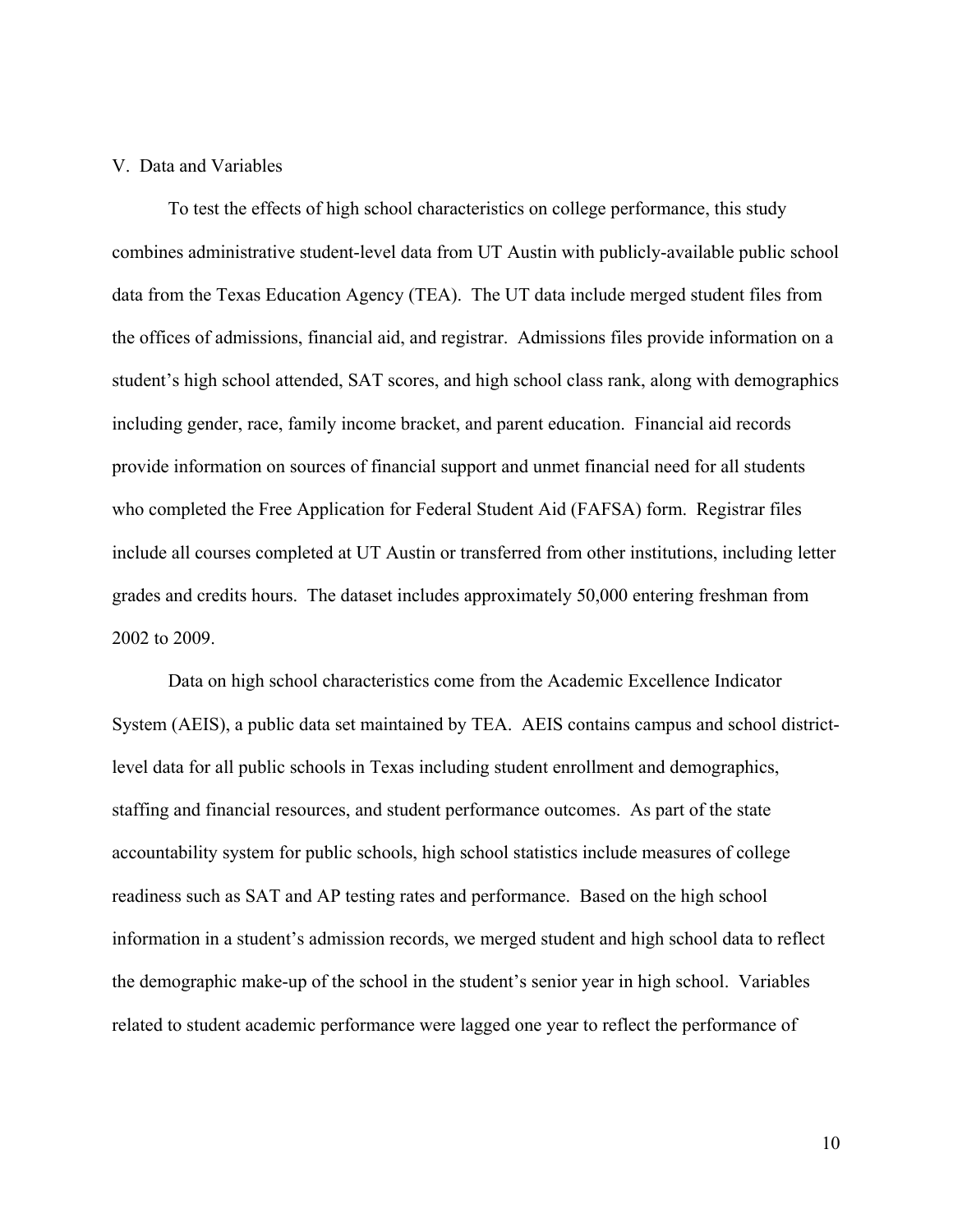#### V. Data and Variables

To test the effects of high school characteristics on college performance, this study combines administrative student-level data from UT Austin with publicly-available public school data from the Texas Education Agency (TEA). The UT data include merged student files from the offices of admissions, financial aid, and registrar. Admissions files provide information on a student's high school attended, SAT scores, and high school class rank, along with demographics including gender, race, family income bracket, and parent education. Financial aid records provide information on sources of financial support and unmet financial need for all students who completed the Free Application for Federal Student Aid (FAFSA) form. Registrar files include all courses completed at UT Austin or transferred from other institutions, including letter grades and credits hours. The dataset includes approximately 50,000 entering freshman from 2002 to 2009.

Data on high school characteristics come from the Academic Excellence Indicator System (AEIS), a public data set maintained by TEA. AEIS contains campus and school districtlevel data for all public schools in Texas including student enrollment and demographics, staffing and financial resources, and student performance outcomes. As part of the state accountability system for public schools, high school statistics include measures of college readiness such as SAT and AP testing rates and performance. Based on the high school information in a student's admission records, we merged student and high school data to reflect the demographic make-up of the school in the student's senior year in high school. Variables related to student academic performance were lagged one year to reflect the performance of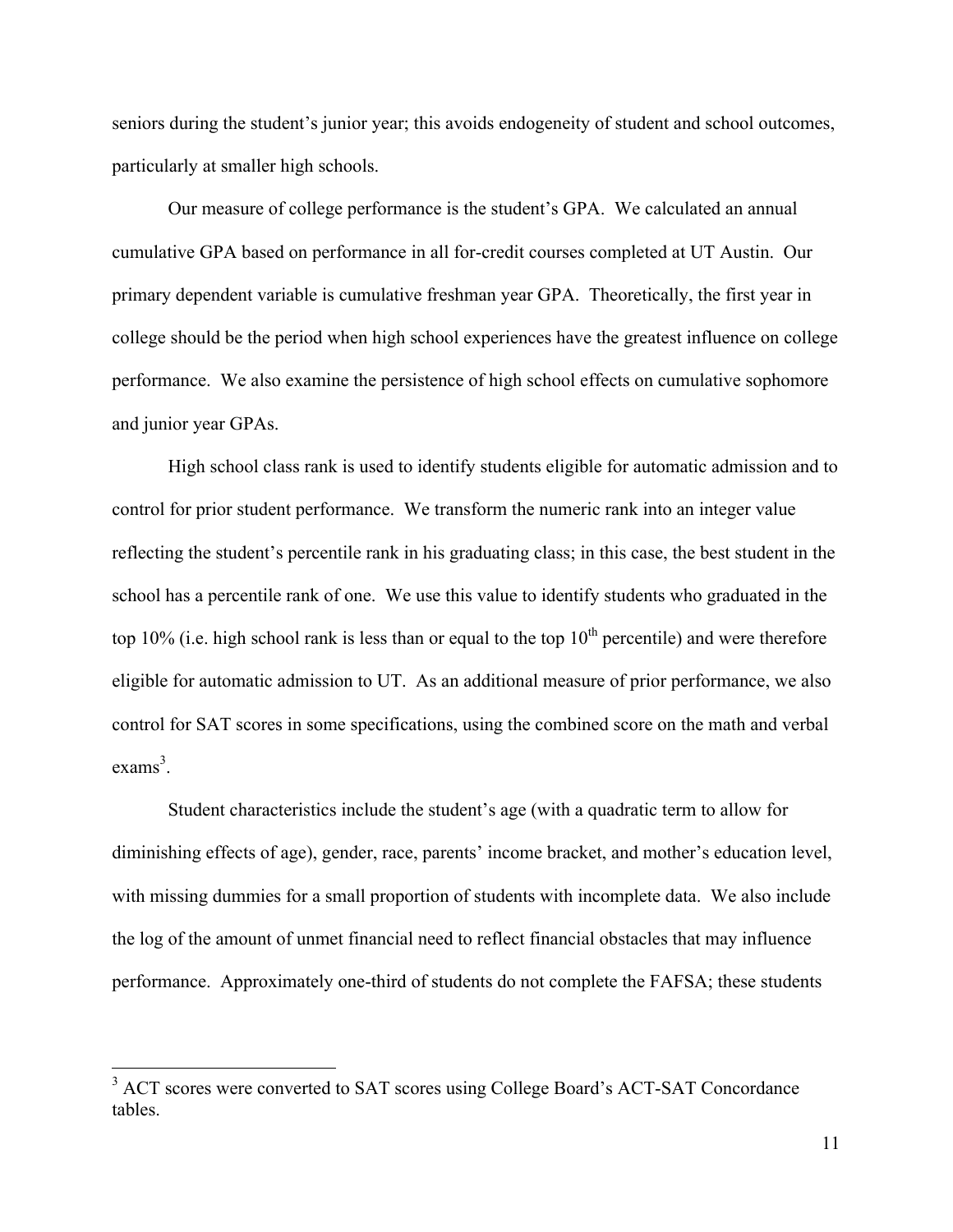seniors during the student's junior year; this avoids endogeneity of student and school outcomes, particularly at smaller high schools.

Our measure of college performance is the student's GPA. We calculated an annual cumulative GPA based on performance in all for-credit courses completed at UT Austin. Our primary dependent variable is cumulative freshman year GPA. Theoretically, the first year in college should be the period when high school experiences have the greatest influence on college performance. We also examine the persistence of high school effects on cumulative sophomore and junior year GPAs.

High school class rank is used to identify students eligible for automatic admission and to control for prior student performance. We transform the numeric rank into an integer value reflecting the student's percentile rank in his graduating class; in this case, the best student in the school has a percentile rank of one. We use this value to identify students who graduated in the top 10% (i.e. high school rank is less than or equal to the top  $10<sup>th</sup>$  percentile) and were therefore eligible for automatic admission to UT. As an additional measure of prior performance, we also control for SAT scores in some specifications, using the combined score on the math and verbal exams<sup>3</sup>.

Student characteristics include the student's age (with a quadratic term to allow for diminishing effects of age), gender, race, parents' income bracket, and mother's education level, with missing dummies for a small proportion of students with incomplete data. We also include the log of the amount of unmet financial need to reflect financial obstacles that may influence performance. Approximately one-third of students do not complete the FAFSA; these students

<sup>&</sup>lt;sup>3</sup> ACT scores were converted to SAT scores using College Board's ACT-SAT Concordance tables.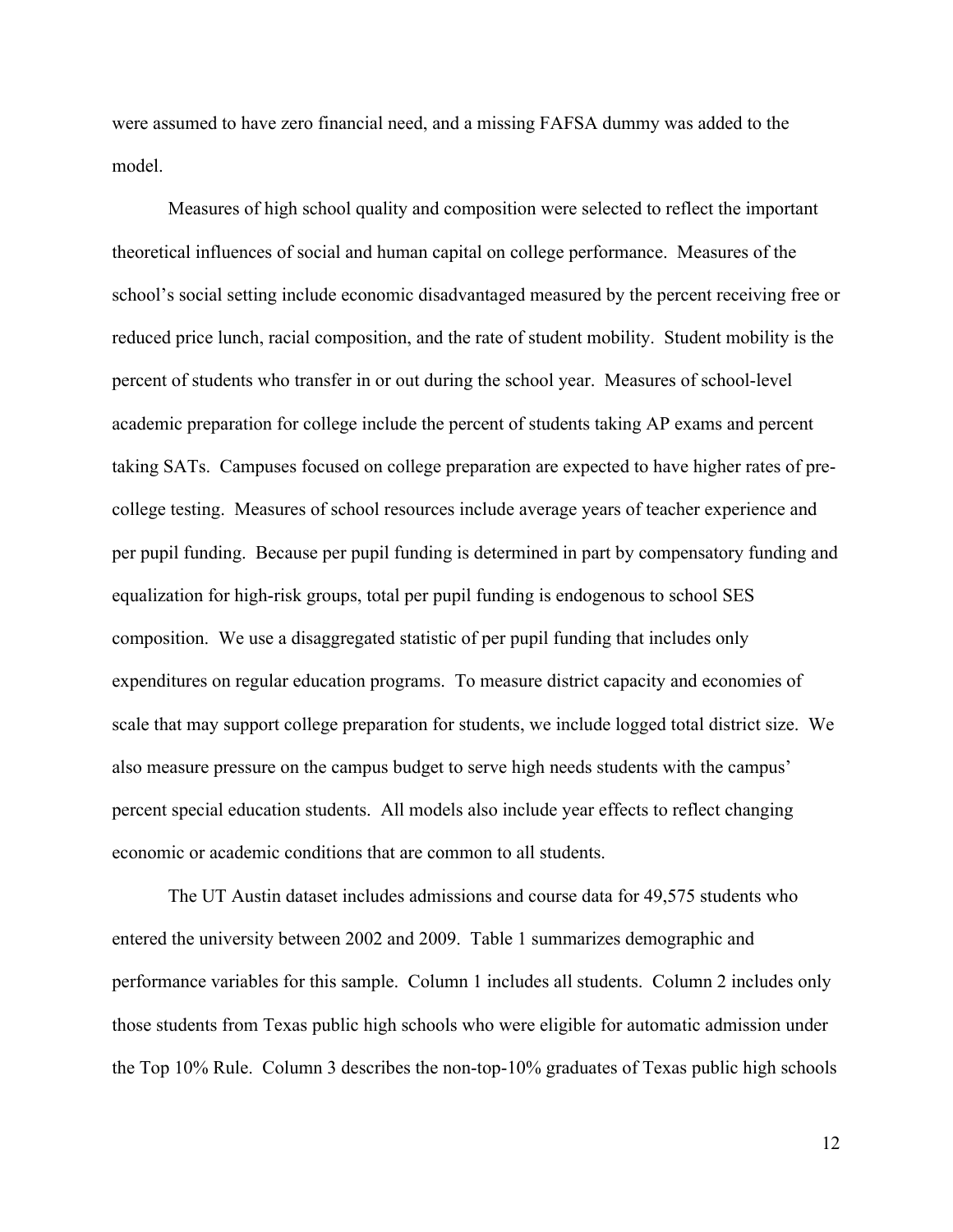were assumed to have zero financial need, and a missing FAFSA dummy was added to the model.

Measures of high school quality and composition were selected to reflect the important theoretical influences of social and human capital on college performance. Measures of the school's social setting include economic disadvantaged measured by the percent receiving free or reduced price lunch, racial composition, and the rate of student mobility. Student mobility is the percent of students who transfer in or out during the school year. Measures of school-level academic preparation for college include the percent of students taking AP exams and percent taking SATs. Campuses focused on college preparation are expected to have higher rates of precollege testing. Measures of school resources include average years of teacher experience and per pupil funding. Because per pupil funding is determined in part by compensatory funding and equalization for high-risk groups, total per pupil funding is endogenous to school SES composition. We use a disaggregated statistic of per pupil funding that includes only expenditures on regular education programs. To measure district capacity and economies of scale that may support college preparation for students, we include logged total district size. We also measure pressure on the campus budget to serve high needs students with the campus' percent special education students. All models also include year effects to reflect changing economic or academic conditions that are common to all students.

The UT Austin dataset includes admissions and course data for 49,575 students who entered the university between 2002 and 2009. Table 1 summarizes demographic and performance variables for this sample. Column 1 includes all students. Column 2 includes only those students from Texas public high schools who were eligible for automatic admission under the Top 10% Rule. Column 3 describes the non-top-10% graduates of Texas public high schools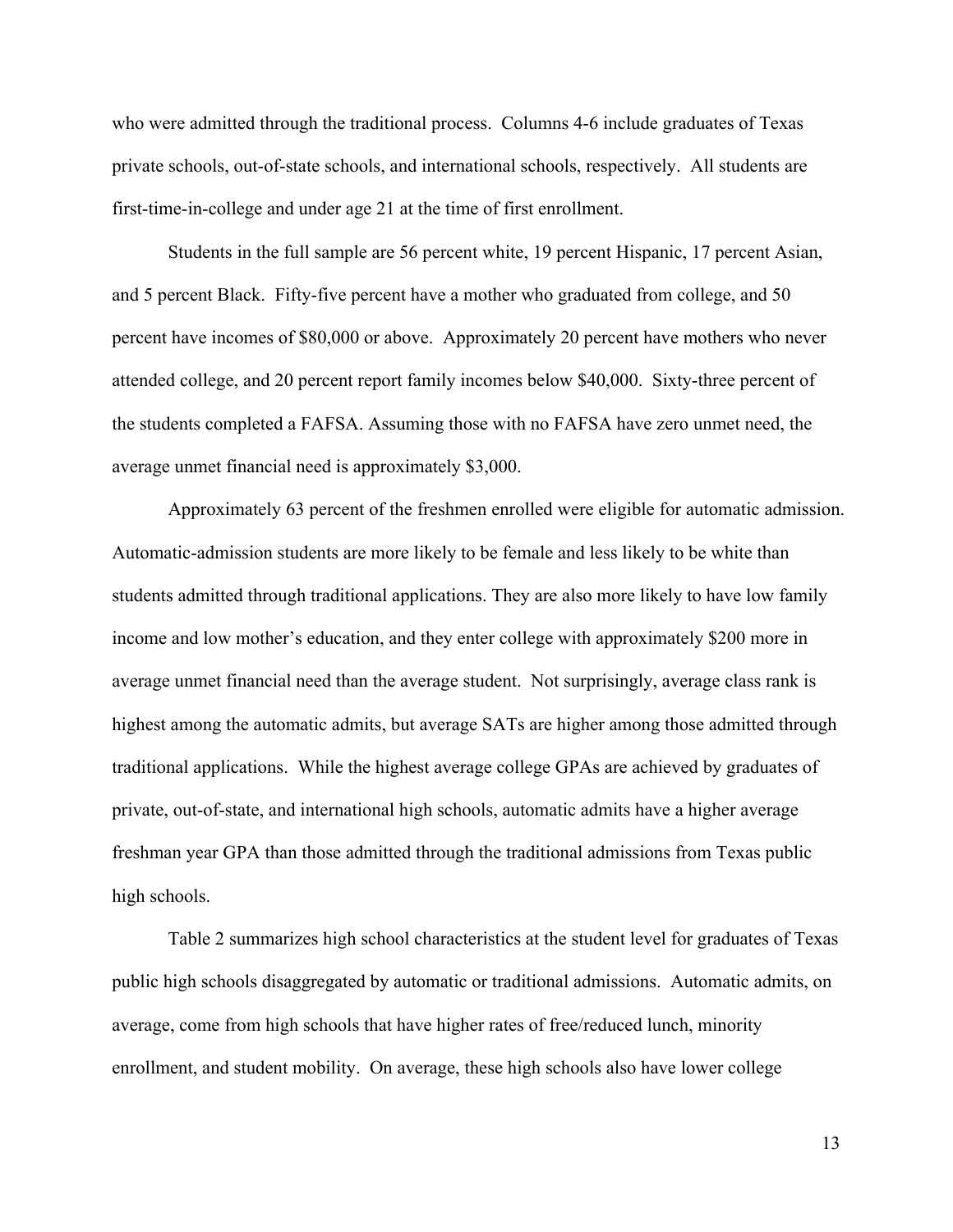who were admitted through the traditional process. Columns 4-6 include graduates of Texas private schools, out-of-state schools, and international schools, respectively. All students are first-time-in-college and under age 21 at the time of first enrollment.

Students in the full sample are 56 percent white, 19 percent Hispanic, 17 percent Asian, and 5 percent Black. Fifty-five percent have a mother who graduated from college, and 50 percent have incomes of \$80,000 or above. Approximately 20 percent have mothers who never attended college, and 20 percent report family incomes below \$40,000. Sixty-three percent of the students completed a FAFSA. Assuming those with no FAFSA have zero unmet need, the average unmet financial need is approximately \$3,000.

Approximately 63 percent of the freshmen enrolled were eligible for automatic admission. Automatic-admission students are more likely to be female and less likely to be white than students admitted through traditional applications. They are also more likely to have low family income and low mother's education, and they enter college with approximately \$200 more in average unmet financial need than the average student. Not surprisingly, average class rank is highest among the automatic admits, but average SATs are higher among those admitted through traditional applications. While the highest average college GPAs are achieved by graduates of private, out-of-state, and international high schools, automatic admits have a higher average freshman year GPA than those admitted through the traditional admissions from Texas public high schools.

Table 2 summarizes high school characteristics at the student level for graduates of Texas public high schools disaggregated by automatic or traditional admissions. Automatic admits, on average, come from high schools that have higher rates of free/reduced lunch, minority enrollment, and student mobility. On average, these high schools also have lower college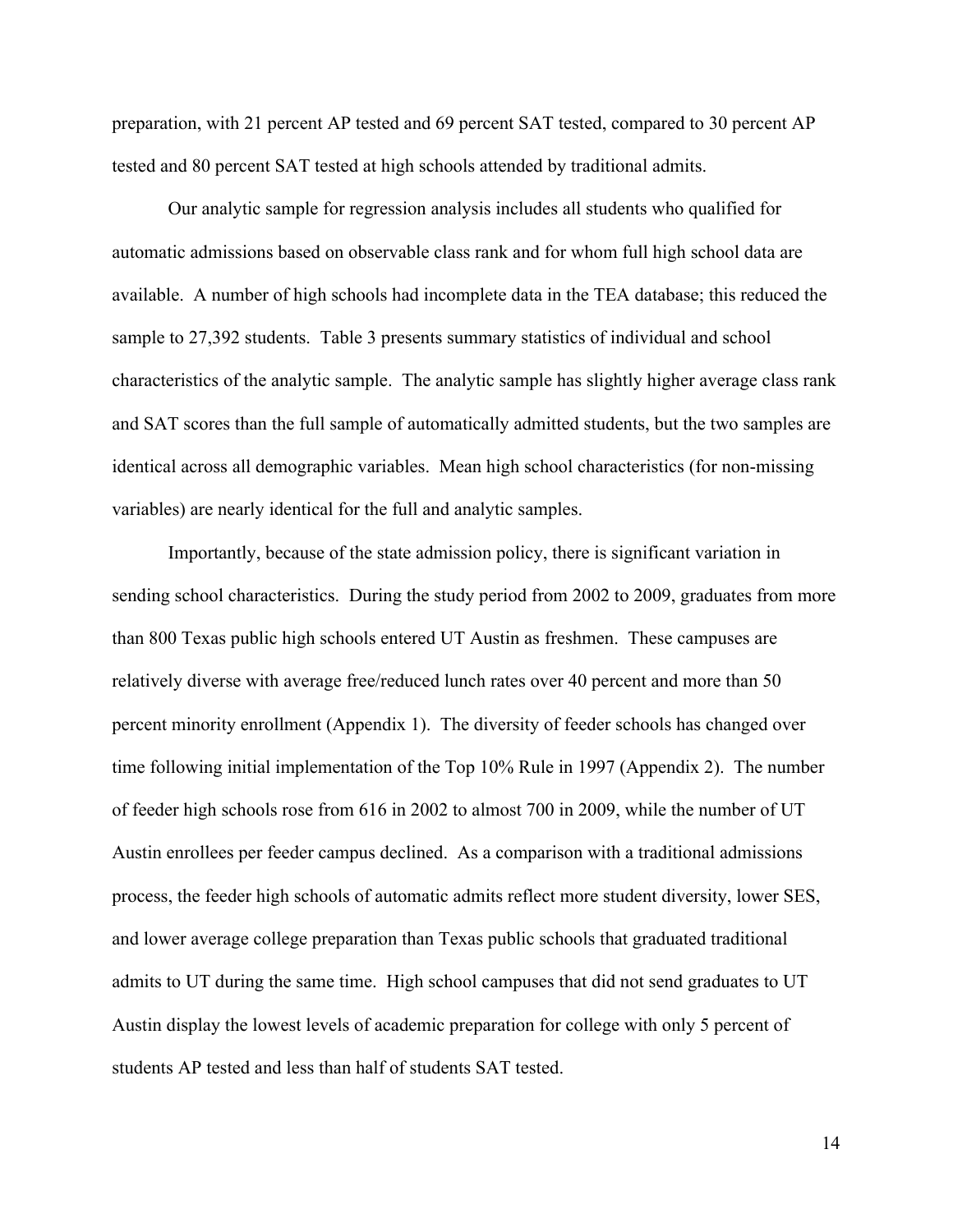preparation, with 21 percent AP tested and 69 percent SAT tested, compared to 30 percent AP tested and 80 percent SAT tested at high schools attended by traditional admits.

Our analytic sample for regression analysis includes all students who qualified for automatic admissions based on observable class rank and for whom full high school data are available. A number of high schools had incomplete data in the TEA database; this reduced the sample to 27,392 students. Table 3 presents summary statistics of individual and school characteristics of the analytic sample. The analytic sample has slightly higher average class rank and SAT scores than the full sample of automatically admitted students, but the two samples are identical across all demographic variables. Mean high school characteristics (for non-missing variables) are nearly identical for the full and analytic samples.

Importantly, because of the state admission policy, there is significant variation in sending school characteristics. During the study period from 2002 to 2009, graduates from more than 800 Texas public high schools entered UT Austin as freshmen. These campuses are relatively diverse with average free/reduced lunch rates over 40 percent and more than 50 percent minority enrollment (Appendix 1). The diversity of feeder schools has changed over time following initial implementation of the Top 10% Rule in 1997 (Appendix 2). The number of feeder high schools rose from 616 in 2002 to almost 700 in 2009, while the number of UT Austin enrollees per feeder campus declined. As a comparison with a traditional admissions process, the feeder high schools of automatic admits reflect more student diversity, lower SES, and lower average college preparation than Texas public schools that graduated traditional admits to UT during the same time. High school campuses that did not send graduates to UT Austin display the lowest levels of academic preparation for college with only 5 percent of students AP tested and less than half of students SAT tested.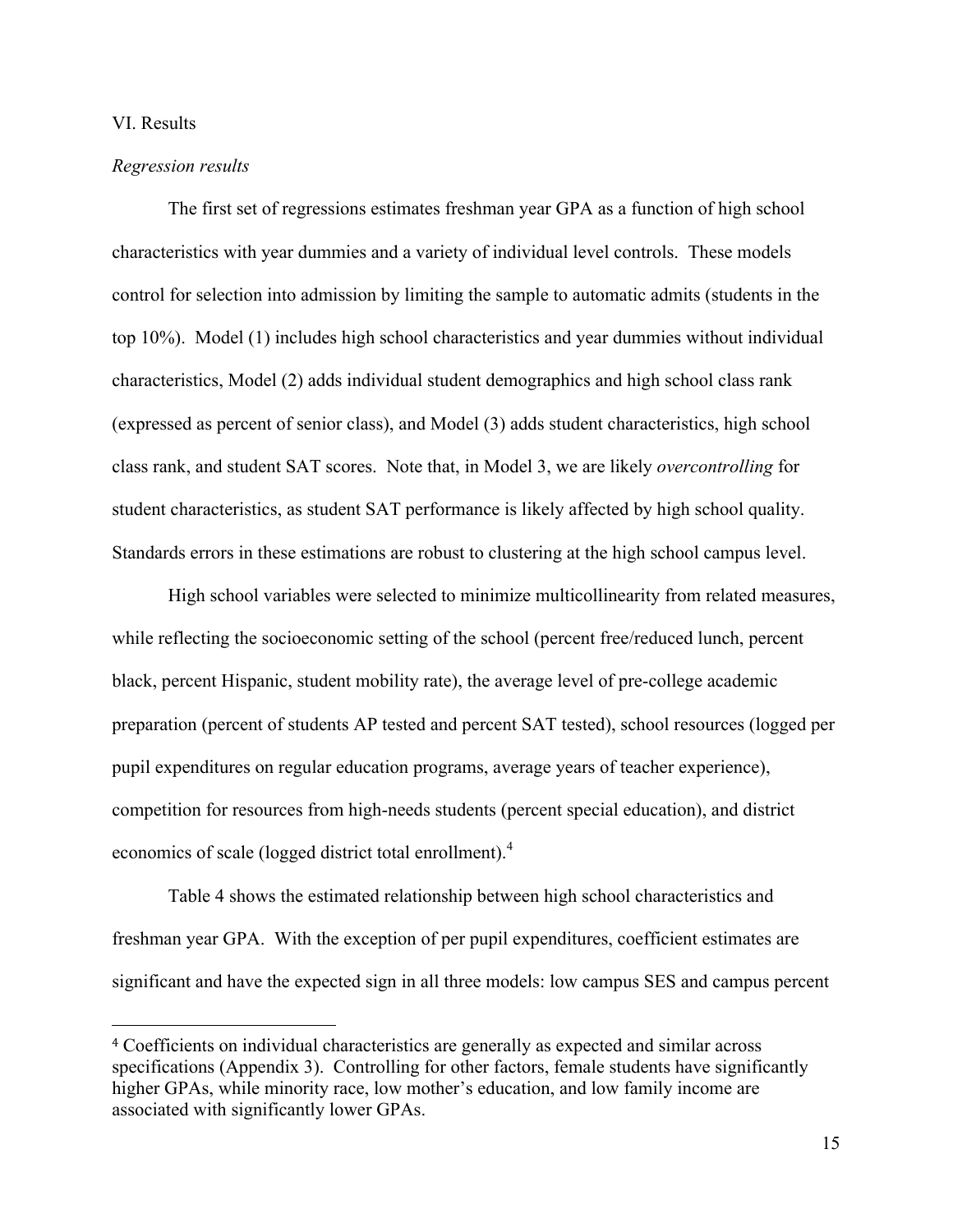#### VI. Results

#### *Regression results*

 

The first set of regressions estimates freshman year GPA as a function of high school characteristics with year dummies and a variety of individual level controls. These models control for selection into admission by limiting the sample to automatic admits (students in the top 10%). Model (1) includes high school characteristics and year dummies without individual characteristics, Model (2) adds individual student demographics and high school class rank (expressed as percent of senior class), and Model (3) adds student characteristics, high school class rank, and student SAT scores. Note that, in Model 3, we are likely *overcontrolling* for student characteristics, as student SAT performance is likely affected by high school quality. Standards errors in these estimations are robust to clustering at the high school campus level.

High school variables were selected to minimize multicollinearity from related measures, while reflecting the socioeconomic setting of the school (percent free/reduced lunch, percent black, percent Hispanic, student mobility rate), the average level of pre-college academic preparation (percent of students AP tested and percent SAT tested), school resources (logged per pupil expenditures on regular education programs, average years of teacher experience), competition for resources from high-needs students (percent special education), and district economics of scale (logged district total enrollment).<sup>4</sup>

Table 4 shows the estimated relationship between high school characteristics and freshman year GPA. With the exception of per pupil expenditures, coefficient estimates are significant and have the expected sign in all three models: low campus SES and campus percent

<sup>4</sup> Coefficients on individual characteristics are generally as expected and similar across specifications (Appendix 3). Controlling for other factors, female students have significantly higher GPAs, while minority race, low mother's education, and low family income are associated with significantly lower GPAs.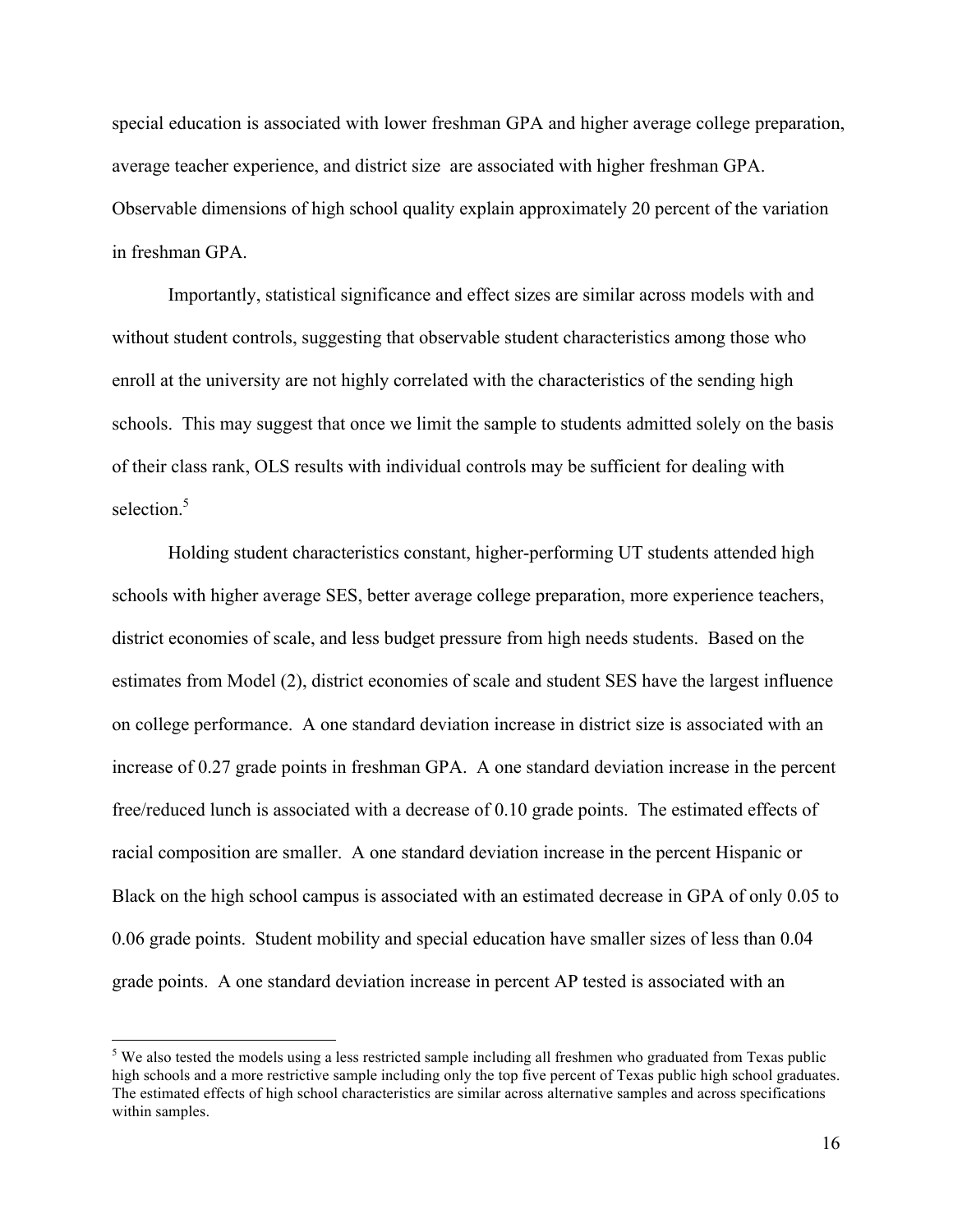special education is associated with lower freshman GPA and higher average college preparation, average teacher experience, and district size are associated with higher freshman GPA. Observable dimensions of high school quality explain approximately 20 percent of the variation in freshman GPA.

Importantly, statistical significance and effect sizes are similar across models with and without student controls, suggesting that observable student characteristics among those who enroll at the university are not highly correlated with the characteristics of the sending high schools. This may suggest that once we limit the sample to students admitted solely on the basis of their class rank, OLS results with individual controls may be sufficient for dealing with selection $5$ 

Holding student characteristics constant, higher-performing UT students attended high schools with higher average SES, better average college preparation, more experience teachers, district economies of scale, and less budget pressure from high needs students. Based on the estimates from Model (2), district economies of scale and student SES have the largest influence on college performance. A one standard deviation increase in district size is associated with an increase of 0.27 grade points in freshman GPA. A one standard deviation increase in the percent free/reduced lunch is associated with a decrease of 0.10 grade points. The estimated effects of racial composition are smaller. A one standard deviation increase in the percent Hispanic or Black on the high school campus is associated with an estimated decrease in GPA of only 0.05 to 0.06 grade points. Student mobility and special education have smaller sizes of less than 0.04 grade points. A one standard deviation increase in percent AP tested is associated with an

<sup>&</sup>lt;sup>5</sup> We also tested the models using a less restricted sample including all freshmen who graduated from Texas public high schools and a more restrictive sample including only the top five percent of Texas public high school graduates. The estimated effects of high school characteristics are similar across alternative samples and across specifications within samples.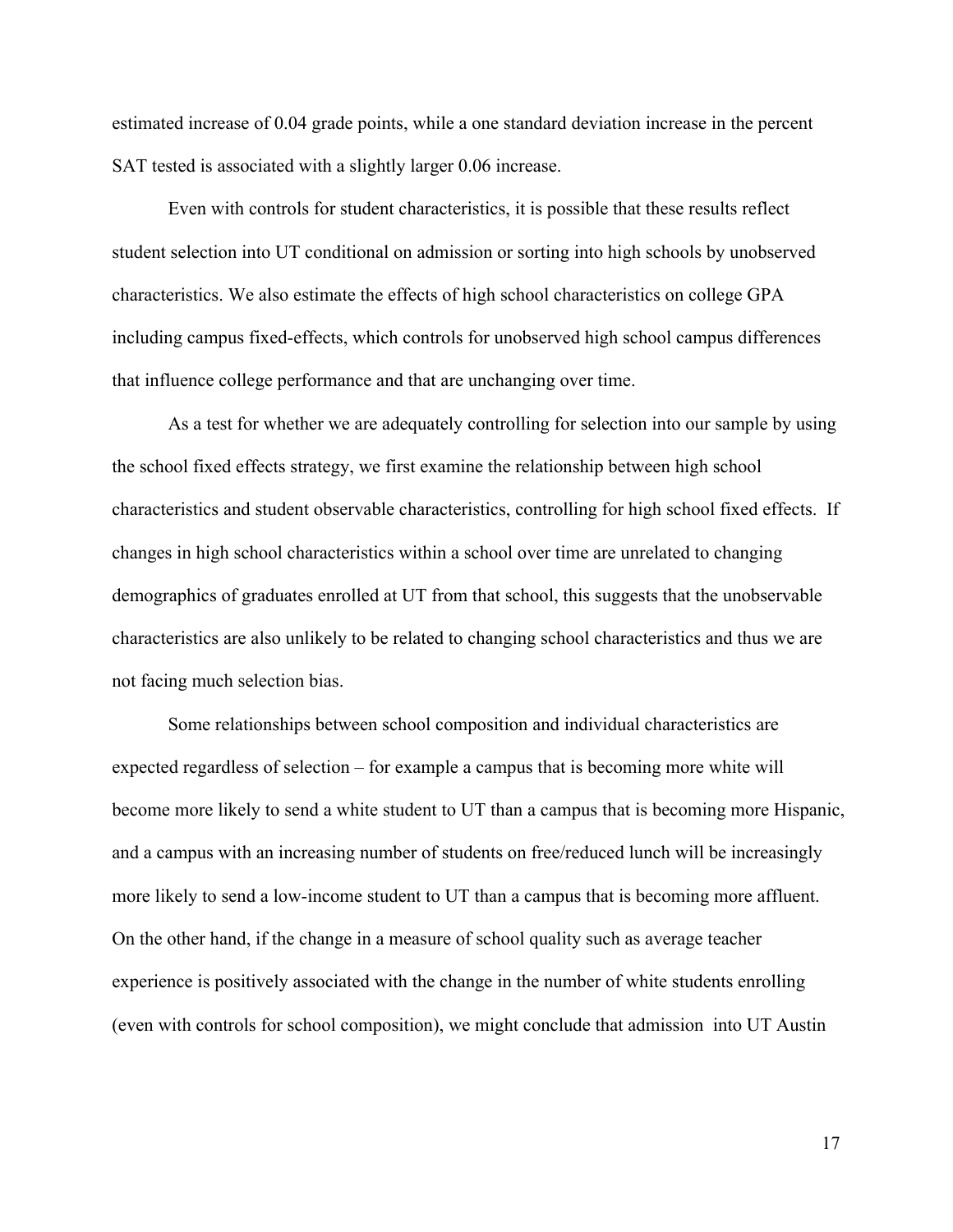estimated increase of 0.04 grade points, while a one standard deviation increase in the percent SAT tested is associated with a slightly larger 0.06 increase.

Even with controls for student characteristics, it is possible that these results reflect student selection into UT conditional on admission or sorting into high schools by unobserved characteristics. We also estimate the effects of high school characteristics on college GPA including campus fixed-effects, which controls for unobserved high school campus differences that influence college performance and that are unchanging over time.

As a test for whether we are adequately controlling for selection into our sample by using the school fixed effects strategy, we first examine the relationship between high school characteristics and student observable characteristics, controlling for high school fixed effects. If changes in high school characteristics within a school over time are unrelated to changing demographics of graduates enrolled at UT from that school, this suggests that the unobservable characteristics are also unlikely to be related to changing school characteristics and thus we are not facing much selection bias.

Some relationships between school composition and individual characteristics are expected regardless of selection – for example a campus that is becoming more white will become more likely to send a white student to UT than a campus that is becoming more Hispanic, and a campus with an increasing number of students on free/reduced lunch will be increasingly more likely to send a low-income student to UT than a campus that is becoming more affluent. On the other hand, if the change in a measure of school quality such as average teacher experience is positively associated with the change in the number of white students enrolling (even with controls for school composition), we might conclude that admission into UT Austin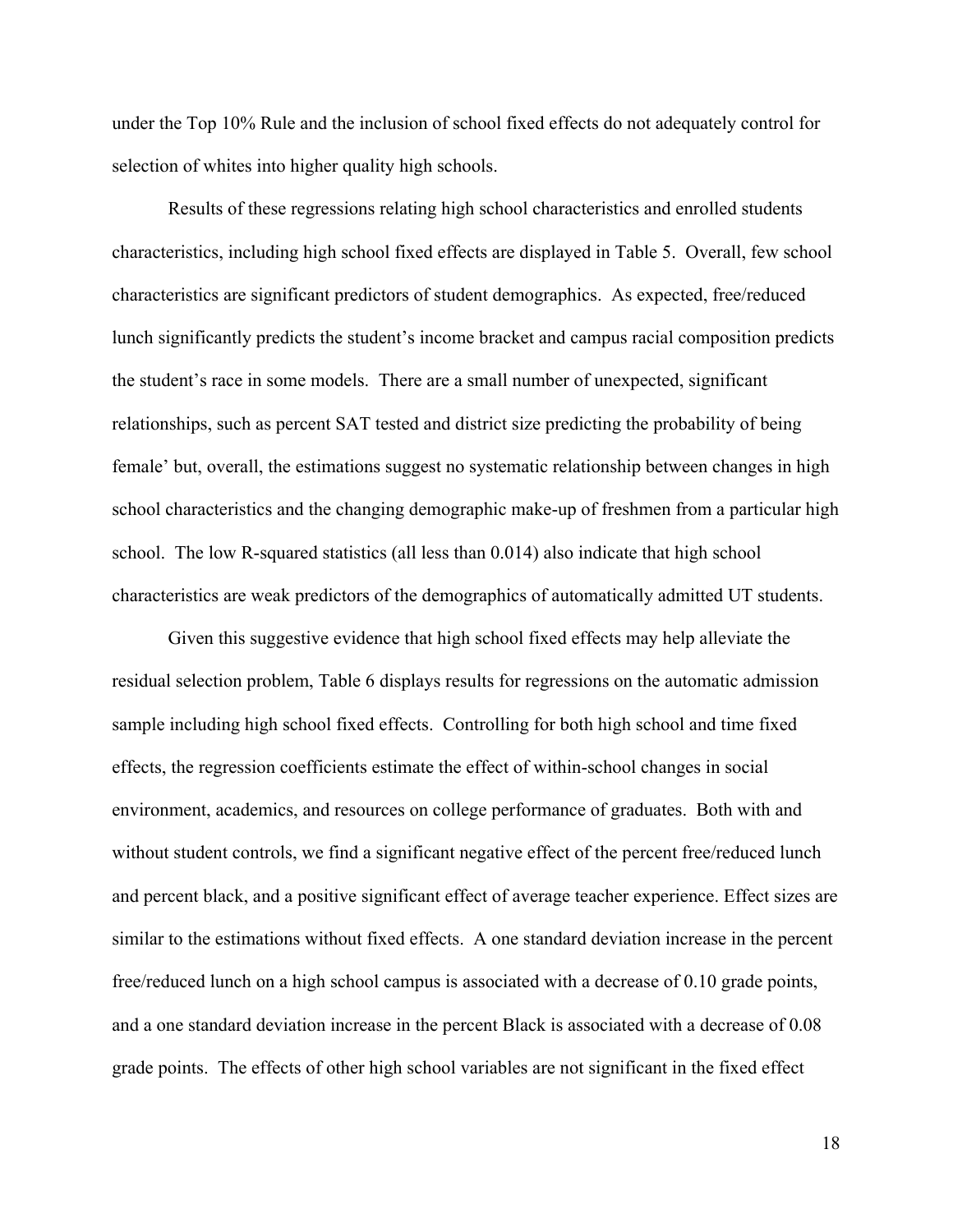under the Top 10% Rule and the inclusion of school fixed effects do not adequately control for selection of whites into higher quality high schools.

Results of these regressions relating high school characteristics and enrolled students characteristics, including high school fixed effects are displayed in Table 5. Overall, few school characteristics are significant predictors of student demographics. As expected, free/reduced lunch significantly predicts the student's income bracket and campus racial composition predicts the student's race in some models. There are a small number of unexpected, significant relationships, such as percent SAT tested and district size predicting the probability of being female' but, overall, the estimations suggest no systematic relationship between changes in high school characteristics and the changing demographic make-up of freshmen from a particular high school. The low R-squared statistics (all less than 0.014) also indicate that high school characteristics are weak predictors of the demographics of automatically admitted UT students.

Given this suggestive evidence that high school fixed effects may help alleviate the residual selection problem, Table 6 displays results for regressions on the automatic admission sample including high school fixed effects. Controlling for both high school and time fixed effects, the regression coefficients estimate the effect of within-school changes in social environment, academics, and resources on college performance of graduates. Both with and without student controls, we find a significant negative effect of the percent free/reduced lunch and percent black, and a positive significant effect of average teacher experience. Effect sizes are similar to the estimations without fixed effects. A one standard deviation increase in the percent free/reduced lunch on a high school campus is associated with a decrease of 0.10 grade points, and a one standard deviation increase in the percent Black is associated with a decrease of 0.08 grade points. The effects of other high school variables are not significant in the fixed effect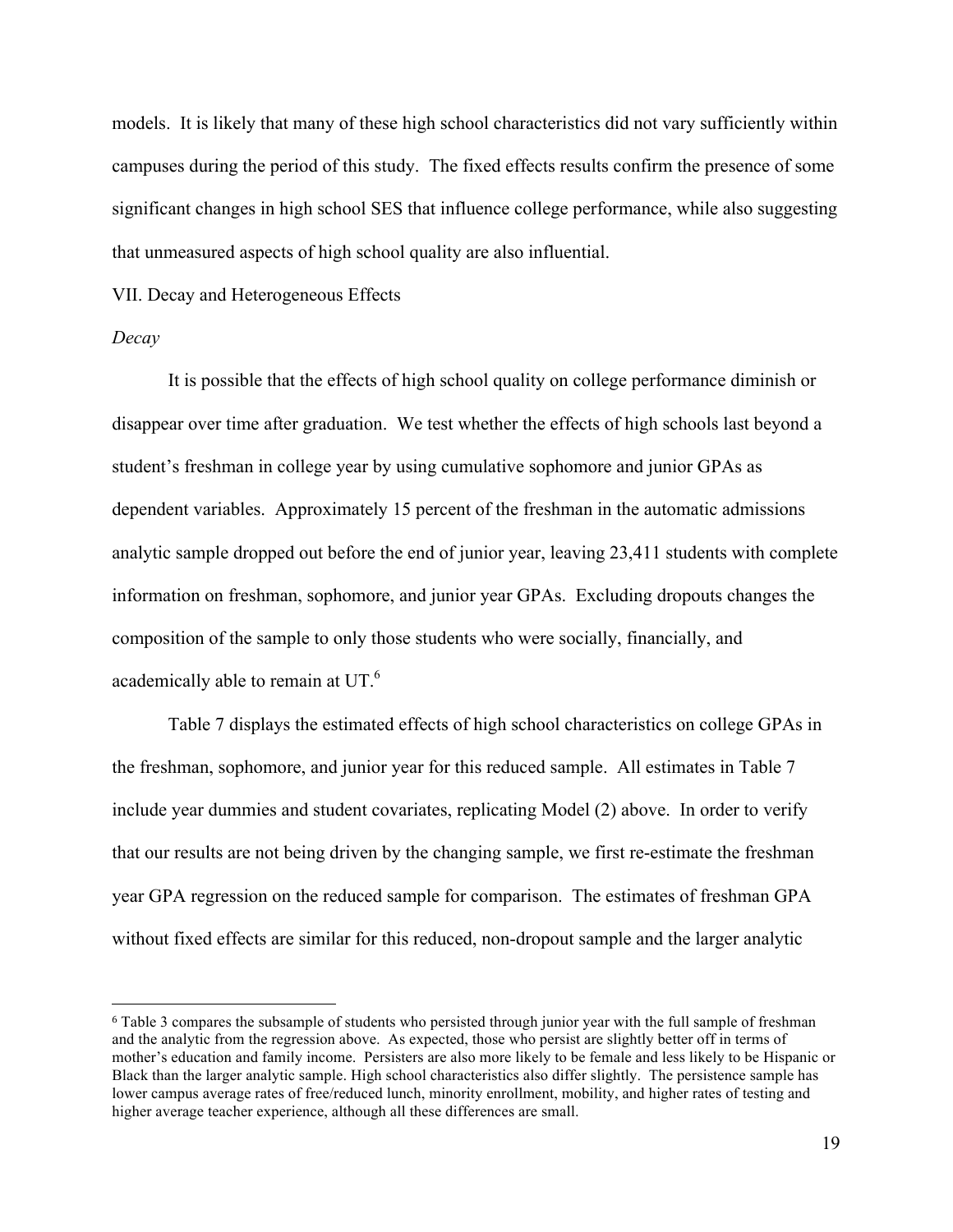models. It is likely that many of these high school characteristics did not vary sufficiently within campuses during the period of this study. The fixed effects results confirm the presence of some significant changes in high school SES that influence college performance, while also suggesting that unmeasured aspects of high school quality are also influential.

VII. Decay and Heterogeneous Effects

 

#### *Decay*

It is possible that the effects of high school quality on college performance diminish or disappear over time after graduation. We test whether the effects of high schools last beyond a student's freshman in college year by using cumulative sophomore and junior GPAs as dependent variables. Approximately 15 percent of the freshman in the automatic admissions analytic sample dropped out before the end of junior year, leaving 23,411 students with complete information on freshman, sophomore, and junior year GPAs. Excluding dropouts changes the composition of the sample to only those students who were socially, financially, and academically able to remain at UT.6

Table 7 displays the estimated effects of high school characteristics on college GPAs in the freshman, sophomore, and junior year for this reduced sample. All estimates in Table 7 include year dummies and student covariates, replicating Model (2) above. In order to verify that our results are not being driven by the changing sample, we first re-estimate the freshman year GPA regression on the reduced sample for comparison. The estimates of freshman GPA without fixed effects are similar for this reduced, non-dropout sample and the larger analytic

<sup>6</sup> Table 3 compares the subsample of students who persisted through junior year with the full sample of freshman and the analytic from the regression above. As expected, those who persist are slightly better off in terms of mother's education and family income. Persisters are also more likely to be female and less likely to be Hispanic or Black than the larger analytic sample. High school characteristics also differ slightly. The persistence sample has lower campus average rates of free/reduced lunch, minority enrollment, mobility, and higher rates of testing and higher average teacher experience, although all these differences are small.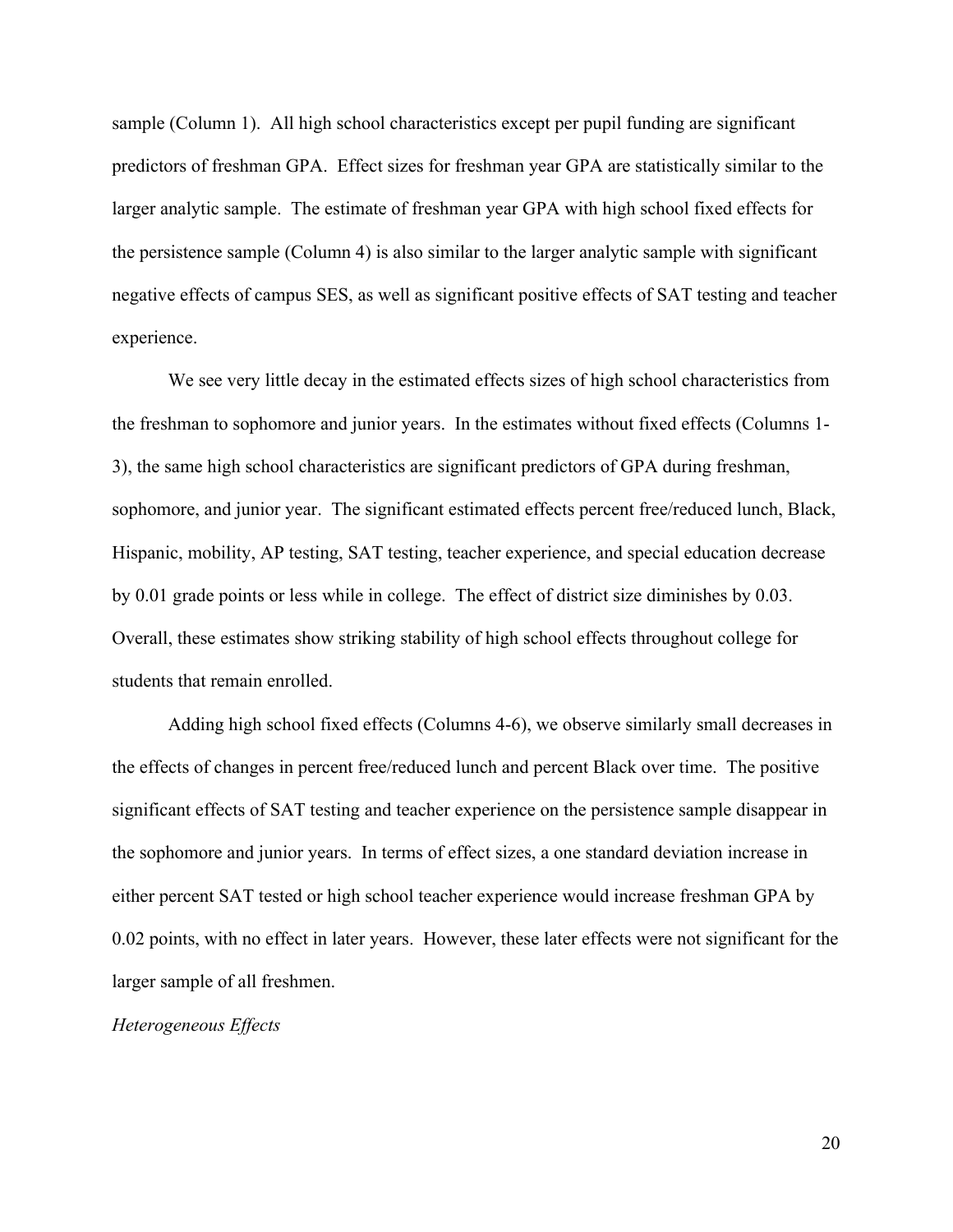sample (Column 1). All high school characteristics except per pupil funding are significant predictors of freshman GPA. Effect sizes for freshman year GPA are statistically similar to the larger analytic sample. The estimate of freshman year GPA with high school fixed effects for the persistence sample (Column 4) is also similar to the larger analytic sample with significant negative effects of campus SES, as well as significant positive effects of SAT testing and teacher experience.

We see very little decay in the estimated effects sizes of high school characteristics from the freshman to sophomore and junior years. In the estimates without fixed effects (Columns 1- 3), the same high school characteristics are significant predictors of GPA during freshman, sophomore, and junior year. The significant estimated effects percent free/reduced lunch, Black, Hispanic, mobility, AP testing, SAT testing, teacher experience, and special education decrease by 0.01 grade points or less while in college. The effect of district size diminishes by 0.03. Overall, these estimates show striking stability of high school effects throughout college for students that remain enrolled.

Adding high school fixed effects (Columns 4-6), we observe similarly small decreases in the effects of changes in percent free/reduced lunch and percent Black over time. The positive significant effects of SAT testing and teacher experience on the persistence sample disappear in the sophomore and junior years. In terms of effect sizes, a one standard deviation increase in either percent SAT tested or high school teacher experience would increase freshman GPA by 0.02 points, with no effect in later years. However, these later effects were not significant for the larger sample of all freshmen.

*Heterogeneous Effects*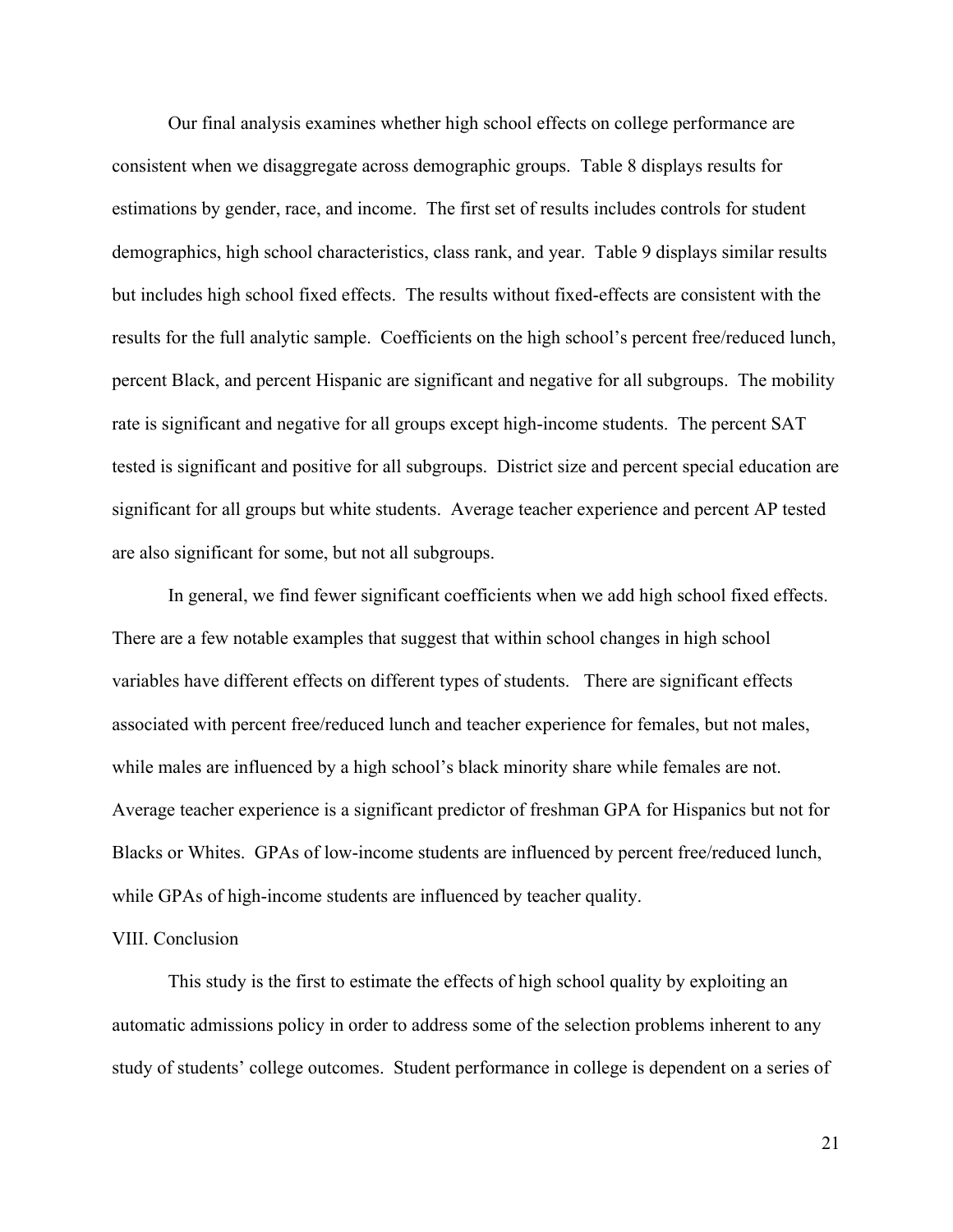Our final analysis examines whether high school effects on college performance are consistent when we disaggregate across demographic groups. Table 8 displays results for estimations by gender, race, and income. The first set of results includes controls for student demographics, high school characteristics, class rank, and year. Table 9 displays similar results but includes high school fixed effects. The results without fixed-effects are consistent with the results for the full analytic sample. Coefficients on the high school's percent free/reduced lunch, percent Black, and percent Hispanic are significant and negative for all subgroups. The mobility rate is significant and negative for all groups except high-income students. The percent SAT tested is significant and positive for all subgroups. District size and percent special education are significant for all groups but white students. Average teacher experience and percent AP tested are also significant for some, but not all subgroups.

In general, we find fewer significant coefficients when we add high school fixed effects. There are a few notable examples that suggest that within school changes in high school variables have different effects on different types of students. There are significant effects associated with percent free/reduced lunch and teacher experience for females, but not males, while males are influenced by a high school's black minority share while females are not. Average teacher experience is a significant predictor of freshman GPA for Hispanics but not for Blacks or Whites. GPAs of low-income students are influenced by percent free/reduced lunch, while GPAs of high-income students are influenced by teacher quality.

#### VIII. Conclusion

This study is the first to estimate the effects of high school quality by exploiting an automatic admissions policy in order to address some of the selection problems inherent to any study of students' college outcomes. Student performance in college is dependent on a series of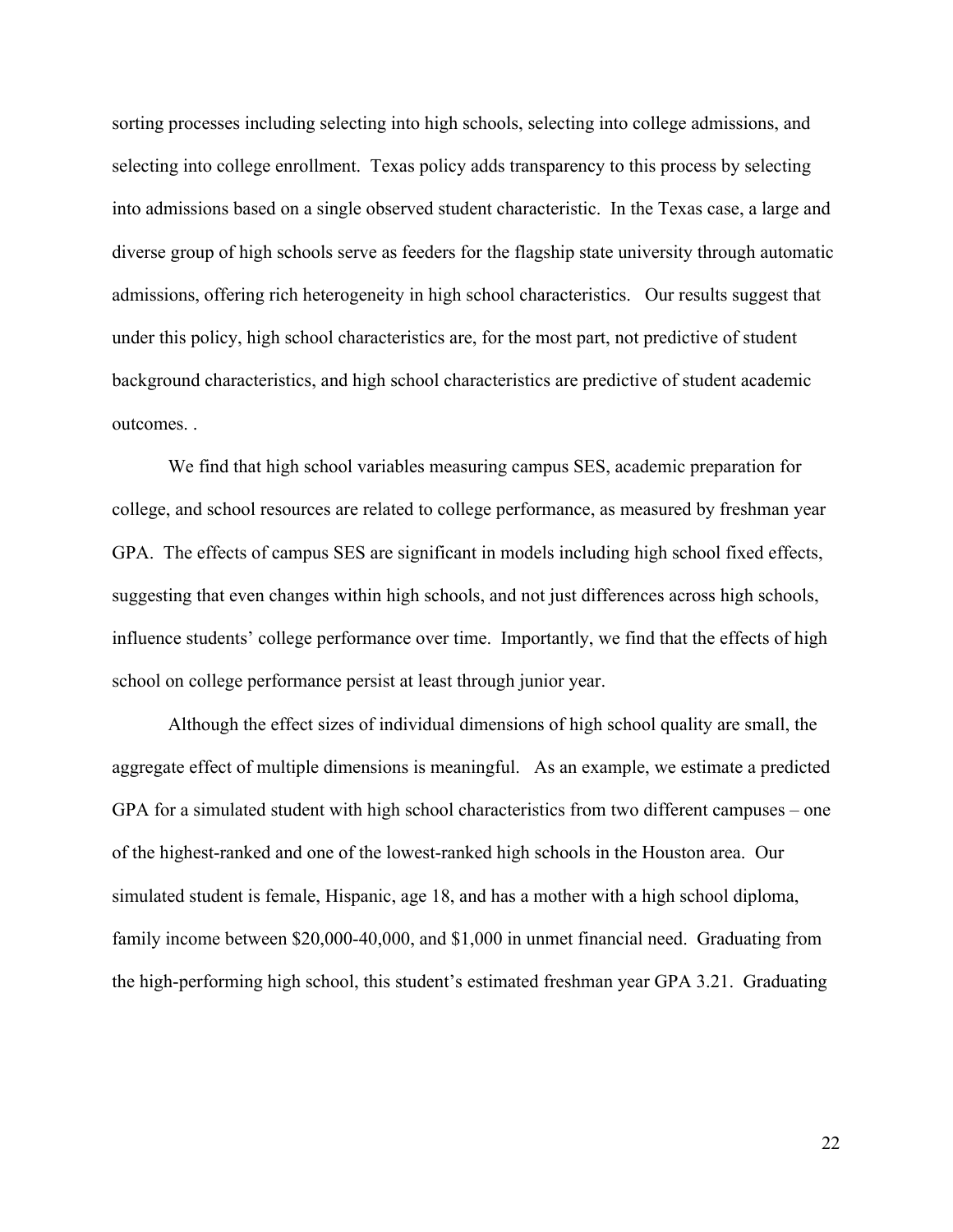sorting processes including selecting into high schools, selecting into college admissions, and selecting into college enrollment. Texas policy adds transparency to this process by selecting into admissions based on a single observed student characteristic. In the Texas case, a large and diverse group of high schools serve as feeders for the flagship state university through automatic admissions, offering rich heterogeneity in high school characteristics. Our results suggest that under this policy, high school characteristics are, for the most part, not predictive of student background characteristics, and high school characteristics are predictive of student academic outcomes. .

We find that high school variables measuring campus SES, academic preparation for college, and school resources are related to college performance, as measured by freshman year GPA. The effects of campus SES are significant in models including high school fixed effects, suggesting that even changes within high schools, and not just differences across high schools, influence students' college performance over time. Importantly, we find that the effects of high school on college performance persist at least through junior year.

Although the effect sizes of individual dimensions of high school quality are small, the aggregate effect of multiple dimensions is meaningful. As an example, we estimate a predicted GPA for a simulated student with high school characteristics from two different campuses – one of the highest-ranked and one of the lowest-ranked high schools in the Houston area. Our simulated student is female, Hispanic, age 18, and has a mother with a high school diploma, family income between \$20,000-40,000, and \$1,000 in unmet financial need. Graduating from the high-performing high school, this student's estimated freshman year GPA 3.21. Graduating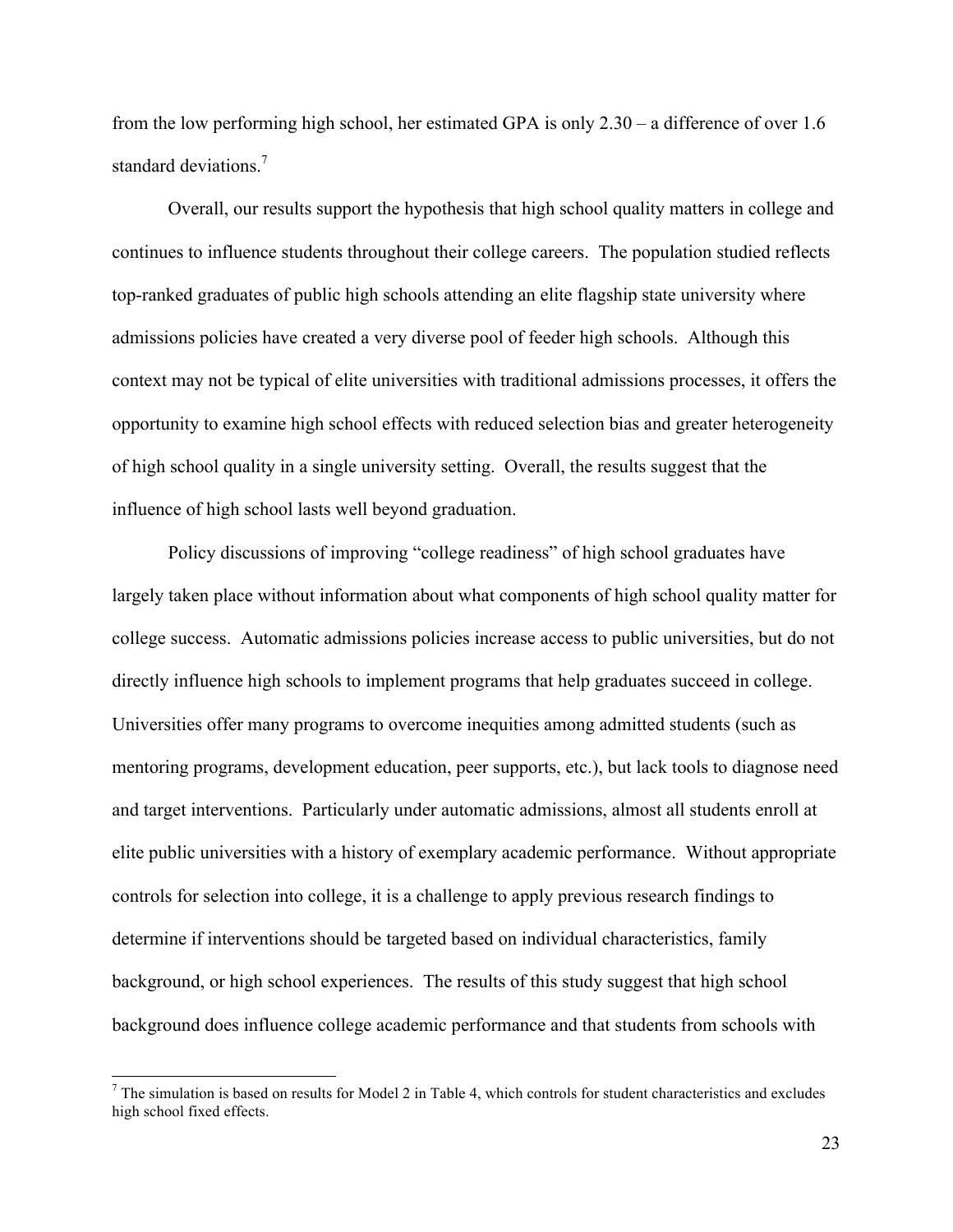from the low performing high school, her estimated GPA is only 2.30 – a difference of over 1.6 standard deviations.<sup>7</sup>

Overall, our results support the hypothesis that high school quality matters in college and continues to influence students throughout their college careers. The population studied reflects top-ranked graduates of public high schools attending an elite flagship state university where admissions policies have created a very diverse pool of feeder high schools. Although this context may not be typical of elite universities with traditional admissions processes, it offers the opportunity to examine high school effects with reduced selection bias and greater heterogeneity of high school quality in a single university setting. Overall, the results suggest that the influence of high school lasts well beyond graduation.

Policy discussions of improving "college readiness" of high school graduates have largely taken place without information about what components of high school quality matter for college success. Automatic admissions policies increase access to public universities, but do not directly influence high schools to implement programs that help graduates succeed in college. Universities offer many programs to overcome inequities among admitted students (such as mentoring programs, development education, peer supports, etc.), but lack tools to diagnose need and target interventions. Particularly under automatic admissions, almost all students enroll at elite public universities with a history of exemplary academic performance. Without appropriate controls for selection into college, it is a challenge to apply previous research findings to determine if interventions should be targeted based on individual characteristics, family background, or high school experiences. The results of this study suggest that high school background does influence college academic performance and that students from schools with

 $<sup>7</sup>$  The simulation is based on results for Model 2 in Table 4, which controls for student characteristics and excludes</sup> high school fixed effects.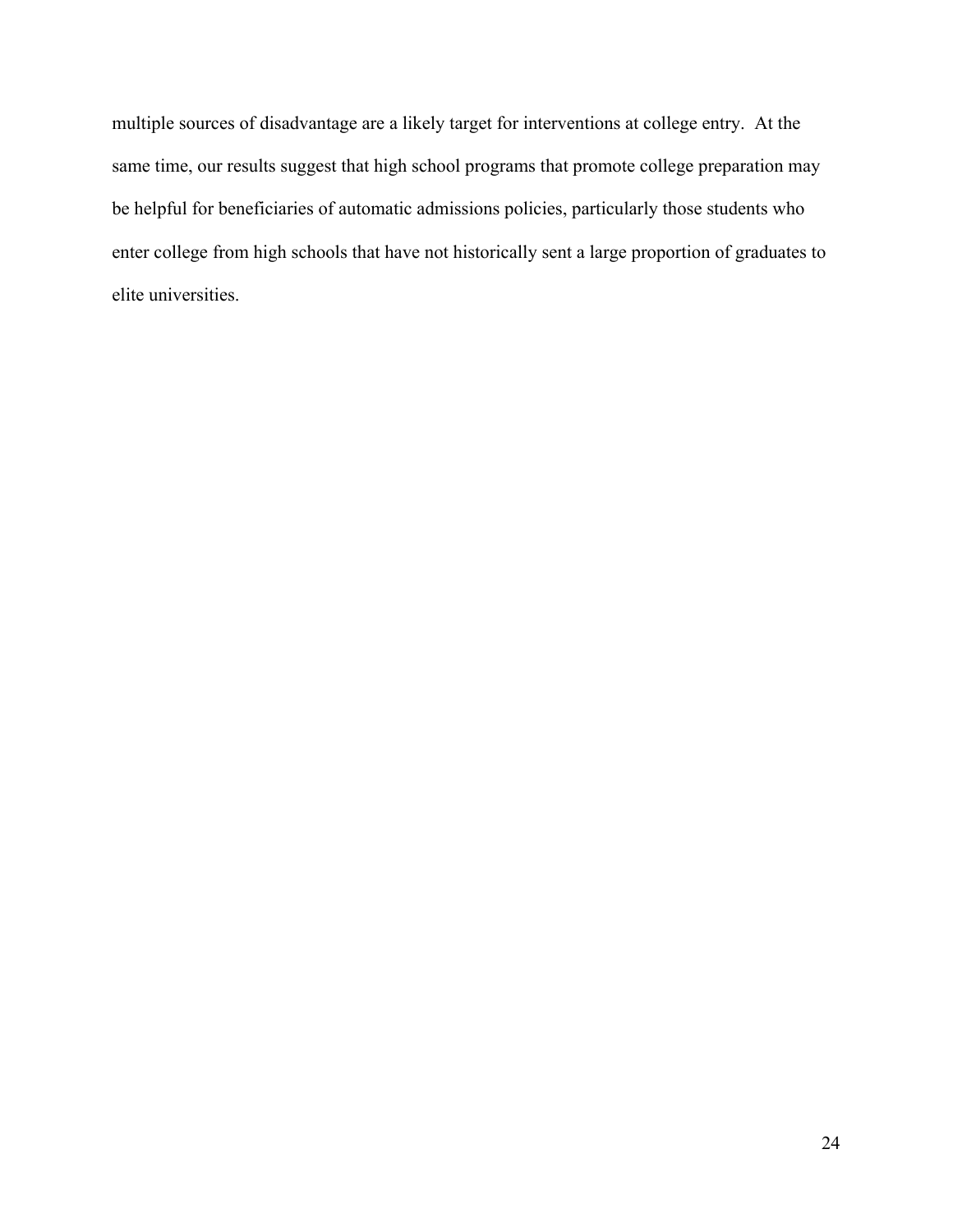multiple sources of disadvantage are a likely target for interventions at college entry. At the same time, our results suggest that high school programs that promote college preparation may be helpful for beneficiaries of automatic admissions policies, particularly those students who enter college from high schools that have not historically sent a large proportion of graduates to elite universities.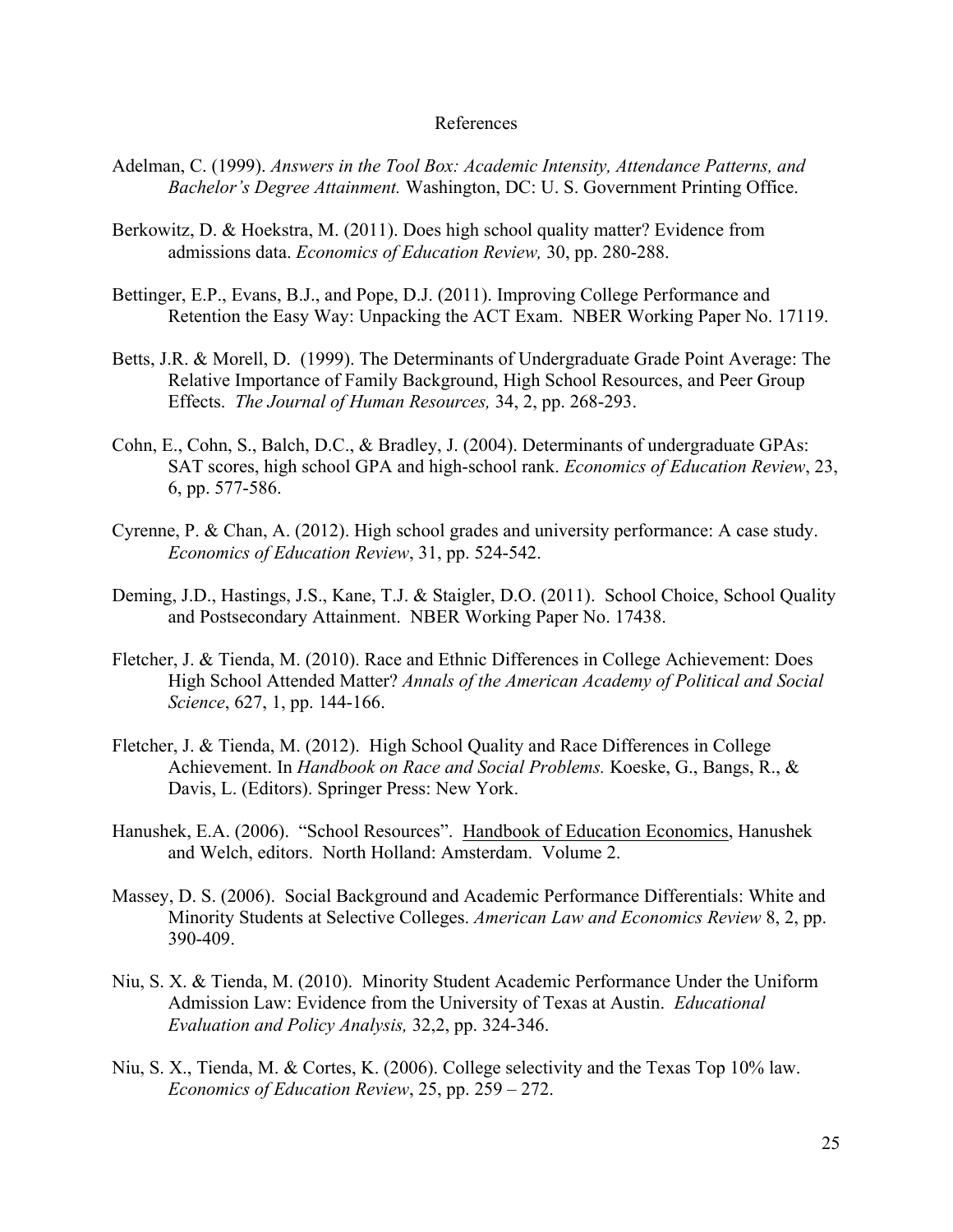#### References

- Adelman, C. (1999). *Answers in the Tool Box: Academic Intensity, Attendance Patterns, and Bachelor's Degree Attainment.* Washington, DC: U. S. Government Printing Office.
- Berkowitz, D. & Hoekstra, M. (2011). Does high school quality matter? Evidence from admissions data. *Economics of Education Review,* 30, pp. 280-288.
- Bettinger, E.P., Evans, B.J., and Pope, D.J. (2011). Improving College Performance and Retention the Easy Way: Unpacking the ACT Exam. NBER Working Paper No. 17119.
- Betts, J.R. & Morell, D. (1999). The Determinants of Undergraduate Grade Point Average: The Relative Importance of Family Background, High School Resources, and Peer Group Effects. *The Journal of Human Resources,* 34, 2, pp. 268-293.
- Cohn, E., Cohn, S., Balch, D.C., & Bradley, J. (2004). Determinants of undergraduate GPAs: SAT scores, high school GPA and high-school rank. *Economics of Education Review*, 23, 6, pp. 577-586.
- Cyrenne, P. & Chan, A. (2012). High school grades and university performance: A case study. *Economics of Education Review*, 31, pp. 524-542.
- Deming, J.D., Hastings, J.S., Kane, T.J. & Staigler, D.O. (2011). School Choice, School Quality and Postsecondary Attainment. NBER Working Paper No. 17438.
- Fletcher, J. & Tienda, M. (2010). Race and Ethnic Differences in College Achievement: Does High School Attended Matter? *Annals of the American Academy of Political and Social Science*, 627, 1, pp. 144-166.
- Fletcher, J. & Tienda, M. (2012). High School Quality and Race Differences in College Achievement. In *Handbook on Race and Social Problems.* Koeske, G., Bangs, R., & Davis, L. (Editors). Springer Press: New York.
- Hanushek, E.A. (2006). "School Resources". Handbook of Education Economics, Hanushek and Welch, editors. North Holland: Amsterdam. Volume 2.
- Massey, D. S. (2006). Social Background and Academic Performance Differentials: White and Minority Students at Selective Colleges. *American Law and Economics Review* 8, 2, pp. 390-409.
- Niu, S. X. & Tienda, M. (2010). Minority Student Academic Performance Under the Uniform Admission Law: Evidence from the University of Texas at Austin. *Educational Evaluation and Policy Analysis,* 32,2, pp. 324-346.
- Niu, S. X., Tienda, M. & Cortes, K. (2006). College selectivity and the Texas Top 10% law. *Economics of Education Review*, 25, pp. 259 – 272.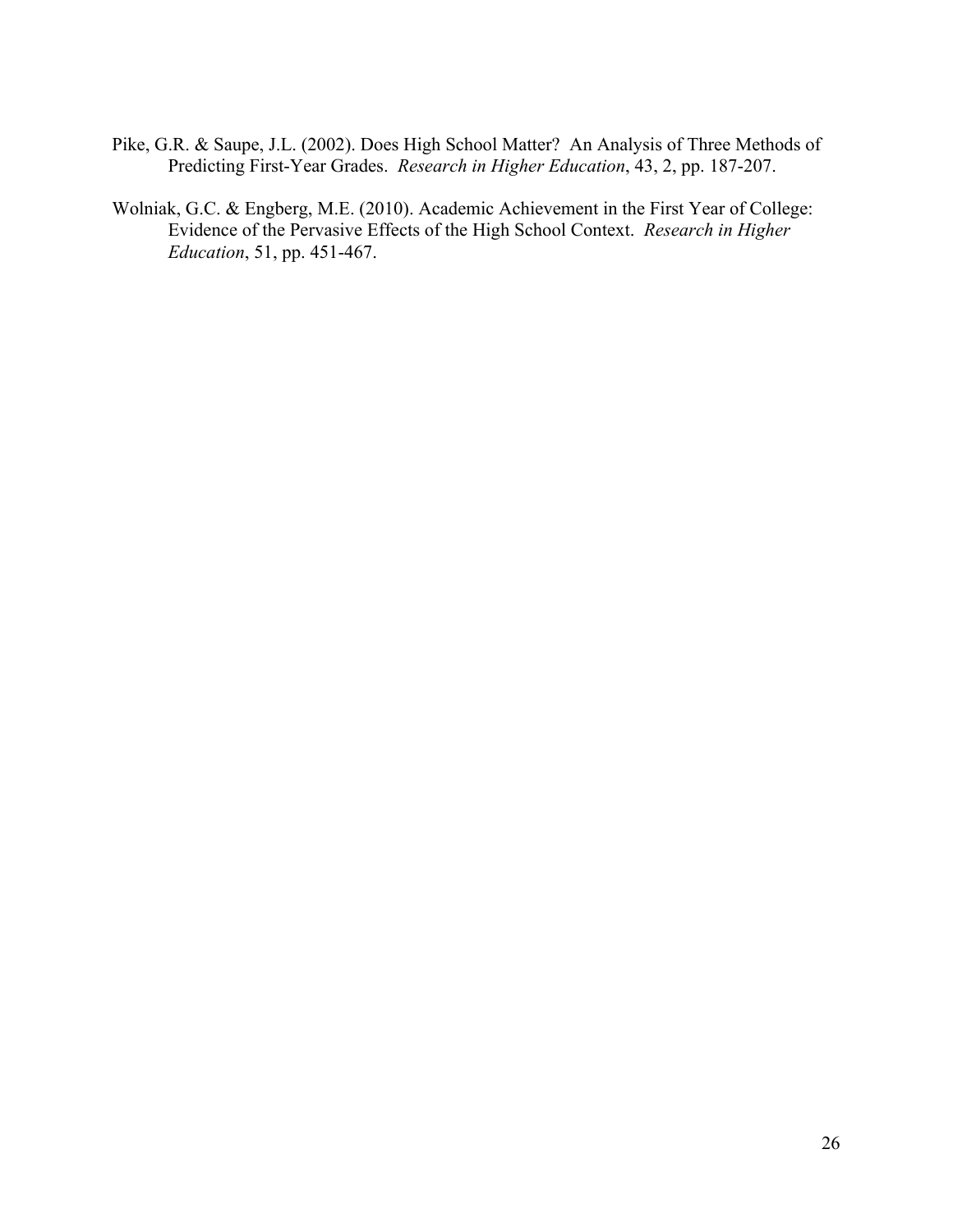- Pike, G.R. & Saupe, J.L. (2002). Does High School Matter? An Analysis of Three Methods of Predicting First-Year Grades. *Research in Higher Education*, 43, 2, pp. 187-207.
- Wolniak, G.C. & Engberg, M.E. (2010). Academic Achievement in the First Year of College: Evidence of the Pervasive Effects of the High School Context. *Research in Higher Education*, 51, pp. 451-467.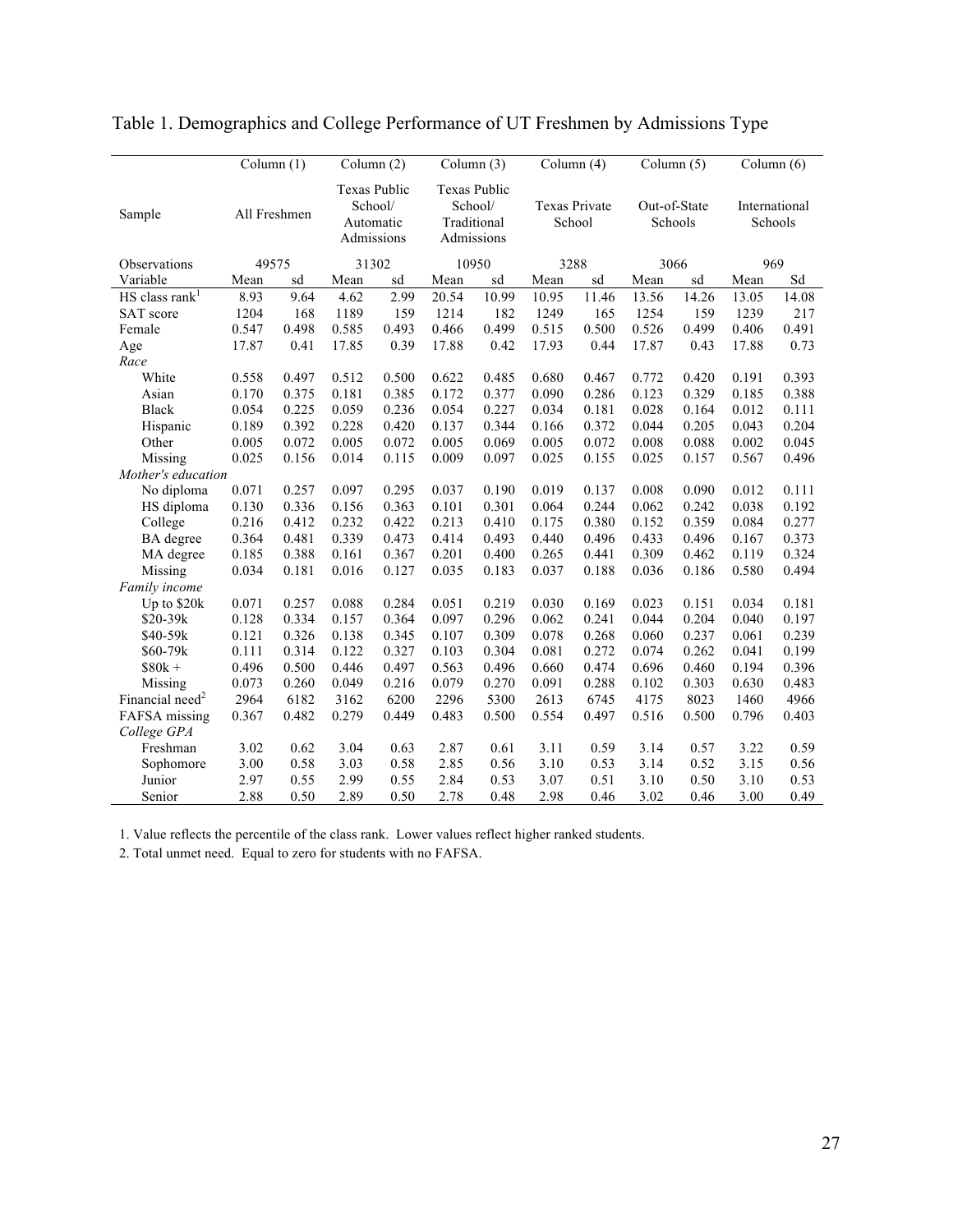|                              | Column (1)   |       | Column (2)                                                |       | Column (3)                     |                           | Column (4)                     |       |       | Column $(5)$            |               | Column (6) |
|------------------------------|--------------|-------|-----------------------------------------------------------|-------|--------------------------------|---------------------------|--------------------------------|-------|-------|-------------------------|---------------|------------|
| Sample                       | All Freshmen |       | <b>Texas Public</b><br>School/<br>Automatic<br>Admissions |       | <b>Texas Public</b><br>School/ | Traditional<br>Admissions | <b>Texas Private</b><br>School |       |       | Out-of-State<br>Schools | International | Schools    |
| Observations                 | 49575        |       | 31302                                                     |       | 10950                          |                           | 3288                           |       | 3066  |                         | 969           |            |
| Variable                     | Mean         | sd    | Mean                                                      | sd    | Mean                           | sd                        | Mean                           | sd    | Mean  | sd                      | Mean          | Sd         |
| $HS$ class rank <sup>1</sup> | 8.93         | 9.64  | 4.62                                                      | 2.99  | 20.54                          | 10.99                     | 10.95                          | 11.46 | 13.56 | 14.26                   | 13.05         | 14.08      |
| SAT score                    | 1204         | 168   | 1189                                                      | 159   | 1214                           | 182                       | 1249                           | 165   | 1254  | 159                     | 1239          | 217        |
| Female                       | 0.547        | 0.498 | 0.585                                                     | 0.493 | 0.466                          | 0.499                     | 0.515                          | 0.500 | 0.526 | 0.499                   | 0.406         | 0.491      |
| Age                          | 17.87        | 0.41  | 17.85                                                     | 0.39  | 17.88                          | 0.42                      | 17.93                          | 0.44  | 17.87 | 0.43                    | 17.88         | 0.73       |
| Race                         |              |       |                                                           |       |                                |                           |                                |       |       |                         |               |            |
| White                        | 0.558        | 0.497 | 0.512                                                     | 0.500 | 0.622                          | 0.485                     | 0.680                          | 0.467 | 0.772 | 0.420                   | 0.191         | 0.393      |
| Asian                        | 0.170        | 0.375 | 0.181                                                     | 0.385 | 0.172                          | 0.377                     | 0.090                          | 0.286 | 0.123 | 0.329                   | 0.185         | 0.388      |
| <b>Black</b>                 | 0.054        | 0.225 | 0.059                                                     | 0.236 | 0.054                          | 0.227                     | 0.034                          | 0.181 | 0.028 | 0.164                   | 0.012         | 0.111      |
| Hispanic                     | 0.189        | 0.392 | 0.228                                                     | 0.420 | 0.137                          | 0.344                     | 0.166                          | 0.372 | 0.044 | 0.205                   | 0.043         | 0.204      |
| Other                        | 0.005        | 0.072 | 0.005                                                     | 0.072 | 0.005                          | 0.069                     | 0.005                          | 0.072 | 0.008 | 0.088                   | 0.002         | 0.045      |
| Missing                      | 0.025        | 0.156 | 0.014                                                     | 0.115 | 0.009                          | 0.097                     | 0.025                          | 0.155 | 0.025 | 0.157                   | 0.567         | 0.496      |
| Mother's education           |              |       |                                                           |       |                                |                           |                                |       |       |                         |               |            |
| No diploma                   | 0.071        | 0.257 | 0.097                                                     | 0.295 | 0.037                          | 0.190                     | 0.019                          | 0.137 | 0.008 | 0.090                   | 0.012         | 0.111      |
| HS diploma                   | 0.130        | 0.336 | 0.156                                                     | 0.363 | 0.101                          | 0.301                     | 0.064                          | 0.244 | 0.062 | 0.242                   | 0.038         | 0.192      |
| College                      | 0.216        | 0.412 | 0.232                                                     | 0.422 | 0.213                          | 0.410                     | 0.175                          | 0.380 | 0.152 | 0.359                   | 0.084         | 0.277      |
| BA degree                    | 0.364        | 0.481 | 0.339                                                     | 0.473 | 0.414                          | 0.493                     | 0.440                          | 0.496 | 0.433 | 0.496                   | 0.167         | 0.373      |
| MA degree                    | 0.185        | 0.388 | 0.161                                                     | 0.367 | 0.201                          | 0.400                     | 0.265                          | 0.441 | 0.309 | 0.462                   | 0.119         | 0.324      |
| Missing                      | 0.034        | 0.181 | 0.016                                                     | 0.127 | 0.035                          | 0.183                     | 0.037                          | 0.188 | 0.036 | 0.186                   | 0.580         | 0.494      |
| Family income                |              |       |                                                           |       |                                |                           |                                |       |       |                         |               |            |
| Up to \$20k                  | 0.071        | 0.257 | 0.088                                                     | 0.284 | 0.051                          | 0.219                     | 0.030                          | 0.169 | 0.023 | 0.151                   | 0.034         | 0.181      |
| \$20-39k                     | 0.128        | 0.334 | 0.157                                                     | 0.364 | 0.097                          | 0.296                     | 0.062                          | 0.241 | 0.044 | 0.204                   | 0.040         | 0.197      |
| \$40-59k                     | 0.121        | 0.326 | 0.138                                                     | 0.345 | 0.107                          | 0.309                     | 0.078                          | 0.268 | 0.060 | 0.237                   | 0.061         | 0.239      |
| $$60-79k$                    | 0.111        | 0.314 | 0.122                                                     | 0.327 | 0.103                          | 0.304                     | 0.081                          | 0.272 | 0.074 | 0.262                   | 0.041         | 0.199      |
| $$80k +$                     | 0.496        | 0.500 | 0.446                                                     | 0.497 | 0.563                          | 0.496                     | 0.660                          | 0.474 | 0.696 | 0.460                   | 0.194         | 0.396      |
| Missing                      | 0.073        | 0.260 | 0.049                                                     | 0.216 | 0.079                          | 0.270                     | 0.091                          | 0.288 | 0.102 | 0.303                   | 0.630         | 0.483      |
| Financial need <sup>2</sup>  | 2964         | 6182  | 3162                                                      | 6200  | 2296                           | 5300                      | 2613                           | 6745  | 4175  | 8023                    | 1460          | 4966       |
| FAFSA missing                | 0.367        | 0.482 | 0.279                                                     | 0.449 | 0.483                          | 0.500                     | 0.554                          | 0.497 | 0.516 | 0.500                   | 0.796         | 0.403      |
| College GPA                  |              |       |                                                           |       |                                |                           |                                |       |       |                         |               |            |
| Freshman                     | 3.02         | 0.62  | 3.04                                                      | 0.63  | 2.87                           | 0.61                      | 3.11                           | 0.59  | 3.14  | 0.57                    | 3.22          | 0.59       |
| Sophomore                    | 3.00         | 0.58  | 3.03                                                      | 0.58  | 2.85                           | 0.56                      | 3.10                           | 0.53  | 3.14  | 0.52                    | 3.15          | 0.56       |
| Junior                       | 2.97         | 0.55  | 2.99                                                      | 0.55  | 2.84                           | 0.53                      | 3.07                           | 0.51  | 3.10  | 0.50                    | 3.10          | 0.53       |
| Senior                       | 2.88         | 0.50  | 2.89                                                      | 0.50  | 2.78                           | 0.48                      | 2.98                           | 0.46  | 3.02  | 0.46                    | 3.00          | 0.49       |

### Table 1. Demographics and College Performance of UT Freshmen by Admissions Type

1. Value reflects the percentile of the class rank. Lower values reflect higher ranked students.

2. Total unmet need. Equal to zero for students with no FAFSA.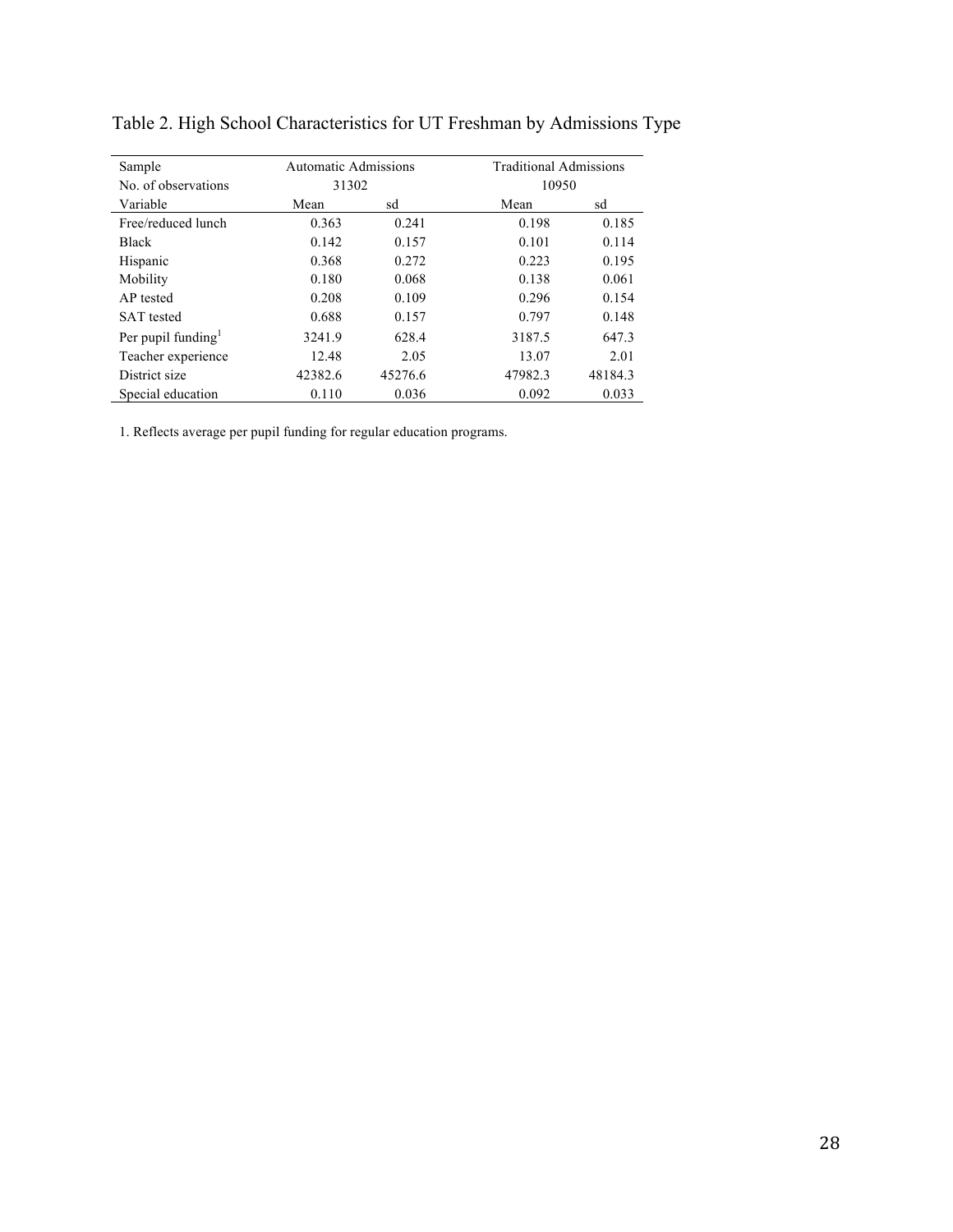| Sample                         | <b>Automatic Admissions</b> |         | <b>Traditional Admissions</b> |         |  |  |  |
|--------------------------------|-----------------------------|---------|-------------------------------|---------|--|--|--|
| No. of observations            | 31302                       |         | 10950                         |         |  |  |  |
| Variable                       | Mean                        | sd      | Mean                          | sd      |  |  |  |
| Free/reduced lunch             | 0.363                       | 0.241   | 0.198                         | 0.185   |  |  |  |
| <b>Black</b>                   | 0.142                       | 0.157   | 0.101                         | 0.114   |  |  |  |
| Hispanic                       | 0.368                       | 0.272   | 0.223                         | 0.195   |  |  |  |
| Mobility                       | 0.180                       | 0.068   | 0.138                         | 0.061   |  |  |  |
| AP tested                      | 0.208                       | 0.109   | 0.296                         | 0.154   |  |  |  |
| <b>SAT</b> tested              | 0.688                       | 0.157   | 0.797                         | 0.148   |  |  |  |
| Per pupil funding <sup>1</sup> | 3241.9                      | 628.4   | 3187.5                        | 647.3   |  |  |  |
| Teacher experience             | 12.48                       | 2.05    | 13.07                         | 2.01    |  |  |  |
| District size                  | 42382.6                     | 45276.6 | 47982.3                       | 48184.3 |  |  |  |
| Special education              | 0.110                       | 0.036   | 0.092                         | 0.033   |  |  |  |

Table 2. High School Characteristics for UT Freshman by Admissions Type

1. Reflects average per pupil funding for regular education programs.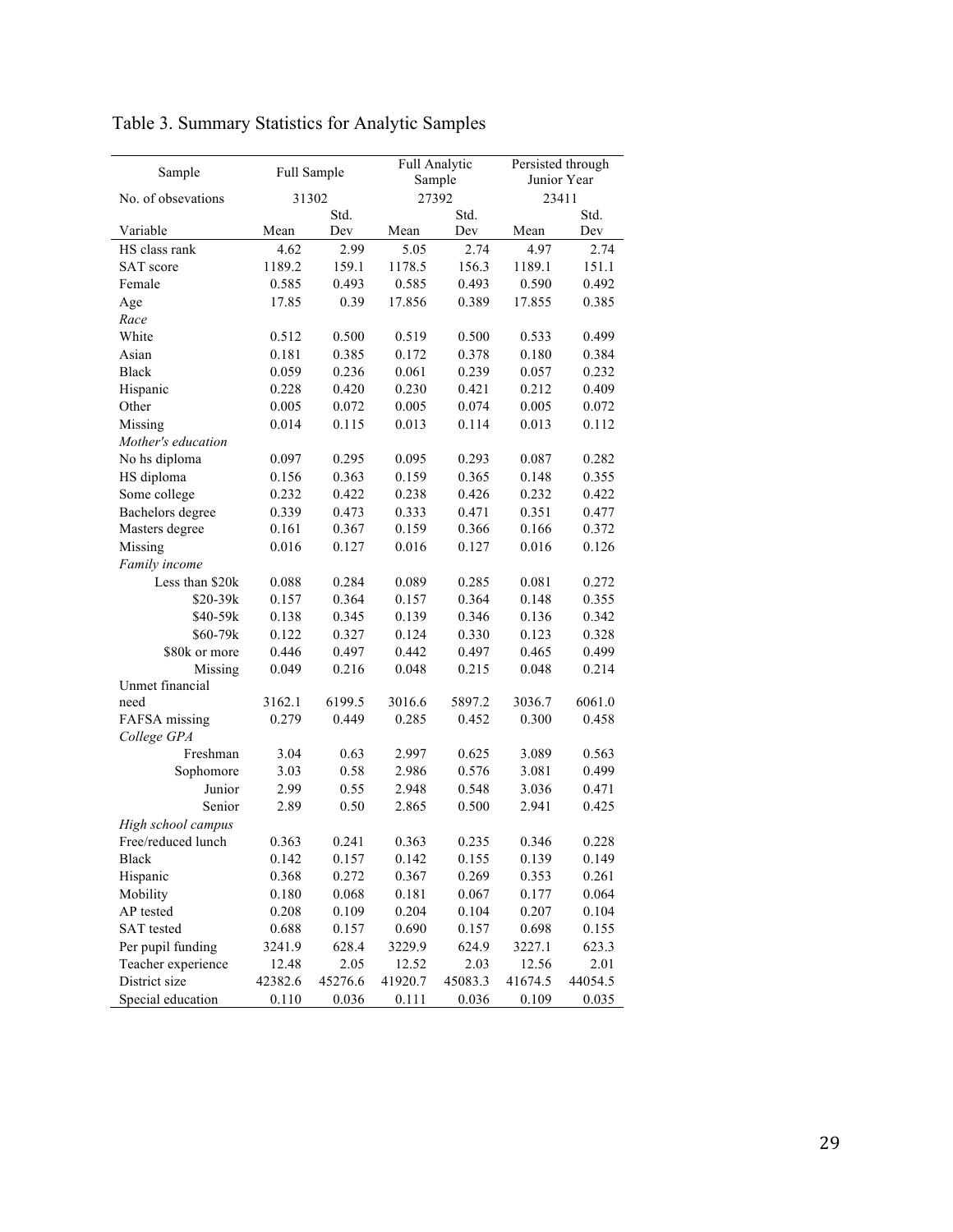| Sample             |         | Full Sample |         | Full Analytic   |         | Persisted through |
|--------------------|---------|-------------|---------|-----------------|---------|-------------------|
| No. of obsevations |         | 31302       |         | Sample<br>27392 | 23411   | Junior Year       |
|                    |         | Std.        |         | Std.            |         | Std.              |
| Variable           | Mean    | Dev         | Mean    | Dev             | Mean    | Dev               |
| HS class rank      | 4.62    | 2.99        | 5.05    | 2.74            | 4.97    | 2.74              |
| SAT score          | 1189.2  | 159.1       | 1178.5  | 156.3           | 1189.1  | 151.1             |
| Female             | 0.585   | 0.493       | 0.585   | 0.493           | 0.590   | 0.492             |
| Age                | 17.85   | 0.39        | 17.856  | 0.389           | 17.855  | 0.385             |
| Race               |         |             |         |                 |         |                   |
| White              | 0.512   | 0.500       | 0.519   | 0.500           | 0.533   | 0.499             |
| Asian              | 0.181   | 0.385       | 0.172   | 0.378           | 0.180   | 0.384             |
| <b>Black</b>       | 0.059   | 0.236       | 0.061   | 0.239           | 0.057   | 0.232             |
| Hispanic           | 0.228   | 0.420       | 0.230   | 0.421           | 0.212   | 0.409             |
| Other              | 0.005   | 0.072       | 0.005   | 0.074           | 0.005   | 0.072             |
| Missing            | 0.014   | 0.115       | 0.013   | 0.114           | 0.013   | 0.112             |
| Mother's education |         |             |         |                 |         |                   |
| No hs diploma      | 0.097   | 0.295       | 0.095   | 0.293           | 0.087   | 0.282             |
| HS diploma         | 0.156   | 0.363       | 0.159   | 0.365           | 0.148   | 0.355             |
| Some college       | 0.232   | 0.422       | 0.238   | 0.426           | 0.232   | 0.422             |
| Bachelors degree   | 0.339   | 0.473       | 0.333   | 0.471           | 0.351   | 0.477             |
| Masters degree     | 0.161   | 0.367       | 0.159   | 0.366           | 0.166   | 0.372             |
| Missing            | 0.016   | 0.127       | 0.016   | 0.127           | 0.016   | 0.126             |
| Family income      |         |             |         |                 |         |                   |
| Less than \$20k    | 0.088   | 0.284       | 0.089   | 0.285           | 0.081   | 0.272             |
| $$20-39k$          | 0.157   | 0.364       | 0.157   | 0.364           | 0.148   | 0.355             |
| \$40-59k           | 0.138   | 0.345       | 0.139   | 0.346           | 0.136   | 0.342             |
| $$60-79k$          | 0.122   | 0.327       | 0.124   | 0.330           | 0.123   | 0.328             |
| \$80k or more      | 0.446   | 0.497       | 0.442   | 0.497           | 0.465   | 0.499             |
| Missing            | 0.049   | 0.216       | 0.048   | 0.215           | 0.048   | 0.214             |
| Unmet financial    |         |             |         |                 |         |                   |
| need               | 3162.1  | 6199.5      | 3016.6  | 5897.2          | 3036.7  | 6061.0            |
| FAFSA missing      | 0.279   | 0.449       | 0.285   | 0.452           | 0.300   | 0.458             |
| College GPA        |         |             |         |                 |         |                   |
| Freshman           | 3.04    | 0.63        | 2.997   | 0.625           | 3.089   | 0.563             |
| Sophomore          | 3.03    | 0.58        | 2.986   | 0.576           | 3.081   | 0.499             |
| Junior             | 2.99    | 0.55        | 2.948   | 0.548           | 3.036   | 0.471             |
| Senior             | 2.89    | 0.50        | 2.865   | 0.500           | 2.941   | 0.425             |
| High school campus |         |             |         |                 |         |                   |
| Free/reduced lunch | 0.363   | 0.241       | 0.363   | 0.235           | 0.346   | 0.228             |
| Black              | 0.142   | 0.157       | 0.142   | 0.155           | 0.139   | 0.149             |
| Hispanic           | 0.368   | 0.272       | 0.367   | 0.269           | 0.353   | 0.261             |
| Mobility           | 0.180   | 0.068       | 0.181   | 0.067           | 0.177   | 0.064             |
| AP tested          | 0.208   | 0.109       | 0.204   | 0.104           | 0.207   | 0.104             |
| <b>SAT</b> tested  | 0.688   | 0.157       | 0.690   | 0.157           | 0.698   | 0.155             |
| Per pupil funding  | 3241.9  | 628.4       | 3229.9  | 624.9           | 3227.1  | 623.3             |
| Teacher experience | 12.48   | 2.05        | 12.52   | 2.03            | 12.56   | 2.01              |
| District size      | 42382.6 | 45276.6     | 41920.7 | 45083.3         | 41674.5 | 44054.5           |
| Special education  | 0.110   | 0.036       | 0.111   | 0.036           | 0.109   | 0.035             |

Table 3. Summary Statistics for Analytic Samples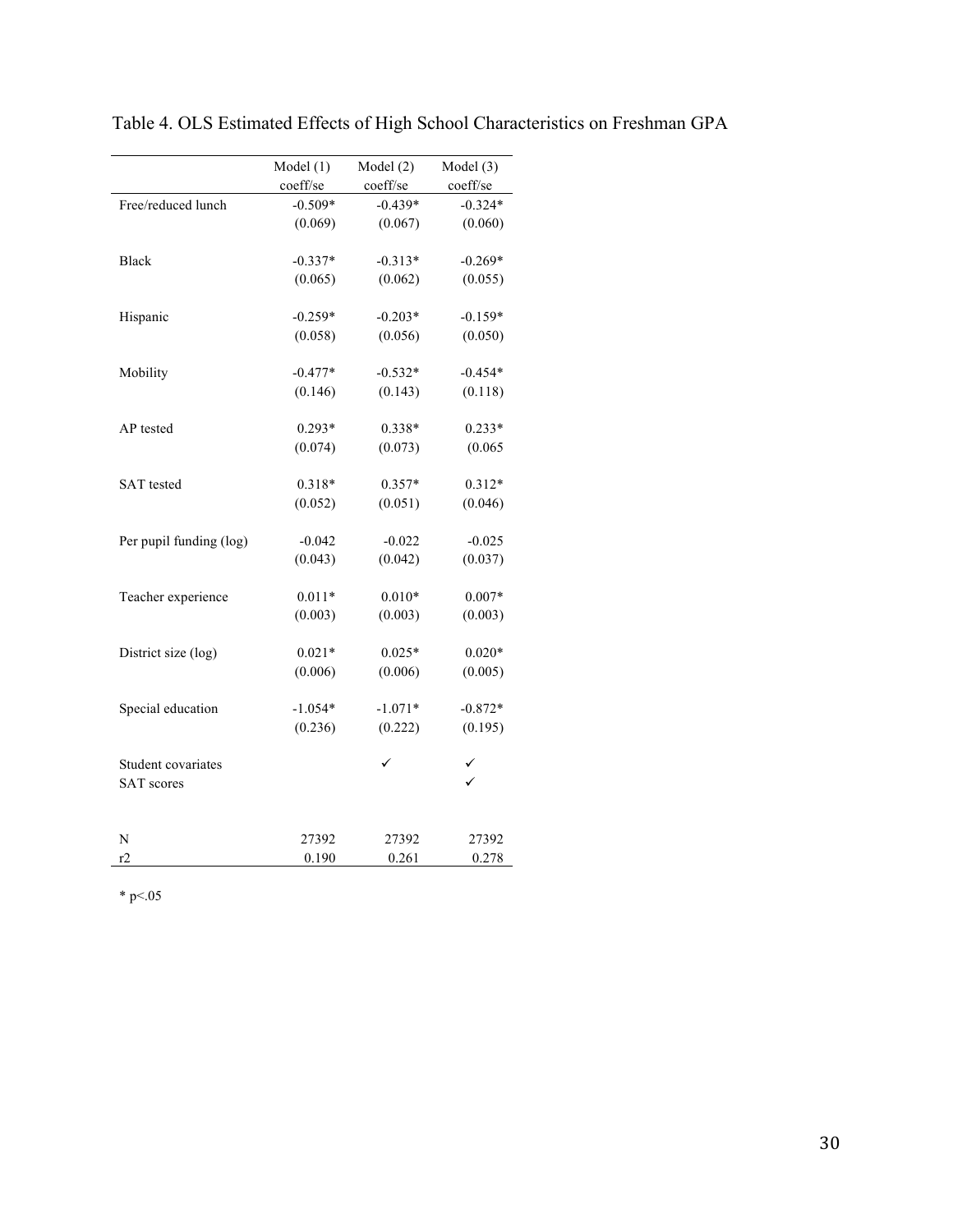|                         | Model $(1)$ | Model(2)  | Model (3) |
|-------------------------|-------------|-----------|-----------|
|                         | coeff/se    | coeff/se  | coeff/se  |
| Free/reduced lunch      | $-0.509*$   | $-0.439*$ | $-0.324*$ |
|                         | (0.069)     | (0.067)   | (0.060)   |
|                         |             |           |           |
| Black                   | $-0.337*$   | $-0.313*$ | $-0.269*$ |
|                         | (0.065)     | (0.062)   | (0.055)   |
| Hispanic                | $-0.259*$   | $-0.203*$ | $-0.159*$ |
|                         | (0.058)     | (0.056)   | (0.050)   |
|                         |             |           |           |
| Mobility                | $-0.477*$   | $-0.532*$ | $-0.454*$ |
|                         | (0.146)     | (0.143)   | (0.118)   |
|                         |             |           |           |
| AP tested               | $0.293*$    | 0.338*    | $0.233*$  |
|                         | (0.074)     | (0.073)   | (0.065)   |
| <b>SAT</b> tested       | 0.318*      | $0.357*$  | $0.312*$  |
|                         | (0.052)     | (0.051)   | (0.046)   |
|                         |             |           |           |
| Per pupil funding (log) | $-0.042$    | $-0.022$  | $-0.025$  |
|                         | (0.043)     | (0.042)   | (0.037)   |
|                         |             |           |           |
| Teacher experience      | $0.011*$    | $0.010*$  | $0.007*$  |
|                         | (0.003)     | (0.003)   | (0.003)   |
| District size (log)     | $0.021*$    | $0.025*$  | $0.020*$  |
|                         | (0.006)     | (0.006)   | (0.005)   |
|                         |             |           |           |
| Special education       | $-1.054*$   | $-1.071*$ | $-0.872*$ |
|                         | (0.236)     | (0.222)   | (0.195)   |
|                         |             |           |           |
| Student covariates      |             |           |           |
| <b>SAT</b> scores       |             |           |           |
|                         |             |           |           |
| N                       | 27392       | 27392     | 27392     |
| r2                      | 0.190       | 0.261     | 0.278     |

Table 4. OLS Estimated Effects of High School Characteristics on Freshman GPA

\* p $< 05$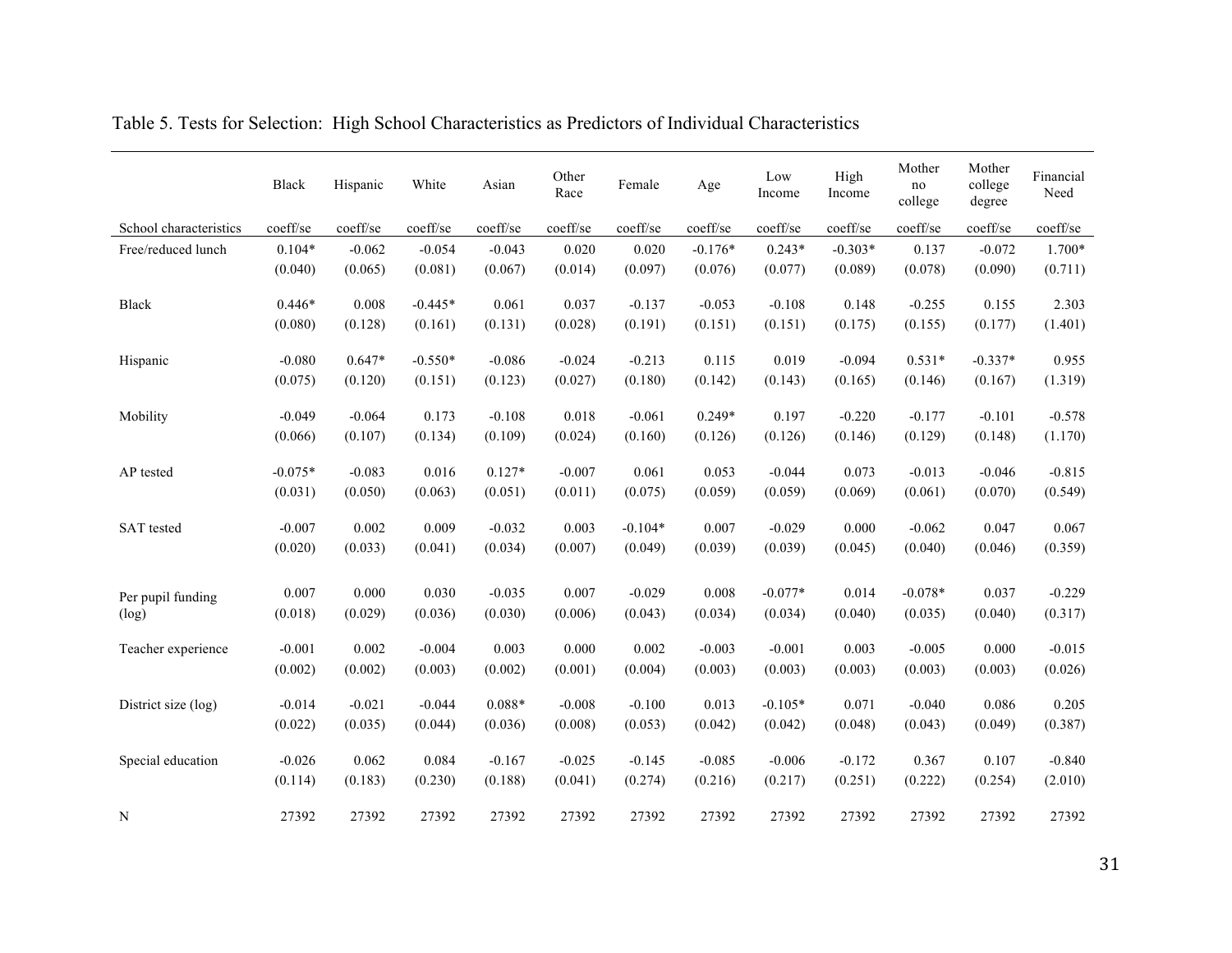|                        | Black     | Hispanic | White     | Asian    | Other<br>Race | Female    | Age       | Low<br>Income | High<br>Income | Mother<br>no<br>college | Mother<br>college<br>degree | Financial<br>Need |
|------------------------|-----------|----------|-----------|----------|---------------|-----------|-----------|---------------|----------------|-------------------------|-----------------------------|-------------------|
| School characteristics | coeff/se  | coeff/se | coeff/se  | coeff/se | coeff/se      | coeff/se  | coeff/se  | coeff/se      | coeff/se       | coeff/se                | coeff/se                    | coeff/se          |
| Free/reduced lunch     | $0.104*$  | $-0.062$ | $-0.054$  | $-0.043$ | 0.020         | 0.020     | $-0.176*$ | $0.243*$      | $-0.303*$      | 0.137                   | $-0.072$                    | 1.700*            |
|                        | (0.040)   | (0.065)  | (0.081)   | (0.067)  | (0.014)       | (0.097)   | (0.076)   | (0.077)       | (0.089)        | (0.078)                 | (0.090)                     | (0.711)           |
| <b>Black</b>           | $0.446*$  | 0.008    | $-0.445*$ | 0.061    | 0.037         | $-0.137$  | $-0.053$  | $-0.108$      | 0.148          | $-0.255$                | 0.155                       | 2.303             |
|                        | (0.080)   | (0.128)  | (0.161)   | (0.131)  | (0.028)       | (0.191)   | (0.151)   | (0.151)       | (0.175)        | (0.155)                 | (0.177)                     | (1.401)           |
| Hispanic               | $-0.080$  | $0.647*$ | $-0.550*$ | $-0.086$ | $-0.024$      | $-0.213$  | 0.115     | 0.019         | $-0.094$       | $0.531*$                | $-0.337*$                   | 0.955             |
|                        | (0.075)   | (0.120)  | (0.151)   | (0.123)  | (0.027)       | (0.180)   | (0.142)   | (0.143)       | (0.165)        | (0.146)                 | (0.167)                     | (1.319)           |
| Mobility               | $-0.049$  | $-0.064$ | 0.173     | $-0.108$ | 0.018         | $-0.061$  | $0.249*$  | 0.197         | $-0.220$       | $-0.177$                | $-0.101$                    | $-0.578$          |
|                        | (0.066)   | (0.107)  | (0.134)   | (0.109)  | (0.024)       | (0.160)   | (0.126)   | (0.126)       | (0.146)        | (0.129)                 | (0.148)                     | (1.170)           |
| AP tested              | $-0.075*$ | $-0.083$ | 0.016     | $0.127*$ | $-0.007$      | 0.061     | 0.053     | $-0.044$      | 0.073          | $-0.013$                | $-0.046$                    | $-0.815$          |
|                        | (0.031)   | (0.050)  | (0.063)   | (0.051)  | (0.011)       | (0.075)   | (0.059)   | (0.059)       | (0.069)        | (0.061)                 | (0.070)                     | (0.549)           |
| <b>SAT</b> tested      | $-0.007$  | 0.002    | 0.009     | $-0.032$ | 0.003         | $-0.104*$ | 0.007     | $-0.029$      | 0.000          | $-0.062$                | 0.047                       | 0.067             |
|                        | (0.020)   | (0.033)  | (0.041)   | (0.034)  | (0.007)       | (0.049)   | (0.039)   | (0.039)       | (0.045)        | (0.040)                 | (0.046)                     | (0.359)           |
| Per pupil funding      | 0.007     | 0.000    | 0.030     | $-0.035$ | 0.007         | $-0.029$  | 0.008     | $-0.077*$     | 0.014          | $-0.078*$               | 0.037                       | $-0.229$          |
| (log)                  | (0.018)   | (0.029)  | (0.036)   | (0.030)  | (0.006)       | (0.043)   | (0.034)   | (0.034)       | (0.040)        | (0.035)                 | (0.040)                     | (0.317)           |
| Teacher experience     | $-0.001$  | 0.002    | $-0.004$  | 0.003    | 0.000         | 0.002     | $-0.003$  | $-0.001$      | 0.003          | $-0.005$                | 0.000                       | $-0.015$          |
|                        | (0.002)   | (0.002)  | (0.003)   | (0.002)  | (0.001)       | (0.004)   | (0.003)   | (0.003)       | (0.003)        | (0.003)                 | (0.003)                     | (0.026)           |
| District size (log)    | $-0.014$  | $-0.021$ | $-0.044$  | $0.088*$ | $-0.008$      | $-0.100$  | 0.013     | $-0.105*$     | 0.071          | $-0.040$                | 0.086                       | 0.205             |
|                        | (0.022)   | (0.035)  | (0.044)   | (0.036)  | (0.008)       | (0.053)   | (0.042)   | (0.042)       | (0.048)        | (0.043)                 | (0.049)                     | (0.387)           |
| Special education      | $-0.026$  | 0.062    | 0.084     | $-0.167$ | $-0.025$      | $-0.145$  | $-0.085$  | $-0.006$      | $-0.172$       | 0.367                   | 0.107                       | $-0.840$          |
|                        | (0.114)   | (0.183)  | (0.230)   | (0.188)  | (0.041)       | (0.274)   | (0.216)   | (0.217)       | (0.251)        | (0.222)                 | (0.254)                     | (2.010)           |
| N                      | 27392     | 27392    | 27392     | 27392    | 27392         | 27392     | 27392     | 27392         | 27392          | 27392                   | 27392                       | 27392             |

Table 5. Tests for Selection: High School Characteristics as Predictors of Individual Characteristics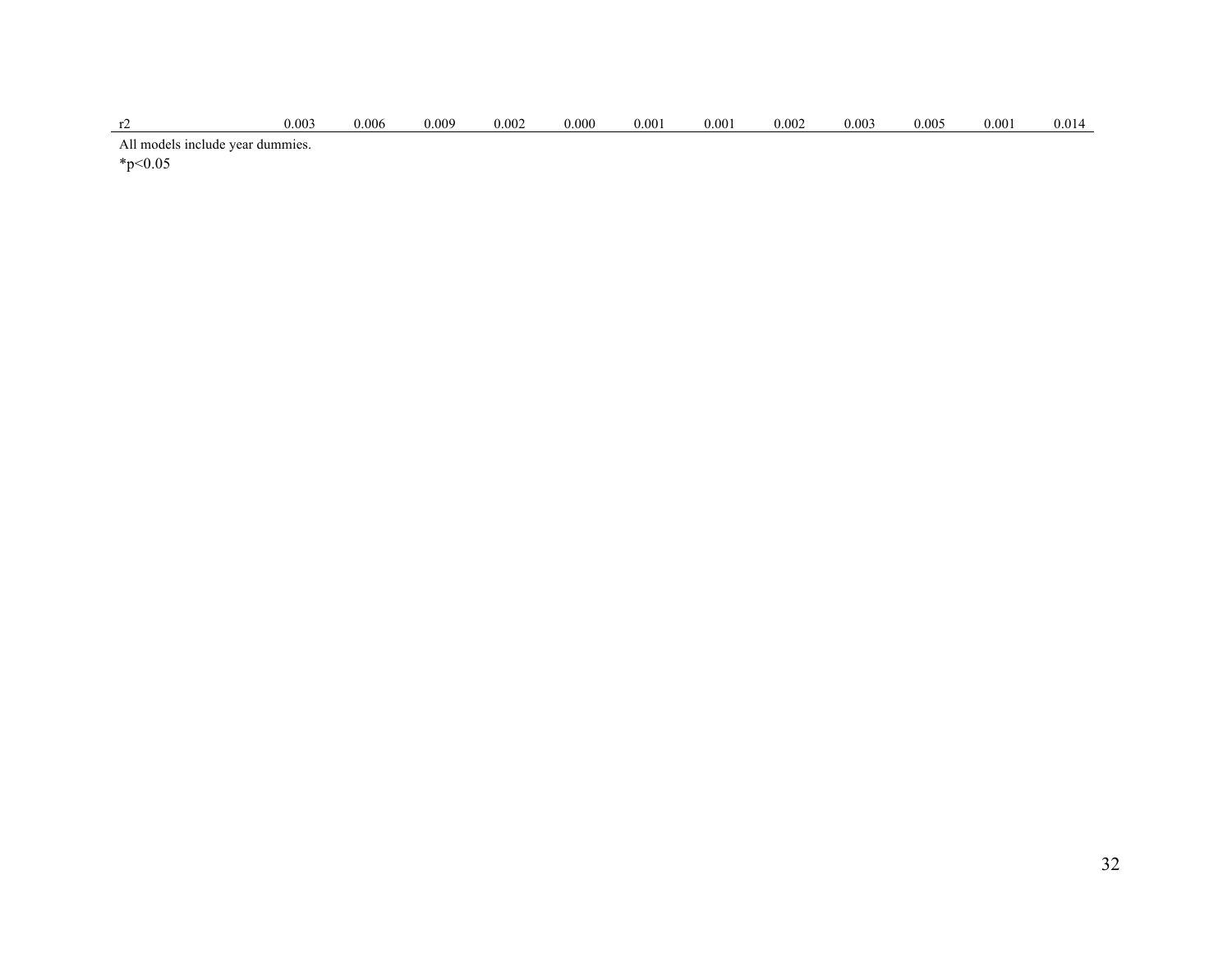| $0.003\,$ | 0.006 | 0.009 | 0.002 | 000. | 0.00 | 0.00 | 0.002 | 0.003 | 0.002 | $.00^{\circ}$ | 0.01 |
|-----------|-------|-------|-------|------|------|------|-------|-------|-------|---------------|------|
|           |       |       |       |      |      |      |       |       |       |               |      |

All models include year dummies.

 $*_{p<0.05}$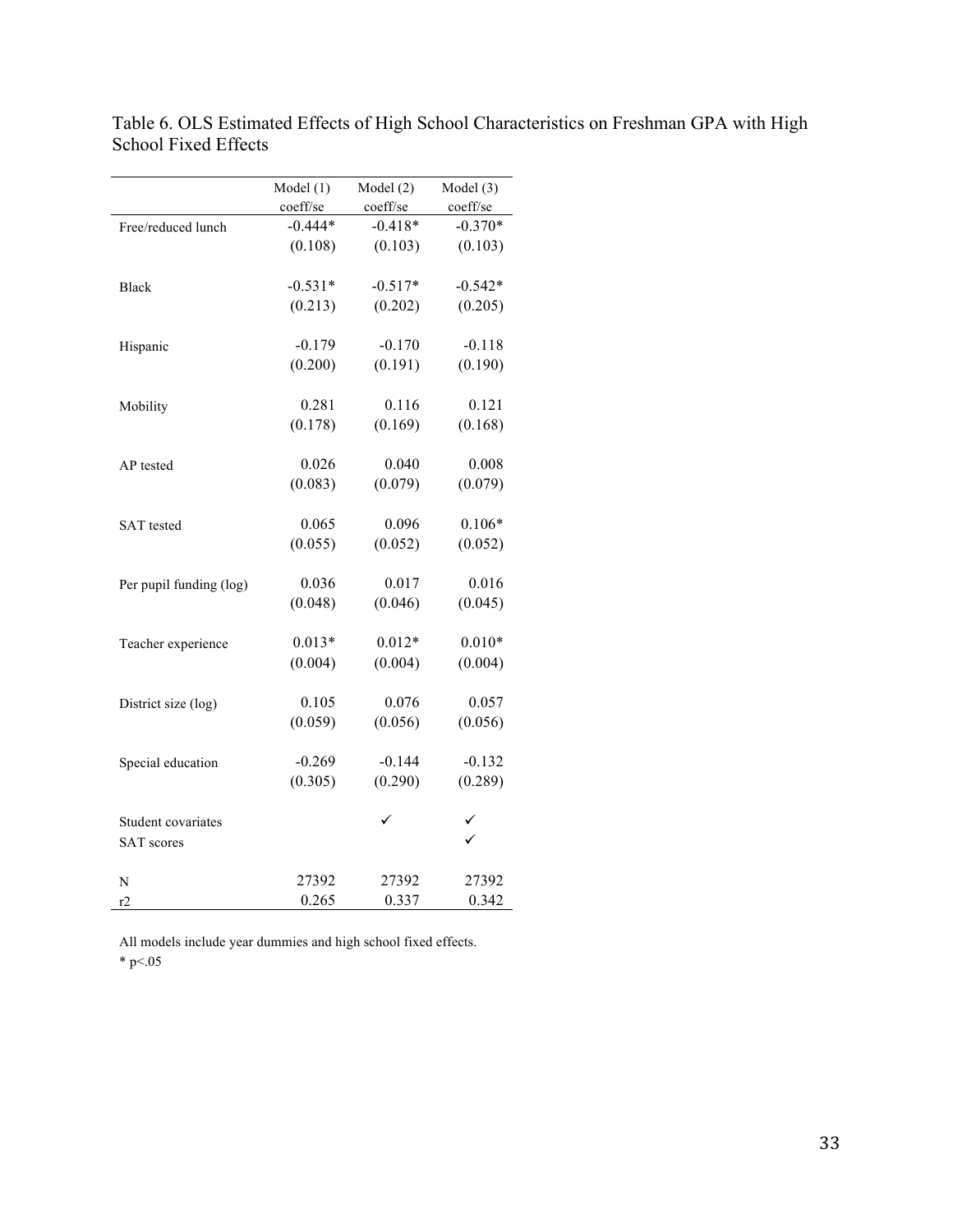|                         | Model $(1)$ | Model $(2)$ | Model (3) |
|-------------------------|-------------|-------------|-----------|
|                         | coeff/se    | coeff/se    | coeff/se  |
| Free/reduced lunch      | $-0.444*$   | $-0.418*$   | $-0.370*$ |
|                         | (0.108)     | (0.103)     | (0.103)   |
|                         |             |             |           |
| <b>Black</b>            | $-0.531*$   | $-0.517*$   | $-0.542*$ |
|                         | (0.213)     | (0.202)     | (0.205)   |
|                         |             |             |           |
| Hispanic                | $-0.179$    | $-0.170$    | $-0.118$  |
|                         | (0.200)     | (0.191)     | (0.190)   |
|                         |             |             |           |
| Mobility                | 0.281       | 0.116       | 0.121     |
|                         | (0.178)     | (0.169)     | (0.168)   |
|                         |             |             |           |
| AP tested               | 0.026       | 0.040       | 0.008     |
|                         | (0.083)     | (0.079)     | (0.079)   |
|                         |             |             |           |
| <b>SAT</b> tested       | 0.065       | 0.096       | $0.106*$  |
|                         | (0.055)     | (0.052)     | (0.052)   |
|                         |             |             |           |
| Per pupil funding (log) | 0.036       | 0.017       | 0.016     |
|                         | (0.048)     | (0.046)     | (0.045)   |
|                         |             |             |           |
| Teacher experience      | $0.013*$    | $0.012*$    | $0.010*$  |
|                         | (0.004)     | (0.004)     | (0.004)   |
|                         |             |             |           |
| District size (log)     | 0.105       | 0.076       | 0.057     |
|                         | (0.059)     | (0.056)     | (0.056)   |
|                         |             |             |           |
| Special education       | $-0.269$    | $-0.144$    | $-0.132$  |
|                         | (0.305)     | (0.290)     | (0.289)   |
|                         |             |             |           |
| Student covariates      |             |             |           |
| <b>SAT</b> scores       |             |             |           |
|                         |             |             |           |
| N                       | 27392       | 27392       | 27392     |
| r2                      | 0.265       | 0.337       | 0.342     |

Table 6. OLS Estimated Effects of High School Characteristics on Freshman GPA with High School Fixed Effects

All models include year dummies and high school fixed effects. \* p $< 05$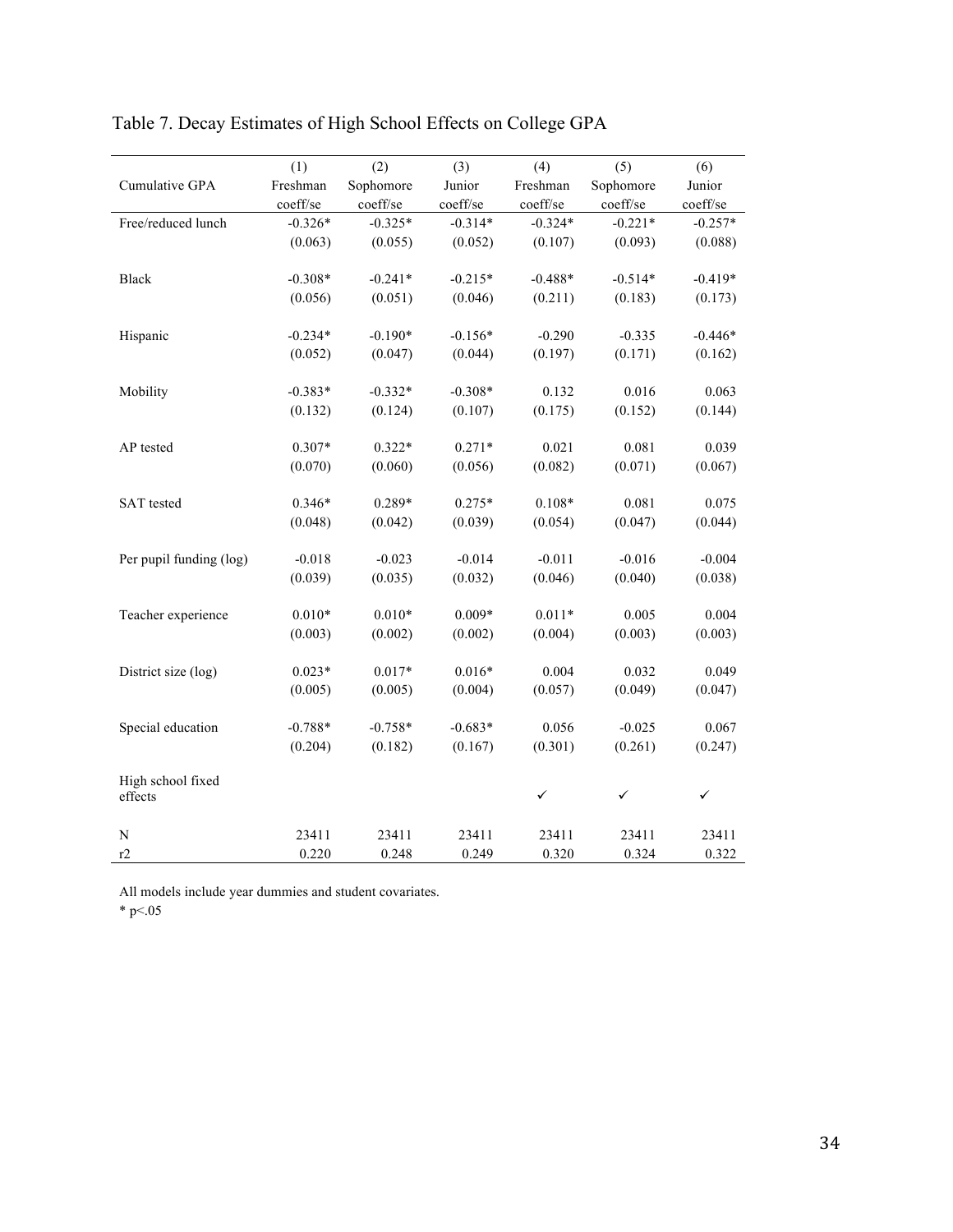|                         | (1)       | (2)       | (3)       | (4)          | (5)          | (6)       |
|-------------------------|-----------|-----------|-----------|--------------|--------------|-----------|
| Cumulative GPA          | Freshman  | Sophomore | Junior    | Freshman     | Sophomore    | Junior    |
|                         | coeff/se  | coeff/se  | coeff/se  | coeff/se     | coeff/se     | coeff/se  |
| Free/reduced lunch      | $-0.326*$ | $-0.325*$ | $-0.314*$ | $-0.324*$    | $-0.221*$    | $-0.257*$ |
|                         | (0.063)   | (0.055)   | (0.052)   | (0.107)      | (0.093)      | (0.088)   |
|                         |           |           |           |              |              |           |
| Black                   | $-0.308*$ | $-0.241*$ | $-0.215*$ | $-0.488*$    | $-0.514*$    | $-0.419*$ |
|                         | (0.056)   | (0.051)   | (0.046)   | (0.211)      | (0.183)      | (0.173)   |
| Hispanic                | $-0.234*$ | $-0.190*$ | $-0.156*$ | $-0.290$     | $-0.335$     | $-0.446*$ |
|                         | (0.052)   | (0.047)   | (0.044)   | (0.197)      | (0.171)      | (0.162)   |
|                         |           |           |           |              |              |           |
| Mobility                | $-0.383*$ | $-0.332*$ | $-0.308*$ | 0.132        | 0.016        | 0.063     |
|                         | (0.132)   | (0.124)   | (0.107)   | (0.175)      | (0.152)      | (0.144)   |
|                         |           |           |           |              |              |           |
| AP tested               | $0.307*$  | $0.322*$  | $0.271*$  | 0.021        | 0.081        | 0.039     |
|                         | (0.070)   | (0.060)   | (0.056)   | (0.082)      | (0.071)      | (0.067)   |
|                         |           |           |           |              |              |           |
| <b>SAT</b> tested       | $0.346*$  | 0.289*    | $0.275*$  | $0.108*$     | 0.081        | 0.075     |
|                         | (0.048)   | (0.042)   | (0.039)   | (0.054)      | (0.047)      | (0.044)   |
| Per pupil funding (log) | $-0.018$  | $-0.023$  | $-0.014$  | $-0.011$     | $-0.016$     | $-0.004$  |
|                         | (0.039)   | (0.035)   | (0.032)   | (0.046)      | (0.040)      | (0.038)   |
|                         |           |           |           |              |              |           |
| Teacher experience      | $0.010*$  | $0.010*$  | $0.009*$  | $0.011*$     | 0.005        | 0.004     |
|                         | (0.003)   | (0.002)   | (0.002)   | (0.004)      | (0.003)      | (0.003)   |
|                         |           |           |           |              |              |           |
| District size (log)     | $0.023*$  | $0.017*$  | $0.016*$  | 0.004        | 0.032        | 0.049     |
|                         | (0.005)   | (0.005)   | (0.004)   | (0.057)      | (0.049)      | (0.047)   |
|                         |           |           |           |              |              |           |
| Special education       | $-0.788*$ | $-0.758*$ | $-0.683*$ | 0.056        | $-0.025$     | 0.067     |
|                         | (0.204)   | (0.182)   | (0.167)   | (0.301)      | (0.261)      | (0.247)   |
| High school fixed       |           |           |           |              |              |           |
| effects                 |           |           |           | $\checkmark$ | $\checkmark$ | ✓         |
|                         |           |           |           |              |              |           |
| N                       | 23411     | 23411     | 23411     | 23411        | 23411        | 23411     |
| r2                      | 0.220     | 0.248     | 0.249     | 0.320        | 0.324        | 0.322     |

# Table 7. Decay Estimates of High School Effects on College GPA

All models include year dummies and student covariates.

 $*$  p $< 05$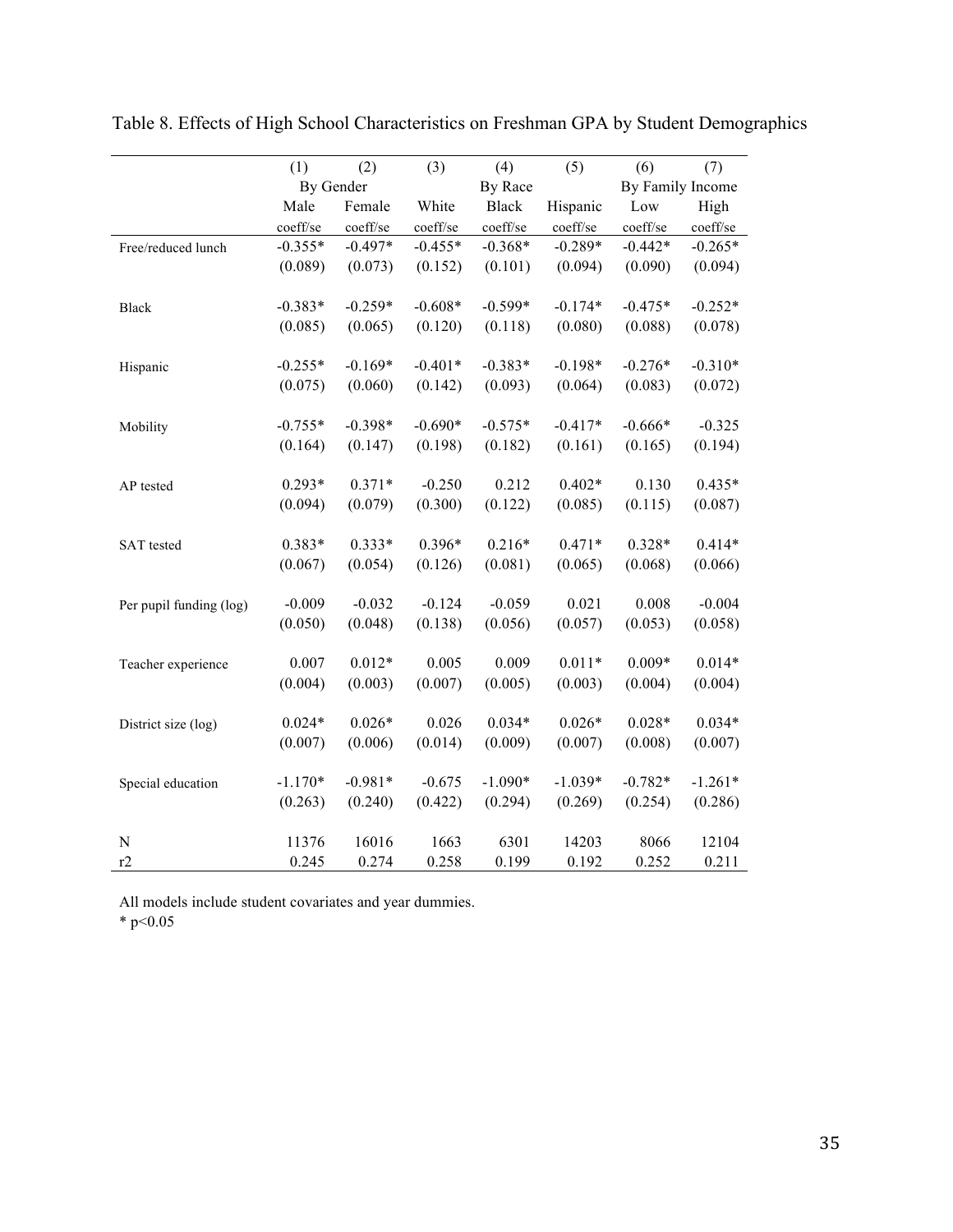|                         | (1)       | (2)       | (3)       | (4)          | (5)       | (6)              | (7)       |
|-------------------------|-----------|-----------|-----------|--------------|-----------|------------------|-----------|
|                         | By Gender |           |           | By Race      |           | By Family Income |           |
|                         | Male      | Female    | White     | <b>Black</b> | Hispanic  | Low              | High      |
|                         | coeff/se  | coeff/se  | coeff/se  | coeff/se     | coeff/se  | coeff/se         | coeff/se  |
| Free/reduced lunch      | $-0.355*$ | $-0.497*$ | $-0.455*$ | $-0.368*$    | $-0.289*$ | $-0.442*$        | $-0.265*$ |
|                         | (0.089)   | (0.073)   | (0.152)   | (0.101)      | (0.094)   | (0.090)          | (0.094)   |
|                         |           |           |           |              |           |                  |           |
| <b>Black</b>            | $-0.383*$ | $-0.259*$ | $-0.608*$ | $-0.599*$    | $-0.174*$ | $-0.475*$        | $-0.252*$ |
|                         | (0.085)   | (0.065)   | (0.120)   | (0.118)      | (0.080)   | (0.088)          | (0.078)   |
|                         |           |           |           |              |           |                  |           |
| Hispanic                | $-0.255*$ | $-0.169*$ | $-0.401*$ | $-0.383*$    | $-0.198*$ | $-0.276*$        | $-0.310*$ |
|                         | (0.075)   | (0.060)   | (0.142)   | (0.093)      | (0.064)   | (0.083)          | (0.072)   |
|                         |           |           |           |              |           |                  |           |
| Mobility                | $-0.755*$ | $-0.398*$ | $-0.690*$ | $-0.575*$    | $-0.417*$ | $-0.666*$        | $-0.325$  |
|                         | (0.164)   | (0.147)   | (0.198)   | (0.182)      | (0.161)   | (0.165)          | (0.194)   |
|                         |           |           |           |              |           |                  |           |
| AP tested               | $0.293*$  | $0.371*$  | $-0.250$  | 0.212        | $0.402*$  | 0.130            | $0.435*$  |
|                         | (0.094)   | (0.079)   | (0.300)   | (0.122)      | (0.085)   | (0.115)          | (0.087)   |
|                         | 0.383*    | $0.333*$  | $0.396*$  | $0.216*$     | $0.471*$  | $0.328*$         | $0.414*$  |
| SAT tested              | (0.067)   | (0.054)   | (0.126)   | (0.081)      | (0.065)   | (0.068)          | (0.066)   |
|                         |           |           |           |              |           |                  |           |
| Per pupil funding (log) | $-0.009$  | $-0.032$  | $-0.124$  | $-0.059$     | 0.021     | 0.008            | $-0.004$  |
|                         | (0.050)   | (0.048)   | (0.138)   | (0.056)      | (0.057)   | (0.053)          | (0.058)   |
|                         |           |           |           |              |           |                  |           |
| Teacher experience      | 0.007     | $0.012*$  | 0.005     | 0.009        | $0.011*$  | $0.009*$         | $0.014*$  |
|                         | (0.004)   | (0.003)   | (0.007)   | (0.005)      | (0.003)   | (0.004)          | (0.004)   |
|                         |           |           |           |              |           |                  |           |
| District size (log)     | $0.024*$  | $0.026*$  | 0.026     | $0.034*$     | $0.026*$  | $0.028*$         | $0.034*$  |
|                         | (0.007)   | (0.006)   | (0.014)   | (0.009)      | (0.007)   | (0.008)          | (0.007)   |
|                         |           |           |           |              |           |                  |           |
| Special education       | $-1.170*$ | $-0.981*$ | $-0.675$  | $-1.090*$    | $-1.039*$ | $-0.782*$        | $-1.261*$ |
|                         | (0.263)   | (0.240)   | (0.422)   | (0.294)      | (0.269)   | (0.254)          | (0.286)   |
|                         |           |           |           |              |           |                  |           |
| $\mathbf N$             | 11376     | 16016     | 1663      | 6301         | 14203     | 8066             | 12104     |
| r2                      | 0.245     | 0.274     | 0.258     | 0.199        | 0.192     | 0.252            | 0.211     |

Table 8. Effects of High School Characteristics on Freshman GPA by Student Demographics

All models include student covariates and year dummies.

 $*$  p<0.05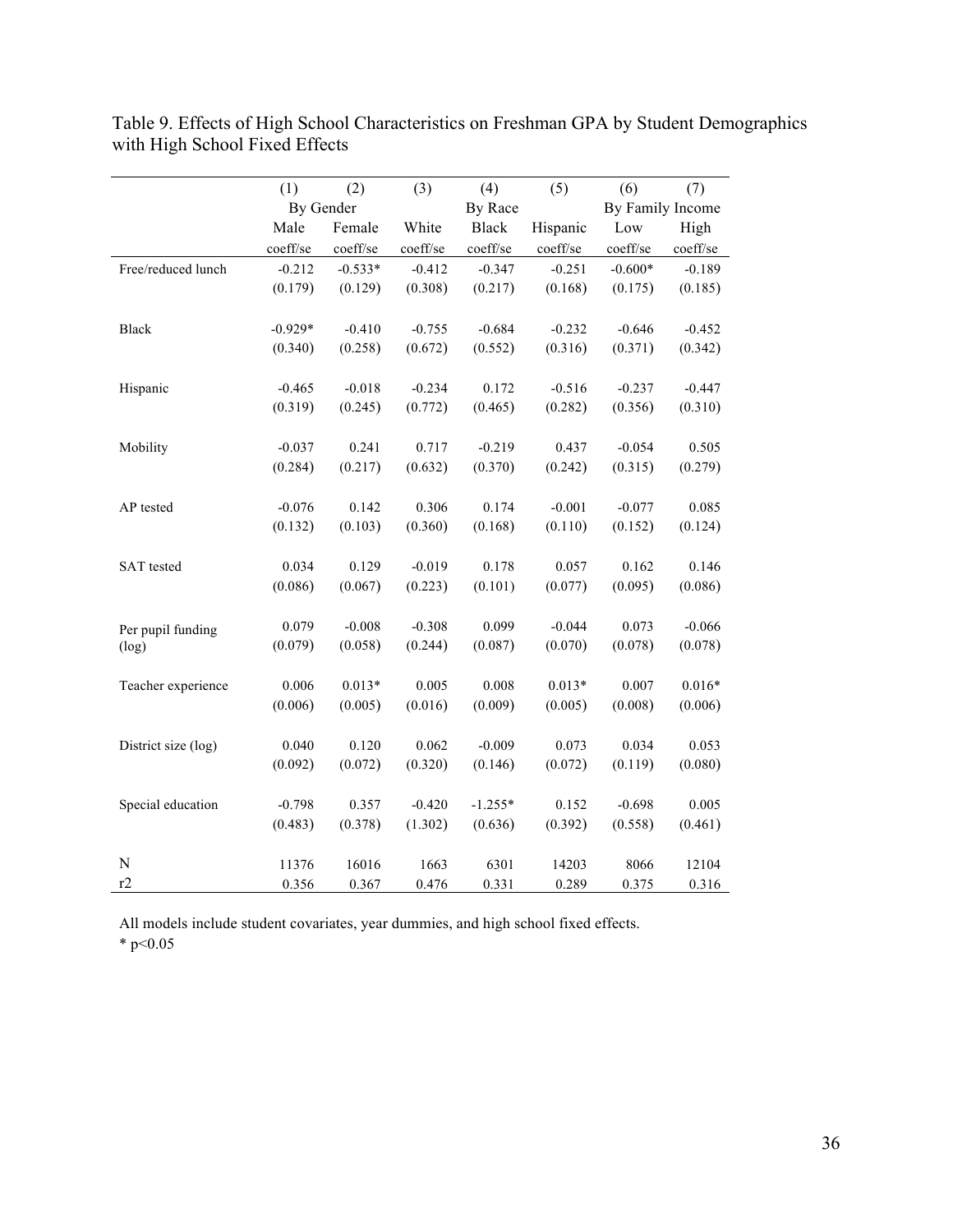|                     | (1)       | (2)       | (3)      | (4)          | (5)      | (6)              | (7)      |
|---------------------|-----------|-----------|----------|--------------|----------|------------------|----------|
|                     | By Gender |           |          | By Race      |          | By Family Income |          |
|                     | Male      | Female    | White    | <b>Black</b> | Hispanic | Low              | High     |
|                     | coeff/se  | coeff/se  | coeff/se | coeff/se     | coeff/se | coeff/se         | coeff/se |
| Free/reduced lunch  | $-0.212$  | $-0.533*$ | $-0.412$ | $-0.347$     | $-0.251$ | $-0.600*$        | $-0.189$ |
|                     | (0.179)   | (0.129)   | (0.308)  | (0.217)      | (0.168)  | (0.175)          | (0.185)  |
| <b>Black</b>        | $-0.929*$ | $-0.410$  | $-0.755$ | $-0.684$     | $-0.232$ | $-0.646$         | $-0.452$ |
|                     | (0.340)   | (0.258)   | (0.672)  | (0.552)      | (0.316)  | (0.371)          | (0.342)  |
| Hispanic            | $-0.465$  | $-0.018$  | $-0.234$ | 0.172        | $-0.516$ | $-0.237$         | $-0.447$ |
|                     | (0.319)   | (0.245)   | (0.772)  | (0.465)      | (0.282)  | (0.356)          | (0.310)  |
| Mobility            | $-0.037$  | 0.241     | 0.717    | $-0.219$     | 0.437    | $-0.054$         | 0.505    |
|                     | (0.284)   | (0.217)   | (0.632)  | (0.370)      | (0.242)  | (0.315)          | (0.279)  |
| AP tested           | $-0.076$  | 0.142     | 0.306    | 0.174        | $-0.001$ | $-0.077$         | 0.085    |
|                     | (0.132)   | (0.103)   | (0.360)  | (0.168)      | (0.110)  | (0.152)          | (0.124)  |
| <b>SAT</b> tested   | 0.034     | 0.129     | $-0.019$ | 0.178        | 0.057    | 0.162            | 0.146    |
|                     | (0.086)   | (0.067)   | (0.223)  | (0.101)      | (0.077)  | (0.095)          | (0.086)  |
| Per pupil funding   | 0.079     | $-0.008$  | $-0.308$ | 0.099        | $-0.044$ | 0.073            | $-0.066$ |
| (log)               | (0.079)   | (0.058)   | (0.244)  | (0.087)      | (0.070)  | (0.078)          | (0.078)  |
| Teacher experience  | 0.006     | $0.013*$  | 0.005    | 0.008        | $0.013*$ | 0.007            | $0.016*$ |
|                     | (0.006)   | (0.005)   | (0.016)  | (0.009)      | (0.005)  | (0.008)          | (0.006)  |
| District size (log) | 0.040     | 0.120     | 0.062    | $-0.009$     | 0.073    | 0.034            | 0.053    |
|                     | (0.092)   | (0.072)   | (0.320)  | (0.146)      | (0.072)  | (0.119)          | (0.080)  |
| Special education   | $-0.798$  | 0.357     | $-0.420$ | $-1.255*$    | 0.152    | $-0.698$         | 0.005    |
|                     | (0.483)   | (0.378)   | (1.302)  | (0.636)      | (0.392)  | (0.558)          | (0.461)  |
| N                   | 11376     | 16016     | 1663     | 6301         | 14203    | 8066             | 12104    |
| r2                  | 0.356     | 0.367     | 0.476    | 0.331        | 0.289    | 0.375            | 0.316    |

Table 9. Effects of High School Characteristics on Freshman GPA by Student Demographics with High School Fixed Effects

All models include student covariates, year dummies, and high school fixed effects. \*  $p<0.05$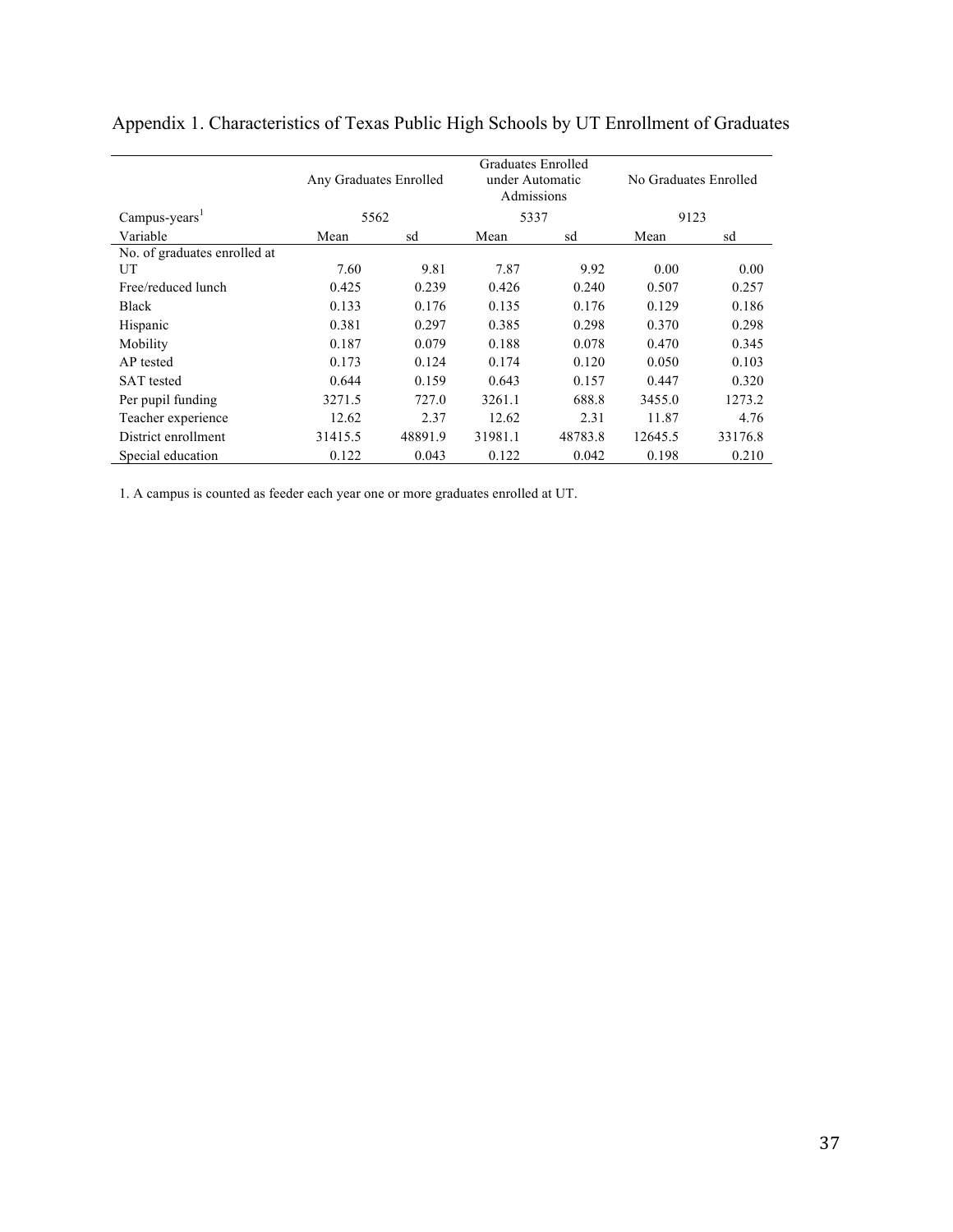|                              | Any Graduates Enrolled |         | Graduates Enrolled<br>under Automatic<br>Admissions |         | No Graduates Enrolled |         |  |
|------------------------------|------------------------|---------|-----------------------------------------------------|---------|-----------------------|---------|--|
| Campus-years <sup>1</sup>    | 5562                   |         | 5337                                                |         | 9123                  |         |  |
| Variable                     | Mean                   | sd      | Mean                                                | sd      | Mean                  | sd      |  |
| No. of graduates enrolled at |                        |         |                                                     |         |                       |         |  |
| UT                           | 7.60                   | 9.81    | 7.87                                                | 9.92    | 0.00                  | 0.00    |  |
| Free/reduced lunch           | 0.425                  | 0.239   | 0.426                                               | 0.240   | 0.507                 | 0.257   |  |
| <b>Black</b>                 | 0.133                  | 0.176   | 0.135                                               | 0.176   | 0.129                 | 0.186   |  |
| Hispanic                     | 0.381                  | 0.297   | 0.385                                               | 0.298   | 0.370                 | 0.298   |  |
| Mobility                     | 0.187                  | 0.079   | 0.188                                               | 0.078   | 0.470                 | 0.345   |  |
| AP tested                    | 0.173                  | 0.124   | 0.174                                               | 0.120   | 0.050                 | 0.103   |  |
| <b>SAT</b> tested            | 0.644                  | 0.159   | 0.643                                               | 0.157   | 0.447                 | 0.320   |  |
| Per pupil funding            | 3271.5                 | 727.0   | 3261.1                                              | 688.8   | 3455.0                | 1273.2  |  |
| Teacher experience           | 12.62                  | 2.37    | 12.62                                               | 2.31    | 11.87                 | 4.76    |  |
| District enrollment          | 31415.5                | 48891.9 | 31981.1                                             | 48783.8 | 12645.5               | 33176.8 |  |
| Special education            | 0.122                  | 0.043   | 0.122                                               | 0.042   | 0.198                 | 0.210   |  |

| Appendix 1. Characteristics of Texas Public High Schools by UT Enrollment of Graduates |  |  |  |  |
|----------------------------------------------------------------------------------------|--|--|--|--|
|                                                                                        |  |  |  |  |

1. A campus is counted as feeder each year one or more graduates enrolled at UT.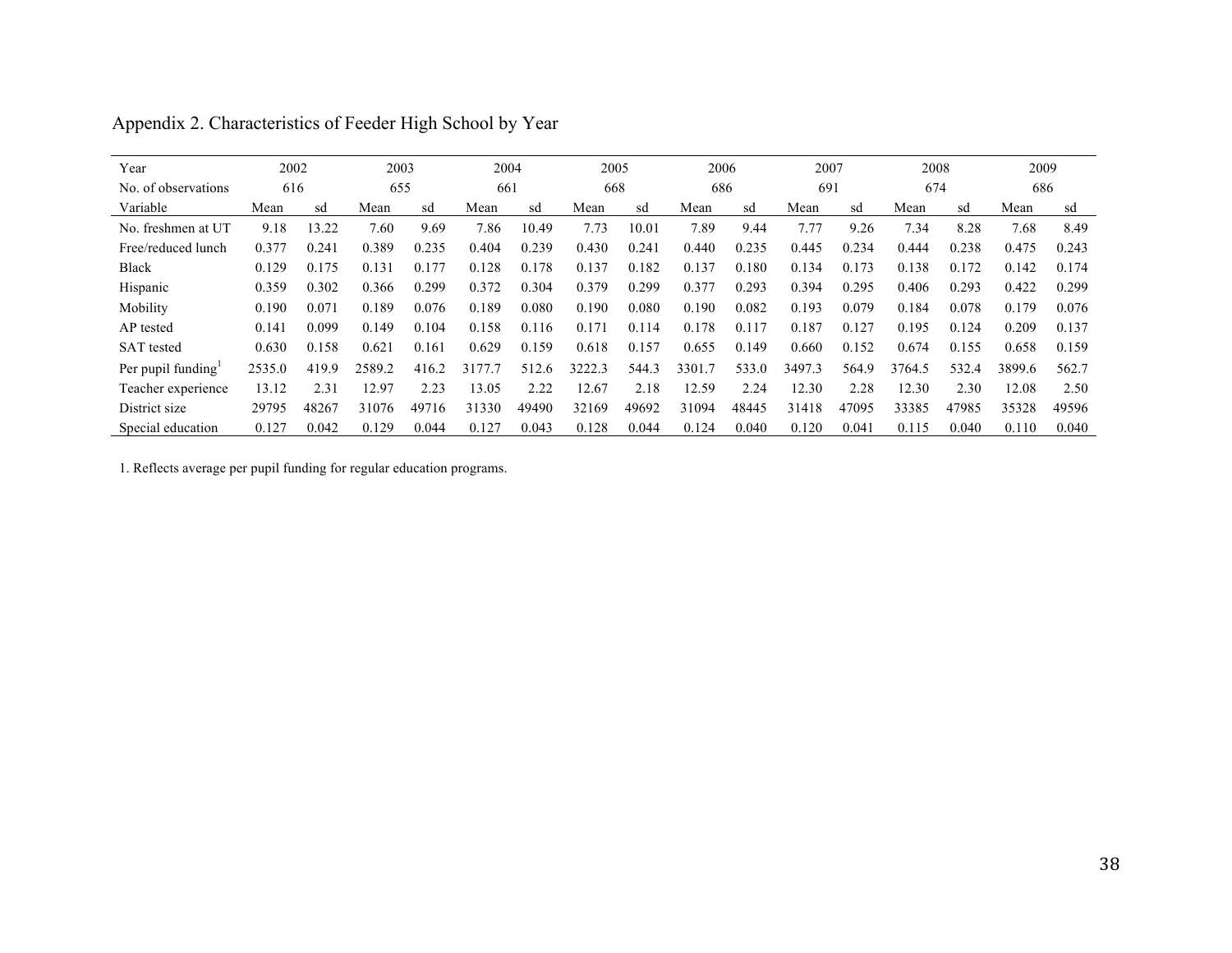| Year                  | 2002   |       | 2003   |       | 2004   |       | 2005   |       | 2006   |       | 2007   |       | 2008   |       | 2009   |       |
|-----------------------|--------|-------|--------|-------|--------|-------|--------|-------|--------|-------|--------|-------|--------|-------|--------|-------|
| No. of observations   | 616    |       | 655    |       | 661    |       | 668    |       | 686    |       | 691    |       | 674    |       | 686    |       |
| Variable              | Mean   | sd    | Mean   | sd    | Mean   | sd    | Mean   | sd    | Mean   | sd    | Mean   | sd    | Mean   | sd    | Mean   | sd    |
| No. freshmen at UT    | 9.18   | 13.22 | 7.60   | 9.69  | 7.86   | 10.49 | 7.73   | 10.01 | 7.89   | 9.44  | 7.77   | 9.26  | 7.34   | 8.28  | 7.68   | 8.49  |
| Free/reduced lunch    | 0.377  | 0.241 | 0.389  | 0.235 | 0.404  | 0.239 | 0.430  | 0.241 | 0.440  | 0.235 | 0.445  | 0.234 | 0.444  | 0.238 | 0.475  | 0.243 |
| Black                 | 0.129  | 0.175 | 0.131  | 0.177 | 0.128  | 0.178 | 0.137  | 0.182 | 0.137  | 0.180 | 0.134  | 0.173 | 0.138  | 0.172 | 0.142  | 0.174 |
| Hispanic              | 0.359  | 0.302 | 0.366  | 0.299 | 0.372  | 0.304 | 0.379  | 0.299 | 0.377  | 0.293 | 0.394  | 0.295 | 0.406  | 0.293 | 0.422  | 0.299 |
| Mobility              | 0.190  | 0.071 | 0.189  | 0.076 | 0.189  | 0.080 | 0.190  | 0.080 | 0.190  | 0.082 | 0.193  | 0.079 | 0.184  | 0.078 | 0.179  | 0.076 |
| AP tested             | 0.141  | 0.099 | 0.149  | 0.104 | 0.158  | 0.116 | 0.171  | 0.114 | 0.178  | 0.117 | 0.187  | 0.127 | 0.195  | 0.124 | 0.209  | 0.137 |
| <b>SAT</b> tested     | 0.630  | 0.158 | 0.621  | 0.161 | 0.629  | 0.159 | 0.618  | 0.157 | 0.655  | 0.149 | 0.660  | 0.152 | 0.674  | 0.155 | 0.658  | 0.159 |
| Per pupil funding $1$ | 2535.0 | 419.9 | 2589.2 | 416.2 | 3177.7 | 512.6 | 3222.3 | 544.3 | 3301.7 | 533.0 | 3497.3 | 564.9 | 3764.5 | 532.4 | 3899.6 | 562.7 |
| Teacher experience    | 13.12  | 2.31  | 12.97  | 2.23  | 13.05  | 2.22  | 12.67  | 2.18  | 12.59  | 2.24  | 12.30  | 2.28  | 12.30  | 2.30  | 12.08  | 2.50  |
| District size         | 29795  | 48267 | 31076  | 49716 | 31330  | 49490 | 32169  | 49692 | 31094  | 48445 | 31418  | 47095 | 33385  | 47985 | 35328  | 49596 |
| Special education     | 0.127  | 0.042 | 0.129  | 0.044 | 0.127  | 0.043 | 0.128  | 0.044 | 0.124  | 0.040 | 0.120  | 0.041 | 0.115  | 0.040 | 0.110  | 0.040 |

| Appendix 2. Characteristics of Feeder High School by Year |
|-----------------------------------------------------------|
|-----------------------------------------------------------|

1. Reflects average per pupil funding for regular education programs.